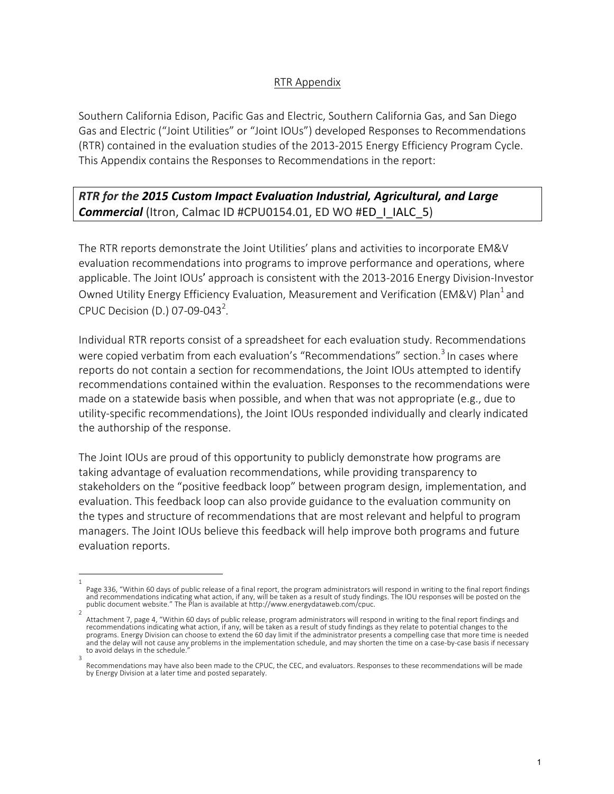#### RTR Appendix

Southern California Edison, Pacific Gas and Electric, Southern California Gas, and San Diego Gas and Electric ("Joint Utilities" or "Joint IOUs") developed Responses to Recommendations (RTR) contained in the evaluation studies of the 2013-2015 Energy Efficiency Program Cycle. This Appendix contains the Responses to Recommendations in the report:

**RTR** for the 2015 Custom Impact Evaluation Industrial, Agricultural, and Large **Commercial** (Itron, Calmac ID #CPU0154.01, ED WO #ED\_I\_IALC\_5)

The RTR reports demonstrate the Joint Utilities' plans and activities to incorporate EM&V evaluation recommendations into programs to improve performance and operations, where applicable. The Joint IOUs' approach is consistent with the 2013-2016 Energy Division-Investor Owned Utility Energy Efficiency Evaluation, Measurement and Verification (EM&V) Plan<sup>1</sup> and CPUC Decision (D.) 07-09-043<sup>2</sup>.

Individual RTR reports consist of a spreadsheet for each evaluation study. Recommendations were copied verbatim from each evaluation's "Recommendations" section.<sup>3</sup> In cases where reports do not contain a section for recommendations, the Joint IOUs attempted to identify recommendations contained within the evaluation. Responses to the recommendations were made on a statewide basis when possible, and when that was not appropriate  $(e.g.,$  due to utility-specific recommendations), the Joint IOUs responded individually and clearly indicated the authorship of the response.

The Joint IOUs are proud of this opportunity to publicly demonstrate how programs are taking advantage of evaluation recommendations, while providing transparency to stakeholders on the "positive feedback loop" between program design, implementation, and evaluation. This feedback loop can also provide guidance to the evaluation community on the types and structure of recommendations that are most relevant and helpful to program managers. The Joint IOUs believe this feedback will help improve both programs and future evaluation reports.

<sup>1</sup>  Page 336, "Within 60 days of public release of a final report, the program administrators will respond in writing to the final report findings and recommendations indicating what action, if any, will be taken as a result of study findings. The IOU responses will be posted on the public document website." The Plan is available at http://www.energydataweb.com/cpuc.

<sup>2</sup>  Attachment 7, page 4, "Within 60 days of public release, program administrators will respond in writing to the final report findings and recommendations indicating what action, if any, will be taken as a result of study findings as they relate to potential changes to the programs. Energy Division can choose to extend the 60 day limit if the administrator presents a compelling case that more time is needed and the delay will not cause any problems in the implementation schedule, and may shorten the time on a case-by-case basis if necessary to avoid delays in the schedule. 3 

Recommendations may have also been made to the CPUC, the CEC, and evaluators. Responses to these recommendations will be made by Energy Division at a later time and posted separately.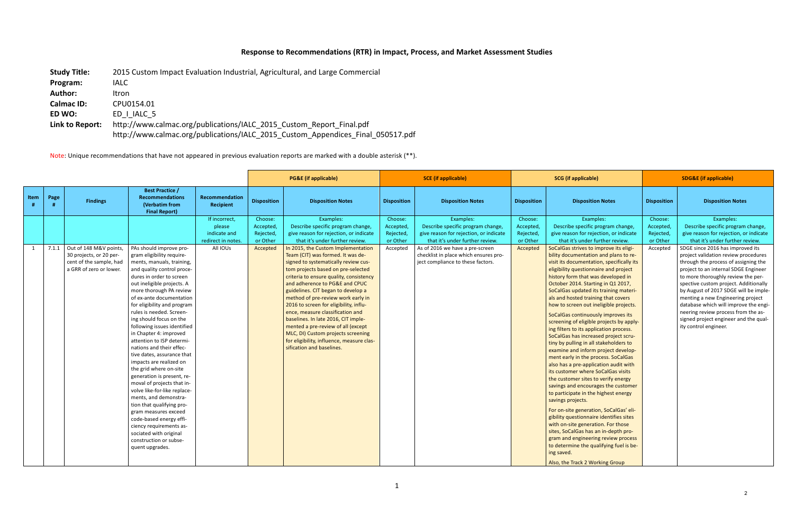## Response to Recommendations (RTR) in Impact, Process, and Market Assessment Studies

| <b>Study Title:</b> | 2015 Custom Impact Evaluation Industrial, Agricultural, and Large Commercial    |
|---------------------|---------------------------------------------------------------------------------|
| Program:            | <b>IALC</b>                                                                     |
| <b>Author:</b>      | Itron                                                                           |
| <b>Calmac ID:</b>   | CPU0154.01                                                                      |
| ED WO:              | ED   IALC 5                                                                     |
| Link to Report:     | http://www.calmac.org/publications/IALC 2015 Custom Report Final.pdf            |
|                     | http://www.calmac.org/publications/IALC_2015_Custom_Appendices_Final_050517.pdf |

Note: Unique recommendations that have not appeared in previous evaluation reports are marked with a double asterisk (\*\*).

|      |      |                              |                                                                                            |                                |                       | <b>PG&amp;E</b> (if applicable)                                       |                       | <b>SCE</b> (if applicable)                                         |                       | <b>SCG</b> (if applicable)                                                |                       | <b>SDG&amp;E (if applicable)</b>                                    |
|------|------|------------------------------|--------------------------------------------------------------------------------------------|--------------------------------|-----------------------|-----------------------------------------------------------------------|-----------------------|--------------------------------------------------------------------|-----------------------|---------------------------------------------------------------------------|-----------------------|---------------------------------------------------------------------|
| Item | Page | <b>Findings</b>              | <b>Best Practice /</b><br><b>Recommendations</b><br>(Verbatim from<br><b>Final Report)</b> | Recommendation<br>Recipient    | <b>Disposition</b>    | <b>Disposition Notes</b>                                              | <b>Disposition</b>    | <b>Disposition Notes</b>                                           | <b>Disposition</b>    | <b>Disposition Notes</b>                                                  | <b>Disposition</b>    | <b>Disposition Notes</b>                                            |
|      |      |                              |                                                                                            | If incorrect,                  | Choose:               | Examples:                                                             | Choose:               | Examples:                                                          | Choose:               | Examples:                                                                 | Choose:               | Examples:                                                           |
|      |      |                              |                                                                                            | please                         | Accepted,             | Describe specific program change,                                     | Accepted,             | Describe specific program change,                                  | Accepted,             | Describe specific program change,                                         | Accepted,             | Describe specific program change,                                   |
|      |      |                              |                                                                                            | indicate and                   | Rejected,<br>or Other | give reason for rejection, or indicate                                | Rejected,<br>or Other | give reason for rejection, or indicate                             | Rejected,<br>or Other | give reason for rejection, or indicate                                    | Rejected,<br>or Other | give reason for rejection, or indicate                              |
|      |      | 7.1.1 Out of 148 M&V points, | PAs should improve pro-                                                                    | redirect in notes.<br>All IOUs |                       | that it's under further review.<br>In 2015, the Custom Implementation |                       | that it's under further review.<br>As of 2016 we have a pre-screen |                       | that it's under further review.<br>SoCalGas strives to improve its eligi- | Accepted              | that it's under further review.<br>SDGE since 2016 has improved its |
| 1    |      | 30 projects, or 20 per-      | gram eligibility require-                                                                  |                                | Accepted              | Team (CIT) was formed. It was de-                                     | Accepted              | checklist in place which ensures pro-                              | Accepted              | bility documentation and plans to re-                                     |                       | project validation review procedures                                |
|      |      | cent of the sample, had      | ments, manuals, training,                                                                  |                                |                       | signed to systematically review cus-                                  |                       | ject compliance to these factors.                                  |                       | visit its documentation, specifically its                                 |                       | through the process of assigning the                                |
|      |      | a GRR of zero or lower.      | and quality control proce-                                                                 |                                |                       | tom projects based on pre-selected                                    |                       |                                                                    |                       | eligibility questionnaire and project                                     |                       | project to an internal SDGE Engineer                                |
|      |      |                              | dures in order to screen                                                                   |                                |                       | criteria to ensure quality, consistency                               |                       |                                                                    |                       | history form that was developed in                                        |                       | to more thoroughly review the per-                                  |
|      |      |                              | out ineligible projects. A                                                                 |                                |                       | and adherence to PG&E and CPUC                                        |                       |                                                                    |                       | October 2014. Starting in Q1 2017,                                        |                       | spective custom project. Additionally                               |
|      |      |                              | more thorough PA review                                                                    |                                |                       | guidelines. CIT began to develop a                                    |                       |                                                                    |                       | SoCalGas updated its training materi-                                     |                       | by August of 2017 SDGE will be imple-                               |
|      |      |                              | of ex-ante documentation                                                                   |                                |                       | method of pre-review work early in                                    |                       |                                                                    |                       | als and hosted training that covers                                       |                       | menting a new Engineering project                                   |
|      |      |                              | for eligibility and program                                                                |                                |                       | 2016 to screen for eligibility, influ-                                |                       |                                                                    |                       | how to screen out ineligible projects.                                    |                       | database which will improve the engi-                               |
|      |      |                              | rules is needed. Screen-                                                                   |                                |                       | ence, measure classification and                                      |                       |                                                                    |                       | SoCalGas continuously improves its                                        |                       | neering review process from the as-                                 |
|      |      |                              | ing should focus on the                                                                    |                                |                       | baselines. In late 2016, CIT imple-                                   |                       |                                                                    |                       | screening of eligible projects by apply-                                  |                       | signed project engineer and the qual-                               |
|      |      |                              | following issues identified                                                                |                                |                       | mented a pre-review of all (except                                    |                       |                                                                    |                       | ing filters to its application process.                                   |                       | ity control engineer.                                               |
|      |      |                              | in Chapter 4: improved                                                                     |                                |                       | MLC, DI) Custom projects screening                                    |                       |                                                                    |                       | SoCalGas has increased project scru-                                      |                       |                                                                     |
|      |      |                              | attention to ISP determi-                                                                  |                                |                       | for eligibility, influence, measure clas-                             |                       |                                                                    |                       | tiny by pulling in all stakeholders to                                    |                       |                                                                     |
|      |      |                              | nations and their effec-                                                                   |                                |                       | sification and baselines.                                             |                       |                                                                    |                       | examine and inform project develop-                                       |                       |                                                                     |
|      |      |                              | tive dates, assurance that                                                                 |                                |                       |                                                                       |                       |                                                                    |                       | ment early in the process. SoCalGas                                       |                       |                                                                     |
|      |      |                              | impacts are realized on                                                                    |                                |                       |                                                                       |                       |                                                                    |                       | also has a pre-application audit with                                     |                       |                                                                     |
|      |      |                              | the grid where on-site                                                                     |                                |                       |                                                                       |                       |                                                                    |                       | its customer where SoCalGas visits                                        |                       |                                                                     |
|      |      |                              | generation is present, re-<br>moval of projects that in-                                   |                                |                       |                                                                       |                       |                                                                    |                       | the customer sites to verify energy                                       |                       |                                                                     |
|      |      |                              | volve like-for-like replace-                                                               |                                |                       |                                                                       |                       |                                                                    |                       | savings and encourages the customer                                       |                       |                                                                     |
|      |      |                              | ments, and demonstra-                                                                      |                                |                       |                                                                       |                       |                                                                    |                       | to participate in the highest energy                                      |                       |                                                                     |
|      |      |                              | tion that qualifying pro-                                                                  |                                |                       |                                                                       |                       |                                                                    |                       | savings projects.                                                         |                       |                                                                     |
|      |      |                              | gram measures exceed                                                                       |                                |                       |                                                                       |                       |                                                                    |                       | For on-site generation, SoCalGas' eli-                                    |                       |                                                                     |
|      |      |                              | code-based energy effi-                                                                    |                                |                       |                                                                       |                       |                                                                    |                       | gibility questionnaire identifies sites                                   |                       |                                                                     |
|      |      |                              | ciency requirements as-                                                                    |                                |                       |                                                                       |                       |                                                                    |                       | with on-site generation. For those                                        |                       |                                                                     |
|      |      |                              | sociated with original                                                                     |                                |                       |                                                                       |                       |                                                                    |                       | sites, SoCalGas has an in-depth pro-                                      |                       |                                                                     |
|      |      |                              | construction or subse-                                                                     |                                |                       |                                                                       |                       |                                                                    |                       | gram and engineering review process                                       |                       |                                                                     |
|      |      |                              | quent upgrades.                                                                            |                                |                       |                                                                       |                       |                                                                    |                       | to determine the qualifying fuel is be-                                   |                       |                                                                     |
|      |      |                              |                                                                                            |                                |                       |                                                                       |                       |                                                                    |                       | ing saved.                                                                |                       |                                                                     |
|      |      |                              |                                                                                            |                                |                       |                                                                       |                       |                                                                    |                       | Also, the Track 2 Working Group                                           |                       |                                                                     |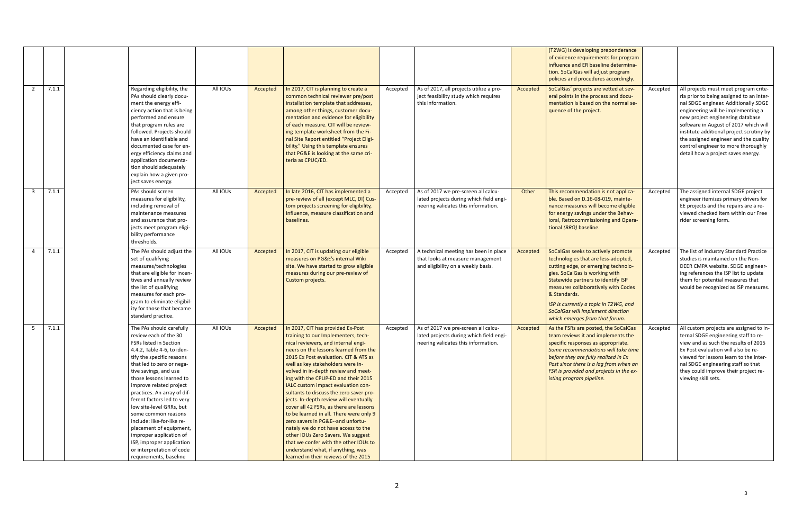|                |       |                                                                                                                                                                                                                                                                                                                                                                                                                                                                                                                                             |          |          |                                                                                                                                                                                                                                                                                                                                                                                                                                                                                                                                                                                                                                                                                                                                                                               |          |                                                                                                                       |          | (T2WG) is developing preponderance<br>of evidence requirements for program<br>influence and ER baseline determina-<br>tion. SoCalGas will adjust program<br>policies and procedures accordingly.                                                                                                                                                                |          |                                                                                                                                                                                                                                                                                                                                                                                                                |
|----------------|-------|---------------------------------------------------------------------------------------------------------------------------------------------------------------------------------------------------------------------------------------------------------------------------------------------------------------------------------------------------------------------------------------------------------------------------------------------------------------------------------------------------------------------------------------------|----------|----------|-------------------------------------------------------------------------------------------------------------------------------------------------------------------------------------------------------------------------------------------------------------------------------------------------------------------------------------------------------------------------------------------------------------------------------------------------------------------------------------------------------------------------------------------------------------------------------------------------------------------------------------------------------------------------------------------------------------------------------------------------------------------------------|----------|-----------------------------------------------------------------------------------------------------------------------|----------|-----------------------------------------------------------------------------------------------------------------------------------------------------------------------------------------------------------------------------------------------------------------------------------------------------------------------------------------------------------------|----------|----------------------------------------------------------------------------------------------------------------------------------------------------------------------------------------------------------------------------------------------------------------------------------------------------------------------------------------------------------------------------------------------------------------|
| $\overline{2}$ | 7.1.1 | Regarding eligibility, the<br>PAs should clearly docu-<br>ment the energy effi-<br>ciency action that is being<br>performed and ensure<br>that program rules are<br>followed. Projects should<br>have an identifiable and<br>documented case for en-<br>ergy efficiency claims and<br>application documenta-<br>tion should adequately<br>explain how a given pro-<br>ject saves energy.                                                                                                                                                    | All IOUs | Accepted | In 2017, CIT is planning to create a<br>common technical reviewer pre/post<br>installation template that addresses,<br>among other things, customer docu-<br>mentation and evidence for eligibility<br>of each measure. CIT will be review-<br>ing template worksheet from the Fi-<br>nal Site Report entitled "Project Eligi-<br>bility." Using this template ensures<br>that PG&E is looking at the same cri-<br>teria as CPUC/ED.                                                                                                                                                                                                                                                                                                                                          | Accepted | As of 2017, all projects utilize a pro-<br>ject feasibility study which requires<br>this information.                 | Accepted | SoCalGas' projects are vetted at sev-<br>eral points in the process and docu-<br>mentation is based on the normal se-<br>quence of the project.                                                                                                                                                                                                                 | Accepted | All projects must meet program crite-<br>ria prior to being assigned to an inter-<br>nal SDGE engineer. Additionally SDGE<br>engineering will be implementing a<br>new project engineering database<br>software in August of 2017 which will<br>institute additional project scrutiny by<br>the assigned engineer and the quality<br>control engineer to more thoroughly<br>detail how a project saves energy. |
| $\mathbf{3}$   | 7.1.1 | PAs should screen<br>measures for eligibility,<br>including removal of<br>maintenance measures<br>and assurance that pro-<br>jects meet program eligi-<br>bility performance<br>thresholds.                                                                                                                                                                                                                                                                                                                                                 | All IOUs | Accepted | In late 2016, CIT has implemented a<br>pre-review of all (except MLC, DI) Cus-<br>tom projects screening for eligibility,<br>Influence, measure classification and<br>baselines.                                                                                                                                                                                                                                                                                                                                                                                                                                                                                                                                                                                              | Accepted | As of 2017 we pre-screen all calcu-<br>lated projects during which field engi-<br>neering validates this information. | Other    | This recommendation is not applica-<br>ble. Based on D.16-08-019, mainte-<br>nance measures will become eligible<br>for energy savings under the Behav-<br>ioral, Retrocommissioning and Opera-<br>tional (BRO) baseline.                                                                                                                                       | Accepted | The assigned internal SDGE project<br>engineer itemizes primary drivers for<br>EE projects and the repairs are a re-<br>viewed checked item within our Free<br>rider screening form.                                                                                                                                                                                                                           |
| 4              | 7.1.1 | The PAs should adjust the<br>set of qualifying<br>measures/technologies<br>that are eligible for incen-<br>tives and annually review<br>the list of qualifying<br>measures for each pro-<br>gram to eliminate eligibil-<br>ity for those that became<br>standard practice.                                                                                                                                                                                                                                                                  | All IOUs | Accepted | In 2017, CIT is updating our eligible<br>measures on PG&E's internal Wiki<br>site. We have started to grow eligible<br>measures during our pre-review of<br>Custom projects.                                                                                                                                                                                                                                                                                                                                                                                                                                                                                                                                                                                                  | Accepted | A technical meeting has been in place<br>that looks at measure management<br>and eligibility on a weekly basis.       | Accepted | SoCalGas seeks to actively promote<br>technologies that are less-adopted,<br>cutting edge, or emerging technolo-<br>gies. SoCalGas is working with<br>Statewide partners to identify ISP<br>measures collaboratively with Codes<br>& Standards.<br>ISP is currently a topic in T2WG, and<br>SoCalGas will implement direction<br>which emerges from that forum. | Accepted | The list of Industry Standard Practice<br>studies is maintained on the Non-<br>DEER CMPA website. SDGE engineer-<br>ing references the ISP list to update<br>them for potential measures that<br>would be recognized as ISP measures.                                                                                                                                                                          |
| 5 <sub>1</sub> | 7.1.1 | The PAs should carefully<br>review each of the 30<br>FSRs listed in Section<br>4.4.2, Table 4-6, to iden-<br>tify the specific reasons<br>that led to zero or nega-<br>tive savings, and use<br>those lessons learned to<br>improve related project<br>practices. An array of dif-<br>ferent factors led to very<br>low site-level GRRs, but<br>some common reasons<br>include: like-for-like re-<br>placement of equipment,<br>improper application of<br>ISP, improper application<br>or interpretation of code<br>requirements, baseline | All IOUs | Accepted | In 2017, CIT has provided Ex-Post<br>training to our Implementers, tech-<br>nical reviewers, and internal engi-<br>neers on the lessons learned from the<br>2015 Ex Post evaluation. CIT & ATS as<br>well as key stakeholders were in-<br>volved in in-depth review and meet-<br>ing with the CPUP-ED and their 2015<br>IALC custom impact evaluation con-<br>sultants to discuss the zero saver pro-<br>jects. In-depth review will eventually<br>cover all 42 FSRs, as there are lessons<br>to be learned in all. There were only 9<br>zero savers in PG&E--and unfortu-<br>nately we do not have access to the<br>other IOUs Zero Savers. We suggest<br>that we confer with the other IOUs to<br>understand what, if anything, was<br>learned in their reviews of the 2015 | Accepted | As of 2017 we pre-screen all calcu-<br>lated projects during which field engi-<br>neering validates this information. | Accepted | As the FSRs are posted, the SoCalGas<br>team reviews it and implements the<br>specific responses as appropriate.<br>Some recommendations will take time<br>before they are fully realized in Ex<br>Post since there is a lag from when an<br>FSR is provided and projects in the ex-<br>isting program pipeline.                                                | Accepted | All custom projects are assigned to in-<br>ternal SDGE engineering staff to re-<br>view and as such the results of 2015<br>Ex Post evaluation will also be re-<br>viewed for lessons learn to the inter-<br>nal SDGE engineering staff so that<br>they could improve their project re-<br>viewing skill sets.                                                                                                  |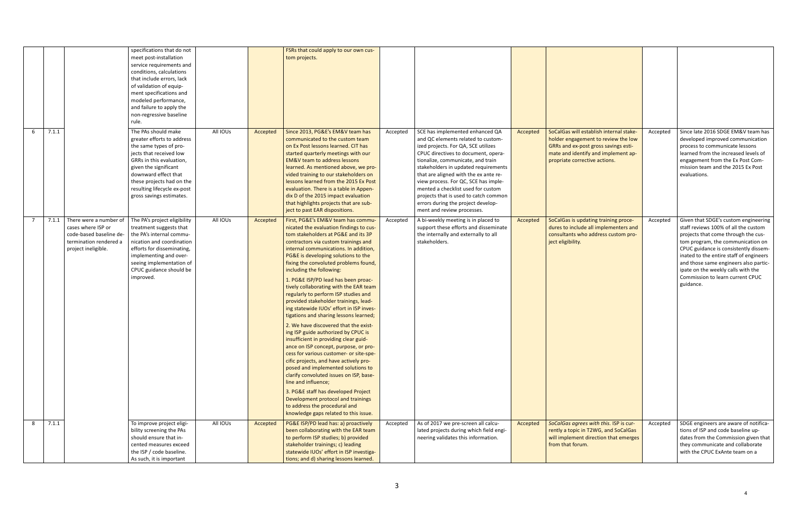|            |                                                                                                                          | specifications that do not<br>meet post-installation<br>service requirements and<br>conditions, calculations<br>that include errors, lack<br>of validation of equip-                                                                                                        |          |          | FSRs that could apply to our own cus-<br>tom projects.                                                                                                                                                                                                                                                                                                                                                                                                                                                                                                                                                                                                                                                                                                                                                                                                                                                                                                                                                                                                                                          |          |                                                                                                                                                                                                                                                                                                                                                                                                                                                                      |          |                                                                                                                                                                                                |          |                                                                                                                                                                                                                                                                                                                                                                              |
|------------|--------------------------------------------------------------------------------------------------------------------------|-----------------------------------------------------------------------------------------------------------------------------------------------------------------------------------------------------------------------------------------------------------------------------|----------|----------|-------------------------------------------------------------------------------------------------------------------------------------------------------------------------------------------------------------------------------------------------------------------------------------------------------------------------------------------------------------------------------------------------------------------------------------------------------------------------------------------------------------------------------------------------------------------------------------------------------------------------------------------------------------------------------------------------------------------------------------------------------------------------------------------------------------------------------------------------------------------------------------------------------------------------------------------------------------------------------------------------------------------------------------------------------------------------------------------------|----------|----------------------------------------------------------------------------------------------------------------------------------------------------------------------------------------------------------------------------------------------------------------------------------------------------------------------------------------------------------------------------------------------------------------------------------------------------------------------|----------|------------------------------------------------------------------------------------------------------------------------------------------------------------------------------------------------|----------|------------------------------------------------------------------------------------------------------------------------------------------------------------------------------------------------------------------------------------------------------------------------------------------------------------------------------------------------------------------------------|
|            |                                                                                                                          | ment specifications and<br>modeled performance,<br>and failure to apply the<br>non-regressive baseline<br>rule.                                                                                                                                                             |          |          |                                                                                                                                                                                                                                                                                                                                                                                                                                                                                                                                                                                                                                                                                                                                                                                                                                                                                                                                                                                                                                                                                                 |          |                                                                                                                                                                                                                                                                                                                                                                                                                                                                      |          |                                                                                                                                                                                                |          |                                                                                                                                                                                                                                                                                                                                                                              |
| 7.1.1<br>6 |                                                                                                                          | The PAs should make<br>greater efforts to address<br>the same types of pro-<br>jects that received low<br>GRRs in this evaluation,<br>given the significant<br>downward effect that<br>these projects had on the<br>resulting lifecycle ex-post<br>gross savings estimates. | All IOUs | Accepted | Since 2013, PG&E's EM&V team has<br>communicated to the custom team<br>on Ex Post lessons learned. CIT has<br>started quarterly meetings with our<br><b>EM&amp;V</b> team to address lessons<br>learned. As mentioned above, we pro-<br>vided training to our stakeholders on<br>lessons learned from the 2015 Ex Post<br>evaluation. There is a table in Appen-<br>dix D of the 2015 impact evaluation<br>that highlights projects that are sub-<br>ject to past EAR dispositions.                                                                                                                                                                                                                                                                                                                                                                                                                                                                                                                                                                                                             | Accepted | SCE has implemented enhanced QA<br>and QC elements related to custom-<br>ized projects. For QA, SCE utilizes<br>CPUC directives to document, opera-<br>tionalize, communicate, and train<br>stakeholders in updated requirements<br>that are aligned with the ex ante re-<br>view process. For QC, SCE has imple-<br>mented a checklist used for custom<br>projects that is used to catch common<br>errors during the project develop-<br>ment and review processes. | Accepted | SoCalGas will establish internal stake-<br>holder engagement to review the low<br>GRRs and ex-post gross savings esti-<br>mate and identify and implement ap-<br>propriate corrective actions. | Accepted | Since late 2016 SDGE EM&V team has<br>developed improved communication<br>process to communicate lessons<br>learned from the increased levels of<br>engagement from the Ex Post Com-<br>mission team and the 2015 Ex Post<br>evaluations.                                                                                                                                    |
| 7.1.1      | There were a number of<br>cases where ISP or<br>code-based baseline de-<br>termination rendered a<br>project ineligible. | The PA's project eligibility<br>treatment suggests that<br>the PA's internal commu-<br>nication and coordination<br>efforts for disseminating,<br>implementing and over-<br>seeing implementation of<br>CPUC guidance should be<br>improved.                                | All IOUs | Accepted | First, PG&E's EM&V team has commu-<br>nicated the evaluation findings to cus-<br>tom stakeholders at PG&E and its 3P<br>contractors via custom trainings and<br>internal communications. In addition,<br>PG&E is developing solutions to the<br>fixing the convoluted problems found,<br>including the following:<br>1. PG&E ISP/PD lead has been proac-<br>tively collaborating with the EAR team<br>regularly to perform ISP studies and<br>provided stakeholder trainings, lead-<br>ing statewide IUOs' effort in ISP inves-<br>tigations and sharing lessons learned;<br>2. We have discovered that the exist-<br>ing ISP guide authorized by CPUC is<br>insufficient in providing clear guid-<br>ance on ISP concept, purpose, or pro-<br>cess for various customer- or site-spe-<br>cific projects, and have actively pro-<br>posed and implemented solutions to<br>clarify convoluted issues on ISP, base-<br>line and influence;<br>3. PG&E staff has developed Project<br>Development protocol and trainings<br>to address the procedural and<br>knowledge gaps related to this issue. | Accepted | A bi-weekly meeting is in placed to<br>support these efforts and disseminate<br>the internally and externally to all<br>stakeholders.                                                                                                                                                                                                                                                                                                                                | Accepted | SoCalGas is updating training proce-<br>dures to include all implementers and<br>consultants who address custom pro-<br>ject eligibility.                                                      | Accepted | Given that SDGE's custom engineering<br>staff reviews 100% of all the custom<br>projects that come through the cus-<br>tom program, the communication on<br>CPUC guidance is consistently dissem-<br>inated to the entire staff of engineers<br>and those same engineers also partic-<br>ipate on the weekly calls with the<br>Commission to learn current CPUC<br>guidance. |
| 7.1.1<br>8 |                                                                                                                          | To improve project eligi-<br>bility screening the PAs<br>should ensure that in-<br>cented measures exceed<br>the ISP / code baseline.<br>As such, it is important                                                                                                           | All IOUs | Accepted | PG&E ISP/PD lead has: a) proactively<br>been collaborating with the EAR team<br>to perform ISP studies; b) provided<br>stakeholder trainings; c) leading<br>statewide IUOs' effort in ISP investiga-<br>tions; and d) sharing lessons learned.                                                                                                                                                                                                                                                                                                                                                                                                                                                                                                                                                                                                                                                                                                                                                                                                                                                  | Accepted | As of 2017 we pre-screen all calcu-<br>lated projects during which field engi-<br>neering validates this information.                                                                                                                                                                                                                                                                                                                                                | Accepted | SoCalGas agrees with this. ISP is cur-<br>rently a topic in T2WG, and SoCalGas<br>will implement direction that emerges<br>from that forum.                                                    | Accepted | SDGE engineers are aware of notifica-<br>tions of ISP and code baseline up-<br>dates from the Commission given that<br>they communicate and collaborate<br>with the CPUC ExAnte team on a                                                                                                                                                                                    |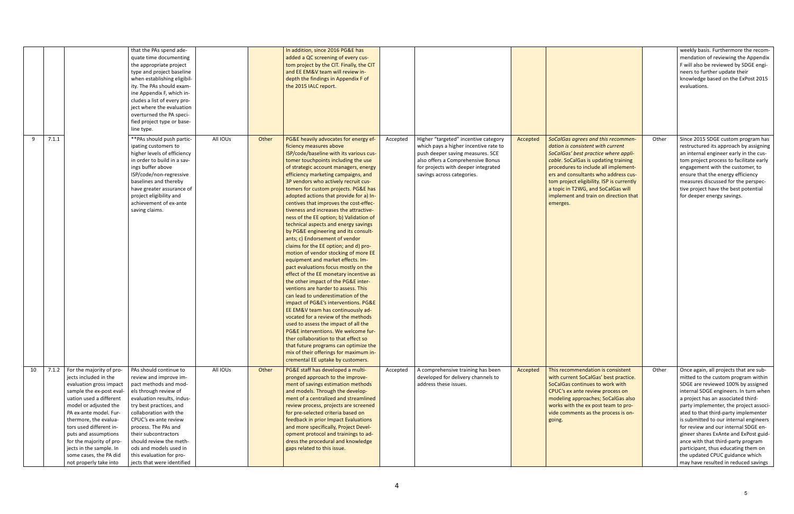|    |       | that the PAs spend ade-<br>quate time documenting<br>the appropriate project<br>type and project baseline<br>when establishing eligibil-<br>ity. The PAs should exam-<br>ine Appendix F, which in-<br>cludes a list of every pro-<br>ject where the evaluation<br>overturned the PA speci-<br>fied project type or base-<br>line type.                                                                                                                                                                                                                                                                                                                                                                                                                         |          |       | In addition, since 2016 PG&E has<br>added a QC screening of every cus-<br>tom project by the CIT. Finally, the CIT<br>and EE EM&V team will review in-<br>depth the findings in Appendix F of<br>the 2015 IALC report.                                                                                                                                                                                                                                                                                                                                                                                                                                                                                                                                                                                                                                                                                                                                                                                                                                                                                                                                                                                                                                                                                        |                                                                                                                                                                                                                                         |          |                                                                                                                                                                                                                                                                                                                                                                                 |       | weekly basis. Furthermore the recom-<br>mendation of reviewing the Appendix<br>F will also be reviewed by SDGE engi-<br>neers to further update their<br>knowledge based on the ExPost 2015<br>evaluations.                                                                                                                                                                                                                                                                                                                                                             |
|----|-------|----------------------------------------------------------------------------------------------------------------------------------------------------------------------------------------------------------------------------------------------------------------------------------------------------------------------------------------------------------------------------------------------------------------------------------------------------------------------------------------------------------------------------------------------------------------------------------------------------------------------------------------------------------------------------------------------------------------------------------------------------------------|----------|-------|---------------------------------------------------------------------------------------------------------------------------------------------------------------------------------------------------------------------------------------------------------------------------------------------------------------------------------------------------------------------------------------------------------------------------------------------------------------------------------------------------------------------------------------------------------------------------------------------------------------------------------------------------------------------------------------------------------------------------------------------------------------------------------------------------------------------------------------------------------------------------------------------------------------------------------------------------------------------------------------------------------------------------------------------------------------------------------------------------------------------------------------------------------------------------------------------------------------------------------------------------------------------------------------------------------------|-----------------------------------------------------------------------------------------------------------------------------------------------------------------------------------------------------------------------------------------|----------|---------------------------------------------------------------------------------------------------------------------------------------------------------------------------------------------------------------------------------------------------------------------------------------------------------------------------------------------------------------------------------|-------|-------------------------------------------------------------------------------------------------------------------------------------------------------------------------------------------------------------------------------------------------------------------------------------------------------------------------------------------------------------------------------------------------------------------------------------------------------------------------------------------------------------------------------------------------------------------------|
| 9  | 7.1.1 | ** PAs should push partic-<br>ipating customers to<br>higher levels of efficiency<br>in order to build in a sav-<br>ings buffer above<br>ISP/code/non-regressive<br>baselines and thereby<br>have greater assurance of<br>project eligibility and<br>achievement of ex-ante<br>saving claims.                                                                                                                                                                                                                                                                                                                                                                                                                                                                  | All IOUs | Other | PG&E heavily advocates for energy ef-<br>ficiency measures above<br>ISP/code/baseline with its various cus-<br>tomer touchpoints including the use<br>of strategic account managers, energy<br>efficiency marketing campaigns, and<br>3P vendors who actively recruit cus-<br>tomers for custom projects. PG&E has<br>adopted actions that provide for a) In-<br>centives that improves the cost-effec-<br>tiveness and increases the attractive-<br>ness of the EE option; b) Validation of<br>technical aspects and energy savings<br>by PG&E engineering and its consult-<br>ants; c) Endorsement of vendor<br>claims for the EE option; and d) pro-<br>motion of vendor stocking of more EE<br>equipment and market effects. Im-<br>pact evaluations focus mostly on the<br>effect of the EE monetary incentive as<br>the other impact of the PG&E inter-<br>ventions are harder to assess. This<br>can lead to underestimation of the<br>impact of PG&E's interventions. PG&E<br>EE EM&V team has continuously ad-<br>vocated for a review of the methods<br>used to assess the impact of all the<br>PG&E interventions. We welcome fur-<br>ther collaboration to that effect so<br>that future programs can optimize the<br>mix of their offerings for maximum in-<br>cremental EE uptake by customers. | Higher "targeted" incentive category<br>Accepted<br>which pays a higher incentive rate to<br>push deeper saving measures. SCE<br>also offers a Comprehensive Bonus<br>for projects with deeper integrated<br>savings across categories. | Accepted | SoCalGas agrees and this recommen-<br>dation is consistent with current<br>SoCalGas' best practice where appli-<br>cable. SoCalGas is updating training<br>procedures to include all implement-<br>ers and consultants who address cus-<br>tom project eligibility. ISP is currently<br>a topic in T2WG, and SoCalGas will<br>implement and train on direction that<br>emerges. | Other | Since 2015 SDGE custom program has<br>restructured its approach by assigning<br>an internal engineer early in the cus-<br>tom project process to facilitate early<br>engagement with the customer, to<br>ensure that the energy efficiency<br>measures discussed for the perspec-<br>tive project have the best potential<br>for deeper energy savings.                                                                                                                                                                                                                 |
| 10 | 7.1.2 | For the majority of pro-<br>PAs should continue to<br>jects included in the<br>review and improve im-<br>evaluation gross impact<br>pact methods and mod-<br>sample the ex-post eval-<br>els through review of<br>uation used a different<br>evaluation results, indus-<br>model or adjusted the<br>try best practices, and<br>PA ex-ante model. Fur-<br>collaboration with the<br>thermore, the evalua-<br>CPUC's ex-ante review<br>tors used different in-<br>process. The PAs and<br>puts and assumptions<br>their subcontractors<br>for the majority of pro-<br>should review the meth-<br>jects in the sample. In<br>ods and models used in<br>some cases, the PA did<br>this evaluation for pro-<br>not properly take into<br>jects that were identified | All IOUs | Other | PG&E staff has developed a multi-<br>pronged approach to the improve-<br>ment of savings estimation methods<br>and models. Through the develop-<br>ment of a centralized and streamlined<br>review process, projects are screened<br>for pre-selected criteria based on<br>feedback in prior Impact Evaluations<br>and more specifically, Project Devel-<br>opment protocol and trainings to ad-<br>dress the procedural and knowledge<br>gaps related to this issue.                                                                                                                                                                                                                                                                                                                                                                                                                                                                                                                                                                                                                                                                                                                                                                                                                                         | A comprehensive training has been<br>Accepted<br>developed for delivery channels to<br>address these issues.                                                                                                                            | Accepted | This recommendation is consistent<br>with current SoCalGas' best practice.<br>SoCalGas continues to work with<br>CPUC's ex ante review process on<br>modeling approaches; SoCalGas also<br>works with the ex post team to pro-<br>vide comments as the process is on-<br>going.                                                                                                 | Other | Once again, all projects that are sub-<br>mitted to the custom program within<br>SDGE are reviewed 100% by assigned<br>internal SDGE engineers. In turn when<br>a project has an associated third-<br>party implementer, the project associ-<br>ated to that third-party implementer<br>is submitted to our internal engineers<br>for review and our internal SDGE en-<br>gineer shares ExAnte and ExPost guid-<br>ance with that third-party program<br>participant, thus educating them on<br>the updated CPUC guidance which<br>may have resulted in reduced savings |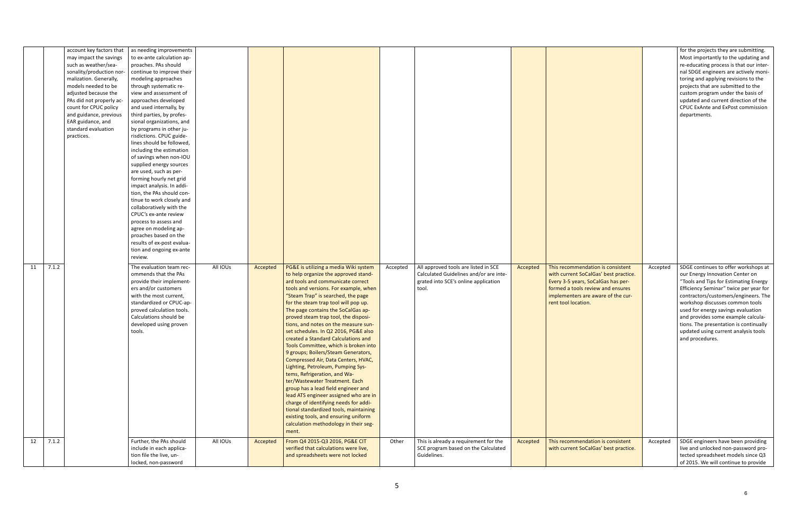| account key factors that<br>may impact the savings<br>such as weather/sea-<br>sonality/production nor-<br>malization. Generally,<br>models needed to be<br>adjusted because the<br>PAs did not properly ac-<br>count for CPUC policy<br>and guidance, previous<br>EAR guidance, and<br>standard evaluation<br>practices. | as needing improvements<br>to ex-ante calculation ap-<br>proaches. PAs should<br>continue to improve their<br>modeling approaches<br>through systematic re-<br>view and assessment of<br>approaches developed<br>and used internally, by<br>third parties, by profes-<br>sional organizations, and<br>by programs in other ju-<br>risdictions. CPUC guide-<br>lines should be followed,<br>including the estimation<br>of savings when non-IOU<br>supplied energy sources<br>are used, such as per-<br>forming hourly net grid<br>impact analysis. In addi-<br>tion, the PAs should con-<br>tinue to work closely and<br>collaboratively with the<br>CPUC's ex-ante review<br>process to assess and<br>agree on modeling ap-<br>proaches based on the<br>results of ex-post evalua-<br>tion and ongoing ex-ante<br>review. |          |                                                                                                                                                                                                                                                                                                                                                                                                                                                                                                                                                                                                                                                                                                                                                                                                                                                                                                                                           |          |                                                                                                                                 |          |                                                                                                                                                                                                                    |          | for the projects they are submitting.<br>Most importantly to the updating and<br>re-educating process is that our inter-<br>nal SDGE engineers are actively moni-<br>toring and applying revisions to the<br>projects that are submitted to the<br>custom program under the basis of<br>updated and current direction of the<br>CPUC ExAnte and ExPost commission<br>departments.                                      |
|--------------------------------------------------------------------------------------------------------------------------------------------------------------------------------------------------------------------------------------------------------------------------------------------------------------------------|----------------------------------------------------------------------------------------------------------------------------------------------------------------------------------------------------------------------------------------------------------------------------------------------------------------------------------------------------------------------------------------------------------------------------------------------------------------------------------------------------------------------------------------------------------------------------------------------------------------------------------------------------------------------------------------------------------------------------------------------------------------------------------------------------------------------------|----------|-------------------------------------------------------------------------------------------------------------------------------------------------------------------------------------------------------------------------------------------------------------------------------------------------------------------------------------------------------------------------------------------------------------------------------------------------------------------------------------------------------------------------------------------------------------------------------------------------------------------------------------------------------------------------------------------------------------------------------------------------------------------------------------------------------------------------------------------------------------------------------------------------------------------------------------------|----------|---------------------------------------------------------------------------------------------------------------------------------|----------|--------------------------------------------------------------------------------------------------------------------------------------------------------------------------------------------------------------------|----------|------------------------------------------------------------------------------------------------------------------------------------------------------------------------------------------------------------------------------------------------------------------------------------------------------------------------------------------------------------------------------------------------------------------------|
| 7.1.2<br>11                                                                                                                                                                                                                                                                                                              | All IOUs<br>The evaluation team rec-<br>ommends that the PAs<br>provide their implement-<br>ers and/or customers<br>with the most current,<br>standardized or CPUC-ap-<br>proved calculation tools.<br>Calculations should be<br>developed using proven<br>tools.                                                                                                                                                                                                                                                                                                                                                                                                                                                                                                                                                          | Accepted | PG&E is utilizing a media Wiki system<br>to help organize the approved stand-<br>ard tools and communicate correct<br>tools and versions. For example, when<br>"Steam Trap" is searched, the page<br>for the steam trap tool will pop up.<br>The page contains the SoCalGas ap-<br>proved steam trap tool, the disposi-<br>tions, and notes on the measure sun-<br>set schedules. In Q2 2016, PG&E also<br>created a Standard Calculations and<br>Tools Committee, which is broken into<br>9 groups; Boilers/Steam Generators,<br>Compressed Air, Data Centers, HVAC,<br>Lighting, Petroleum, Pumping Sys-<br>tems, Refrigeration, and Wa-<br>ter/Wastewater Treatment. Each<br>group has a lead field engineer and<br>lead ATS engineer assigned who are in<br>charge of identifying needs for addi-<br>tional standardized tools, maintaining<br>existing tools, and ensuring uniform<br>calculation methodology in their seg-<br>ment. | Accepted | All approved tools are listed in SCE<br>Calculated Guidelines and/or are inte-<br>grated into SCE's online application<br>tool. | Accepted | This recommendation is consistent<br>with current SoCalGas' best practice.<br>Every 3-5 years, SoCalGas has per-<br>formed a tools review and ensures<br>implementers are aware of the cur-<br>rent tool location. | Accepted | SDGE continues to offer workshops at<br>our Energy Innovation Center on<br>"Tools and Tips for Estimating Energy<br>Efficiency Seminar" twice per year for<br>contractors/customers/engineers. The<br>workshop discusses common tools<br>used for energy savings evaluation<br>and provides some example calcula-<br>tions. The presentation is continually<br>updated using current analysis tools<br>and procedures. |
| 7.1.2<br>12                                                                                                                                                                                                                                                                                                              | All IOUs<br>Further, the PAs should<br>include in each applica-<br>tion file the live, un-<br>locked, non-password                                                                                                                                                                                                                                                                                                                                                                                                                                                                                                                                                                                                                                                                                                         | Accepted | From Q4 2015-Q3 2016, PG&E CIT<br>verified that calculations were live,<br>and spreadsheets were not locked                                                                                                                                                                                                                                                                                                                                                                                                                                                                                                                                                                                                                                                                                                                                                                                                                               | Other    | This is already a requirement for the<br>SCE program based on the Calculated<br>Guidelines.                                     | Accepted | This recommendation is consistent<br>with current SoCalGas' best practice.                                                                                                                                         | Accepted | SDGE engineers have been providing<br>live and unlocked non-password pro-<br>tected spreadsheet models since Q3<br>of 2015. We will continue to provide                                                                                                                                                                                                                                                                |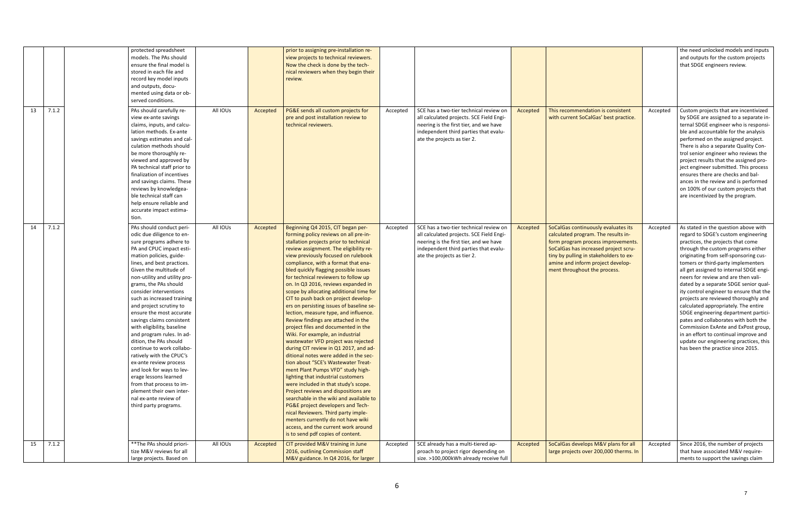|             | protected spreadsheet        |          |          | prior to assigning pre-installation re-                                      |          |                                          |          |                                        |          | the need unlocked models and inputs                                          |
|-------------|------------------------------|----------|----------|------------------------------------------------------------------------------|----------|------------------------------------------|----------|----------------------------------------|----------|------------------------------------------------------------------------------|
|             | models. The PAs should       |          |          | view projects to technical reviewers.                                        |          |                                          |          |                                        |          | and outputs for the custom projects                                          |
|             | ensure the final model is    |          |          | Now the check is done by the tech-                                           |          |                                          |          |                                        |          | that SDGE engineers review.                                                  |
|             | stored in each file and      |          |          | nical reviewers when they begin their                                        |          |                                          |          |                                        |          |                                                                              |
|             | record key model inputs      |          |          | review.                                                                      |          |                                          |          |                                        |          |                                                                              |
|             | and outputs, docu-           |          |          |                                                                              |          |                                          |          |                                        |          |                                                                              |
|             | mented using data or ob-     |          |          |                                                                              |          |                                          |          |                                        |          |                                                                              |
|             | served conditions.           |          |          |                                                                              |          |                                          |          |                                        |          |                                                                              |
| 7.1.2<br>13 | PAs should carefully re-     | All IOUs | Accepted | PG&E sends all custom projects for                                           | Accepted | SCE has a two-tier technical review on   | Accepted | This recommendation is consistent      | Accepted | Custom projects that are incentivized                                        |
|             | view ex-ante savings         |          |          | pre and post installation review to                                          |          | all calculated projects. SCE Field Engi- |          | with current SoCalGas' best practice.  |          | by SDGE are assigned to a separate in-                                       |
|             | claims, inputs, and calcu-   |          |          | technical reviewers.                                                         |          | neering is the first tier, and we have   |          |                                        |          | ternal SDGE engineer who is responsi-                                        |
|             | lation methods. Ex-ante      |          |          |                                                                              |          | independent third parties that evalu-    |          |                                        |          | ble and accountable for the analysis                                         |
|             | savings estimates and cal-   |          |          |                                                                              |          |                                          |          |                                        |          | performed on the assigned project.                                           |
|             | culation methods should      |          |          |                                                                              |          | ate the projects as tier 2.              |          |                                        |          |                                                                              |
|             |                              |          |          |                                                                              |          |                                          |          |                                        |          | There is also a separate Quality Con-                                        |
|             | be more thoroughly re-       |          |          |                                                                              |          |                                          |          |                                        |          | trol senior engineer who reviews the                                         |
|             | viewed and approved by       |          |          |                                                                              |          |                                          |          |                                        |          | project results that the assigned pro-                                       |
|             | PA technical staff prior to  |          |          |                                                                              |          |                                          |          |                                        |          | ject engineer submitted. This process                                        |
|             | finalization of incentives   |          |          |                                                                              |          |                                          |          |                                        |          | ensures there are checks and bal-                                            |
|             | and savings claims. These    |          |          |                                                                              |          |                                          |          |                                        |          | ances in the review and is performed                                         |
|             | reviews by knowledgea-       |          |          |                                                                              |          |                                          |          |                                        |          | on 100% of our custom projects that                                          |
|             | ble technical staff can      |          |          |                                                                              |          |                                          |          |                                        |          | are incentivized by the program.                                             |
|             | help ensure reliable and     |          |          |                                                                              |          |                                          |          |                                        |          |                                                                              |
|             | accurate impact estima-      |          |          |                                                                              |          |                                          |          |                                        |          |                                                                              |
|             | tion.                        |          |          |                                                                              |          |                                          |          |                                        |          |                                                                              |
| 7.1.2<br>14 | PAs should conduct peri-     | All IOUs | Accepted | Beginning Q4 2015, CIT began per-                                            | Accepted | SCE has a two-tier technical review on   | Accepted | SoCalGas continuously evaluates its    | Accepted | As stated in the question above with                                         |
|             | odic due diligence to en-    |          |          | forming policy reviews on all pre-in-                                        |          | all calculated projects. SCE Field Engi- |          | calculated program. The results in-    |          | regard to SDGE's custom engineering                                          |
|             | sure programs adhere to      |          |          | stallation projects prior to technical                                       |          | neering is the first tier, and we have   |          | form program process improvements.     |          | practices, the projects that come                                            |
|             | PA and CPUC impact esti-     |          |          | review assignment. The eligibility re-                                       |          | independent third parties that evalu-    |          | SoCalGas has increased project scru-   |          | through the custom programs either                                           |
|             | mation policies, guide-      |          |          | view previously focused on rulebook                                          |          | ate the projects as tier 2.              |          | tiny by pulling in stakeholders to ex- |          | originating from self-sponsoring cus-                                        |
|             | lines, and best practices.   |          |          | compliance, with a format that ena-                                          |          |                                          |          | amine and inform project develop-      |          | tomers or third-party implementers                                           |
|             | Given the multitude of       |          |          | bled quickly flagging possible issues                                        |          |                                          |          | ment throughout the process.           |          | all get assigned to internal SDGE engi-                                      |
|             | non-utility and utility pro- |          |          | for technical reviewers to follow up                                         |          |                                          |          |                                        |          | neers for review and are then vali-                                          |
|             | grams, the PAs should        |          |          | on. In Q3 2016, reviews expanded in                                          |          |                                          |          |                                        |          | dated by a separate SDGE senior qual-                                        |
|             | consider interventions       |          |          | scope by allocating additional time for                                      |          |                                          |          |                                        |          | ity control engineer to ensure that the                                      |
|             | such as increased training   |          |          | CIT to push back on project develop-                                         |          |                                          |          |                                        |          | projects are reviewed thoroughly and                                         |
|             | and project scrutiny to      |          |          | ers on persisting issues of baseline se-                                     |          |                                          |          |                                        |          | calculated appropriately. The entire                                         |
|             |                              |          |          |                                                                              |          |                                          |          |                                        |          |                                                                              |
|             | ensure the most accurate     |          |          | lection, measure type, and influence.<br>Review findings are attached in the |          |                                          |          |                                        |          | SDGE engineering department partici-<br>pates and collaborates with both the |
|             | savings claims consistent    |          |          |                                                                              |          |                                          |          |                                        |          |                                                                              |
|             | with eligibility, baseline   |          |          | project files and documented in the                                          |          |                                          |          |                                        |          | Commission ExAnte and ExPost group,                                          |
|             | and program rules. In ad-    |          |          | Wiki. For example, an industrial                                             |          |                                          |          |                                        |          | in an effort to continual improve and                                        |
|             | dition, the PAs should       |          |          | wastewater VFD project was rejected                                          |          |                                          |          |                                        |          | update our engineering practices, this                                       |
|             | continue to work collabo-    |          |          | during CIT review in Q1 2017, and ad-                                        |          |                                          |          |                                        |          | has been the practice since 2015.                                            |
|             | ratively with the CPUC's     |          |          | ditional notes were added in the sec-                                        |          |                                          |          |                                        |          |                                                                              |
|             | ex-ante review process       |          |          | tion about "SCE's Wastewater Treat-                                          |          |                                          |          |                                        |          |                                                                              |
|             | and look for ways to lev-    |          |          | ment Plant Pumps VFD" study high-                                            |          |                                          |          |                                        |          |                                                                              |
|             | erage lessons learned        |          |          | lighting that industrial customers                                           |          |                                          |          |                                        |          |                                                                              |
|             | from that process to im-     |          |          | were included in that study's scope.                                         |          |                                          |          |                                        |          |                                                                              |
|             | plement their own inter-     |          |          | Project reviews and dispositions are                                         |          |                                          |          |                                        |          |                                                                              |
|             | nal ex-ante review of        |          |          | searchable in the wiki and available to                                      |          |                                          |          |                                        |          |                                                                              |
|             | third party programs.        |          |          | PG&E project developers and Tech-                                            |          |                                          |          |                                        |          |                                                                              |
|             |                              |          |          | nical Reviewers. Third party imple-                                          |          |                                          |          |                                        |          |                                                                              |
|             |                              |          |          | menters currently do not have wiki                                           |          |                                          |          |                                        |          |                                                                              |
|             |                              |          |          | access, and the current work around                                          |          |                                          |          |                                        |          |                                                                              |
|             |                              |          |          | is to send pdf copies of content.                                            |          |                                          |          |                                        |          |                                                                              |
| 7.1.2<br>15 | ** The PAs should priori-    | All IOUs | Accepted | CIT provided M&V training in June                                            | Accepted | SCE already has a multi-tiered ap-       | Accepted | SoCalGas develops M&V plans for all    | Accepted | Since 2016, the number of projects                                           |
|             | tize M&V reviews for all     |          |          | 2016, outlining Commission staff                                             |          | proach to project rigor depending on     |          | large projects over 200,000 therms. In |          | that have associated M&V require-                                            |
|             | large projects. Based on     |          |          | M&V guidance. In Q4 2016, for larger                                         |          | size. >100,000kWh already receive full   |          |                                        |          | ments to support the savings claim                                           |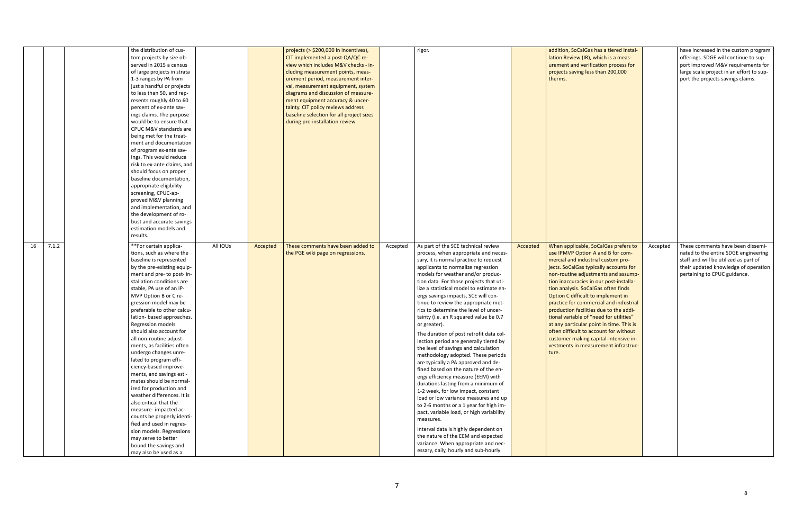|    |       | the distribution of cus-<br>tom projects by size ob-<br>served in 2015 a census<br>of large projects in strata<br>1-3 ranges by PA from<br>just a handful or projects<br>to less than 50, and rep-<br>resents roughly 40 to 60<br>percent of ex-ante sav-<br>ings claims. The purpose<br>would be to ensure that<br>CPUC M&V standards are<br>being met for the treat-<br>ment and documentation<br>of program ex-ante sav-<br>ings. This would reduce<br>risk to ex-ante claims, and<br>should focus on proper<br>baseline documentation,<br>appropriate eligibility<br>screening, CPUC-ap-<br>proved M&V planning<br>and implementation, and<br>the development of ro-<br>bust and accurate savings<br>estimation models and<br>results.                                                                                             |          |          | projects (> \$200,000 in incentives),<br>CIT implemented a post-QA/QC re-<br>view which includes M&V checks - in-<br>cluding measurement points, meas-<br>urement period, measurement inter-<br>val, measurement equipment, system<br>diagrams and discussion of measure-<br>ment equipment accuracy & uncer-<br>tainty. CIT policy reviews address<br>baseline selection for all project sizes<br>during pre-installation review. |          | rigor.                                                                                                                                                                                                                                                                                                                                                                                                                                                                                                                                                                                                                                                                                                                                                                                                                                                                                                                                                                                                                                                                                                                                                 |          | addition, SoCalGas has a tiered Instal-<br>lation Review (IR), which is a meas-<br>urement and verification process for<br>projects saving less than 200,000<br>therms.                                                                                                                                                                                                                                                                                                                                                                                                                                                                 |          | have increased in the custom program<br>offerings. SDGE will continue to sup-<br>port improved M&V requirements for<br>large scale project in an effort to sup-<br>port the projects savings claims. |
|----|-------|----------------------------------------------------------------------------------------------------------------------------------------------------------------------------------------------------------------------------------------------------------------------------------------------------------------------------------------------------------------------------------------------------------------------------------------------------------------------------------------------------------------------------------------------------------------------------------------------------------------------------------------------------------------------------------------------------------------------------------------------------------------------------------------------------------------------------------------|----------|----------|------------------------------------------------------------------------------------------------------------------------------------------------------------------------------------------------------------------------------------------------------------------------------------------------------------------------------------------------------------------------------------------------------------------------------------|----------|--------------------------------------------------------------------------------------------------------------------------------------------------------------------------------------------------------------------------------------------------------------------------------------------------------------------------------------------------------------------------------------------------------------------------------------------------------------------------------------------------------------------------------------------------------------------------------------------------------------------------------------------------------------------------------------------------------------------------------------------------------------------------------------------------------------------------------------------------------------------------------------------------------------------------------------------------------------------------------------------------------------------------------------------------------------------------------------------------------------------------------------------------------|----------|-----------------------------------------------------------------------------------------------------------------------------------------------------------------------------------------------------------------------------------------------------------------------------------------------------------------------------------------------------------------------------------------------------------------------------------------------------------------------------------------------------------------------------------------------------------------------------------------------------------------------------------------|----------|------------------------------------------------------------------------------------------------------------------------------------------------------------------------------------------------------|
| 16 | 7.1.2 | **For certain applica-<br>tions, such as where the<br>baseline is represented<br>by the pre-existing equip-<br>ment and pre- to post- in-<br>stallation conditions are<br>stable, PA use of an IP-<br>MVP Option B or C re-<br>gression model may be<br>preferable to other calcu-<br>lation- based approaches.<br>Regression models<br>should also account for<br>all non-routine adjust-<br>ments, as facilities often<br>undergo changes unre-<br>lated to program effi-<br>ciency-based improve-<br>ments, and savings esti-<br>mates should be normal-<br>ized for production and<br>weather differences. It is<br>also critical that the<br>measure- impacted ac-<br>counts be properly identi-<br>fied and used in regres-<br>sion models. Regressions<br>may serve to better<br>bound the savings and<br>may also be used as a | All IOUs | Accepted | These comments have been added to<br>the PGE wiki page on regressions.                                                                                                                                                                                                                                                                                                                                                             | Accepted | As part of the SCE technical review<br>process, when appropriate and neces-<br>sary, it is normal practice to request<br>applicants to normalize regression<br>models for weather and/or produc-<br>tion data. For those projects that uti-<br>lize a statistical model to estimate en-<br>ergy savings impacts, SCE will con-<br>tinue to review the appropriate met-<br>rics to determine the level of uncer-<br>tainty (i.e. an R squared value be 0.7<br>or greater).<br>The duration of post retrofit data col-<br>lection period are generally tiered by<br>the level of savings and calculation<br>methodology adopted. These periods<br>are typically a PA approved and de-<br>fined based on the nature of the en-<br>ergy efficiency measure (EEM) with<br>durations lasting from a minimum of<br>1-2 week, for low impact, constant<br>load or low variance measures and up<br>to 2-6 months or a 1 year for high im-<br>pact, variable load, or high variability<br>measures.<br>Interval data is highly dependent on<br>the nature of the EEM and expected<br>variance. When appropriate and nec-<br>essary, daily, hourly and sub-hourly | Accepted | When applicable, SoCalGas prefers to<br>use IPMVP Option A and B for com-<br>mercial and industrial custom pro-<br>jects. SoCalGas typically accounts for<br>non-routine adjustments and assump-<br>tion inaccuracies in our post-installa-<br>tion analysis. SoCalGas often finds<br>Option C difficult to implement in<br>practice for commercial and industrial<br>production facilities due to the addi-<br>tional variable of "need for utilities"<br>at any particular point in time. This is<br>often difficult to account for without<br>customer making capital-intensive in-<br>vestments in measurement infrastruc-<br>ture. | Accepted | These comments have been dissemi-<br>nated to the entire SDGE engineering<br>staff and will be utilized as part of<br>their updated knowledge of operation<br>pertaining to CPUC guidance.           |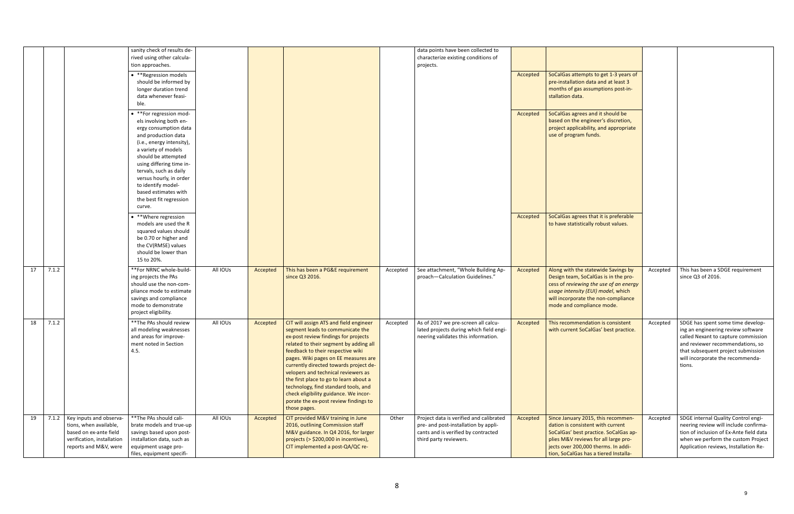|    |       |                                                                                                                                    | sanity check of results de-<br>rived using other calcula-                                                                                                                                                                                                                                                                              |          |          |                                                                                                                                                                                                                                                                                                                                                                                                                                                                                                                |          | data points have been collected to<br>characterize existing conditions of                                                                        |          |                                                                                                                                                                                                                                          |          |                                                                                                                                                                                                                                        |
|----|-------|------------------------------------------------------------------------------------------------------------------------------------|----------------------------------------------------------------------------------------------------------------------------------------------------------------------------------------------------------------------------------------------------------------------------------------------------------------------------------------|----------|----------|----------------------------------------------------------------------------------------------------------------------------------------------------------------------------------------------------------------------------------------------------------------------------------------------------------------------------------------------------------------------------------------------------------------------------------------------------------------------------------------------------------------|----------|--------------------------------------------------------------------------------------------------------------------------------------------------|----------|------------------------------------------------------------------------------------------------------------------------------------------------------------------------------------------------------------------------------------------|----------|----------------------------------------------------------------------------------------------------------------------------------------------------------------------------------------------------------------------------------------|
|    |       |                                                                                                                                    | tion approaches.                                                                                                                                                                                                                                                                                                                       |          |          |                                                                                                                                                                                                                                                                                                                                                                                                                                                                                                                |          | projects.                                                                                                                                        |          |                                                                                                                                                                                                                                          |          |                                                                                                                                                                                                                                        |
|    |       |                                                                                                                                    | • ** Regression models<br>should be informed by<br>longer duration trend<br>data whenever feasi-<br>ble.                                                                                                                                                                                                                               |          |          |                                                                                                                                                                                                                                                                                                                                                                                                                                                                                                                |          |                                                                                                                                                  | Accepted | SoCalGas attempts to get 1-3 years of<br>pre-installation data and at least 3<br>months of gas assumptions post-in-<br>stallation data.                                                                                                  |          |                                                                                                                                                                                                                                        |
|    |       |                                                                                                                                    | • **For regression mod-<br>els involving both en-<br>ergy consumption data<br>and production data<br>(i.e., energy intensity),<br>a variety of models<br>should be attempted<br>using differing time in-<br>tervals, such as daily<br>versus hourly, in order<br>to identify model-<br>based estimates with<br>the best fit regression |          |          |                                                                                                                                                                                                                                                                                                                                                                                                                                                                                                                |          |                                                                                                                                                  | Accepted | SoCalGas agrees and it should be<br>based on the engineer's discretion,<br>project applicability, and appropriate<br>use of program funds.                                                                                               |          |                                                                                                                                                                                                                                        |
|    |       |                                                                                                                                    | curve.<br>• **Where regression<br>models are used the R<br>squared values should<br>be 0.70 or higher and<br>the CV(RMSE) values<br>should be lower than<br>15 to 20%.                                                                                                                                                                 |          |          |                                                                                                                                                                                                                                                                                                                                                                                                                                                                                                                |          |                                                                                                                                                  | Accepted | SoCalGas agrees that it is preferable<br>to have statistically robust values.                                                                                                                                                            |          |                                                                                                                                                                                                                                        |
| 17 | 7.1.2 |                                                                                                                                    | **For NRNC whole-build-<br>ing projects the PAs<br>should use the non-com-<br>pliance mode to estimate<br>savings and compliance<br>mode to demonstrate<br>project eligibility.                                                                                                                                                        | All IOUs | Accepted | This has been a PG&E requirement<br>since Q3 2016.                                                                                                                                                                                                                                                                                                                                                                                                                                                             | Accepted | See attachment, "Whole Building Ap-<br>proach-Calculation Guidelines."                                                                           | Accepted | Along with the statewide Savings by<br>Design team, SoCalGas is in the pro-<br>cess of reviewing the use of an energy<br>usage intensity (EUI) model, which<br>will incorporate the non-compliance<br>mode and compliance mode.          | Accepted | This has been a SDGE requirement<br>since Q3 of 2016.                                                                                                                                                                                  |
| 18 | 7.1.2 |                                                                                                                                    | ** The PAs should review<br>all modeling weaknesses<br>and areas for improve-<br>ment noted in Section<br>4.5.                                                                                                                                                                                                                         | All IOUs | Accepted | CIT will assign ATS and field engineer<br>segment leads to communicate the<br>ex-post review findings for projects<br>related to their segment by adding all<br>feedback to their respective wiki<br>pages. Wiki pages on EE measures are<br>currently directed towards project de-<br>velopers and technical reviewers as<br>the first place to go to learn about a<br>technology, find standard tools, and<br>check eligibility guidance. We incor-<br>porate the ex-post review findings to<br>those pages. | Accepted | As of 2017 we pre-screen all calcu-<br>lated projects during which field engi-<br>neering validates this information.                            | Accepted | This recommendation is consistent<br>with current SoCalGas' best practice.                                                                                                                                                               | Accepted | SDGE has spent some time develop-<br>ing an engineering review software<br>called Nexant to capture commission<br>and reviewer recommendations, so<br>that subsequent project submission<br>will incorporate the recommenda-<br>tions. |
| 19 | 7.1.2 | Key inputs and observa-<br>tions, when available,<br>based on ex-ante field<br>verification, installation<br>reports and M&V, were | ** The PAs should cali-<br>brate models and true-up<br>savings based upon post-<br>installation data, such as<br>equipment usage pro-<br>files, equipment specifi-                                                                                                                                                                     | All IOUs | Accepted | CIT provided M&V training in June<br>2016, outlining Commission staff<br>M&V guidance. In Q4 2016, for larger<br>projects (> \$200,000 in incentives),<br>CIT implemented a post-QA/QC re-                                                                                                                                                                                                                                                                                                                     | Other    | Project data is verified and calibrated<br>pre- and post-installation by appli-<br>cants and is verified by contracted<br>third party reviewers. | Accepted | Since January 2015, this recommen-<br>dation is consistent with current<br>SoCalGas' best practice. SoCalGas ap-<br>plies M&V reviews for all large pro-<br>jects over 200,000 therms. In addi-<br>tion, SoCalGas has a tiered Installa- | Accepted | SDGE internal Quality Control engi-<br>neering review will include confirma-<br>tion of inclusion of Ex-Ante field data<br>when we perform the custom Project<br>Application reviews, Installation Re-                                 |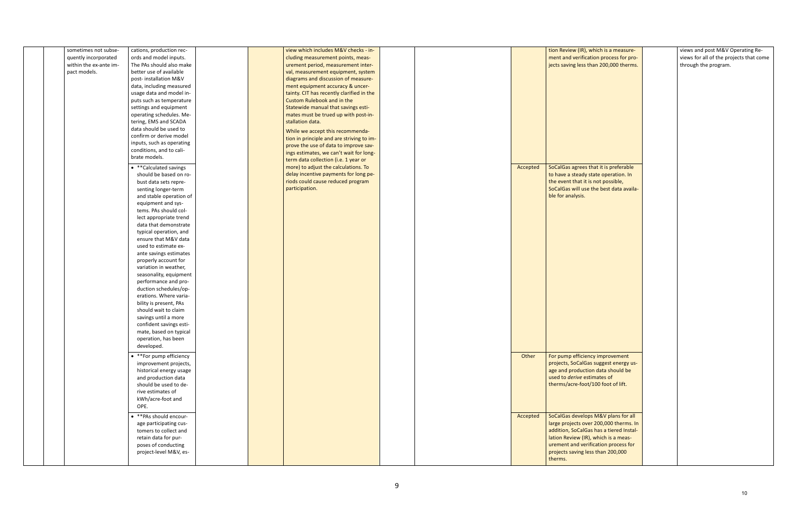| tion Review (IR), which is a measure-<br>ment and verification process for pro-<br>jects saving less than 200,000 therms.                                                                                                                               | views and post M&V Operating Re-<br>views for all of the projects that come<br>through the program. |
|---------------------------------------------------------------------------------------------------------------------------------------------------------------------------------------------------------------------------------------------------------|-----------------------------------------------------------------------------------------------------|
| SoCalGas agrees that it is preferable<br>to have a steady state operation. In<br>the event that it is not possible,<br>SoCalGas will use the best data availa-<br>ble for analysis.                                                                     |                                                                                                     |
|                                                                                                                                                                                                                                                         |                                                                                                     |
|                                                                                                                                                                                                                                                         |                                                                                                     |
| For pump efficiency improvement<br>projects, SoCalGas suggest energy us-<br>age and production data should be<br>used to <i>derive</i> estimates of<br>therms/acre-foot/100 foot of lift.                                                               |                                                                                                     |
| SoCalGas develops M&V plans for all<br>large projects over 200,000 therms. In<br>addition, SoCalGas has a tiered Instal-<br>lation Review (IR), which is a meas-<br>urement and verification process for<br>projects saving less than 200,000<br>tharme |                                                                                                     |

| sometimes not subse-   | cations, production rec-  |  | view which includes M&V checks - in-      |          | tion Review (IR), which is a measure-  |
|------------------------|---------------------------|--|-------------------------------------------|----------|----------------------------------------|
| quently incorporated   | ords and model inputs.    |  | cluding measurement points, meas-         |          | ment and verification process for pro  |
| within the ex-ante im- | The PAs should also make  |  | urement period, measurement inter-        |          | jects saving less than 200,000 therms  |
| pact models.           | better use of available   |  | val, measurement equipment, system        |          |                                        |
|                        | post-installation M&V     |  | diagrams and discussion of measure-       |          |                                        |
|                        | data, including measured  |  | ment equipment accuracy & uncer-          |          |                                        |
|                        | usage data and model in-  |  | tainty. CIT has recently clarified in the |          |                                        |
|                        | puts such as temperature  |  | Custom Rulebook and in the                |          |                                        |
|                        | settings and equipment    |  | Statewide manual that savings esti-       |          |                                        |
|                        | operating schedules. Me-  |  | mates must be trued up with post-in-      |          |                                        |
|                        | tering, EMS and SCADA     |  | stallation data.                          |          |                                        |
|                        | data should be used to    |  |                                           |          |                                        |
|                        | confirm or derive model   |  | While we accept this recommenda-          |          |                                        |
|                        | inputs, such as operating |  | tion in principle and are striving to im- |          |                                        |
|                        | conditions, and to cali-  |  | prove the use of data to improve sav-     |          |                                        |
|                        | brate models.             |  | ings estimates, we can't wait for long-   |          |                                        |
|                        |                           |  | term data collection (i.e. 1 year or      |          |                                        |
|                        | • ** Calculated savings   |  | more) to adjust the calculations. To      | Accepted | SoCalGas agrees that it is preferable  |
|                        | should be based on ro-    |  | delay incentive payments for long pe-     |          | to have a steady state operation. In   |
|                        | bust data sets repre-     |  | riods could cause reduced program         |          | the event that it is not possible,     |
|                        | senting longer-term       |  | participation.                            |          | SoCalGas will use the best data availa |
|                        | and stable operation of   |  |                                           |          | ble for analysis.                      |
|                        | equipment and sys-        |  |                                           |          |                                        |
|                        | tems. PAs should col-     |  |                                           |          |                                        |
|                        | lect appropriate trend    |  |                                           |          |                                        |
|                        | data that demonstrate     |  |                                           |          |                                        |
|                        | typical operation, and    |  |                                           |          |                                        |
|                        | ensure that M&V data      |  |                                           |          |                                        |
|                        | used to estimate ex-      |  |                                           |          |                                        |
|                        | ante savings estimates    |  |                                           |          |                                        |
|                        | properly account for      |  |                                           |          |                                        |
|                        | variation in weather,     |  |                                           |          |                                        |
|                        | seasonality, equipment    |  |                                           |          |                                        |
|                        | performance and pro-      |  |                                           |          |                                        |
|                        | duction schedules/op-     |  |                                           |          |                                        |
|                        | erations. Where varia-    |  |                                           |          |                                        |
|                        | bility is present, PAs    |  |                                           |          |                                        |
|                        | should wait to claim      |  |                                           |          |                                        |
|                        | savings until a more      |  |                                           |          |                                        |
|                        | confident savings esti-   |  |                                           |          |                                        |
|                        | mate, based on typical    |  |                                           |          |                                        |
|                        | operation, has been       |  |                                           |          |                                        |
|                        | developed.                |  |                                           |          |                                        |
|                        |                           |  |                                           |          |                                        |
|                        | • **For pump efficiency   |  |                                           | Other    | For pump efficiency improvement        |
|                        | improvement projects,     |  |                                           |          | projects, SoCalGas suggest energy us   |
|                        | historical energy usage   |  |                                           |          | age and production data should be      |
|                        | and production data       |  |                                           |          | used to derive estimates of            |
|                        | should be used to de-     |  |                                           |          | therms/acre-foot/100 foot of lift.     |
|                        | rive estimates of         |  |                                           |          |                                        |
|                        | kWh/acre-foot and         |  |                                           |          |                                        |
|                        | OPE.                      |  |                                           |          |                                        |
|                        |                           |  |                                           |          |                                        |
|                        | • ** PAs should encour-   |  |                                           | Accepted | SoCalGas develops M&V plans for all    |
|                        | age participating cus-    |  |                                           |          | large projects over 200,000 therms. I  |
|                        | tomers to collect and     |  |                                           |          | addition, SoCalGas has a tiered Instal |
|                        | retain data for pur-      |  |                                           |          | lation Review (IR), which is a meas-   |
|                        | poses of conducting       |  |                                           |          | urement and verification process for   |
|                        | project-level M&V, es-    |  |                                           |          | projects saving less than 200,000      |
|                        |                           |  |                                           |          | therms.                                |
|                        |                           |  |                                           |          |                                        |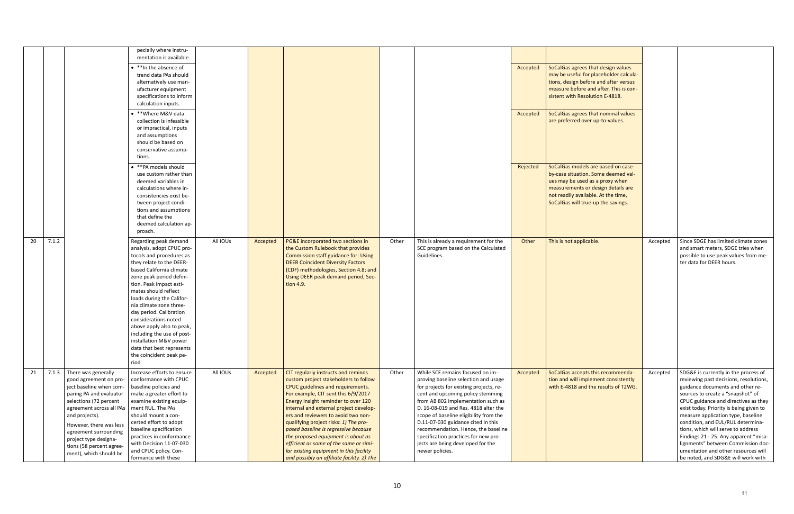|    |                                                    | pecially where instru-                               |          |          |                                                                                   |       |                                                      |          |                                        |          |                                                                           |
|----|----------------------------------------------------|------------------------------------------------------|----------|----------|-----------------------------------------------------------------------------------|-------|------------------------------------------------------|----------|----------------------------------------|----------|---------------------------------------------------------------------------|
|    |                                                    | mentation is available.                              |          |          |                                                                                   |       |                                                      |          |                                        |          |                                                                           |
|    |                                                    | • ** In the absence of                               |          |          |                                                                                   |       |                                                      | Accepted | SoCalGas agrees that design values     |          |                                                                           |
|    |                                                    | trend data PAs should                                |          |          |                                                                                   |       |                                                      |          | may be useful for placeholder calcula- |          |                                                                           |
|    |                                                    | alternatively use man-                               |          |          |                                                                                   |       |                                                      |          | tions, design before and after versus  |          |                                                                           |
|    |                                                    | ufacturer equipment                                  |          |          |                                                                                   |       |                                                      |          | measure before and after. This is con- |          |                                                                           |
|    |                                                    | specifications to inform                             |          |          |                                                                                   |       |                                                      |          | sistent with Resolution E-4818.        |          |                                                                           |
|    |                                                    | calculation inputs.                                  |          |          |                                                                                   |       |                                                      |          |                                        |          |                                                                           |
|    |                                                    | • ** Where M&V data                                  |          |          |                                                                                   |       |                                                      | Accepted | SoCalGas agrees that nominal values    |          |                                                                           |
|    |                                                    | collection is infeasible                             |          |          |                                                                                   |       |                                                      |          | are preferred over up-to-values.       |          |                                                                           |
|    |                                                    | or impractical, inputs                               |          |          |                                                                                   |       |                                                      |          |                                        |          |                                                                           |
|    |                                                    | and assumptions                                      |          |          |                                                                                   |       |                                                      |          |                                        |          |                                                                           |
|    |                                                    | should be based on                                   |          |          |                                                                                   |       |                                                      |          |                                        |          |                                                                           |
|    |                                                    | conservative assump-                                 |          |          |                                                                                   |       |                                                      |          |                                        |          |                                                                           |
|    |                                                    | tions.                                               |          |          |                                                                                   |       |                                                      |          |                                        |          |                                                                           |
|    |                                                    | • ** PA models should                                |          |          |                                                                                   |       |                                                      | Rejected | SoCalGas models are based on case-     |          |                                                                           |
|    |                                                    | use custom rather than                               |          |          |                                                                                   |       |                                                      |          | by-case situation. Some deemed val-    |          |                                                                           |
|    |                                                    | deemed variables in                                  |          |          |                                                                                   |       |                                                      |          | ues may be used as a proxy when        |          |                                                                           |
|    |                                                    | calculations where in-                               |          |          |                                                                                   |       |                                                      |          | measurements or design details are     |          |                                                                           |
|    |                                                    | consistencies exist be-                              |          |          |                                                                                   |       |                                                      |          | not readily available. At the time,    |          |                                                                           |
|    |                                                    | tween project condi-                                 |          |          |                                                                                   |       |                                                      |          | SoCalGas will true-up the savings.     |          |                                                                           |
|    |                                                    | tions and assumptions                                |          |          |                                                                                   |       |                                                      |          |                                        |          |                                                                           |
|    |                                                    | that define the                                      |          |          |                                                                                   |       |                                                      |          |                                        |          |                                                                           |
|    |                                                    | deemed calculation ap-                               |          |          |                                                                                   |       |                                                      |          |                                        |          |                                                                           |
|    |                                                    | proach.                                              |          |          |                                                                                   |       |                                                      |          |                                        |          |                                                                           |
| 20 | 7.1.2                                              | Regarding peak demand                                | All IOUs | Accepted | PG&E incorporated two sections in                                                 | Other | This is already a requirement for the                | Other    | This is not applicable.                | Accepted | Since SDGE has limited climate zones                                      |
|    |                                                    | analysis, adopt CPUC pro-                            |          |          | the Custom Rulebook that provides                                                 |       | SCE program based on the Calculated                  |          |                                        |          | and smart meters, SDGE tries when                                         |
|    |                                                    |                                                      |          |          |                                                                                   |       |                                                      |          |                                        |          |                                                                           |
|    |                                                    |                                                      |          |          |                                                                                   |       | Guidelines.                                          |          |                                        |          |                                                                           |
|    |                                                    | tocols and procedures as<br>they relate to the DEER- |          |          | Commission staff guidance for: Using                                              |       |                                                      |          |                                        |          | possible to use peak values from me-<br>ter data for DEER hours.          |
|    |                                                    | based California climate                             |          |          | <b>DEER Coincident Diversity Factors</b><br>(CDF) methodologies, Section 4.8; and |       |                                                      |          |                                        |          |                                                                           |
|    |                                                    | zone peak period defini-                             |          |          | Using DEER peak demand period, Sec-                                               |       |                                                      |          |                                        |          |                                                                           |
|    |                                                    | tion. Peak impact esti-                              |          |          | tion 4.9.                                                                         |       |                                                      |          |                                        |          |                                                                           |
|    |                                                    | mates should reflect                                 |          |          |                                                                                   |       |                                                      |          |                                        |          |                                                                           |
|    |                                                    | loads during the Califor-                            |          |          |                                                                                   |       |                                                      |          |                                        |          |                                                                           |
|    |                                                    | nia climate zone three-                              |          |          |                                                                                   |       |                                                      |          |                                        |          |                                                                           |
|    |                                                    | day period. Calibration                              |          |          |                                                                                   |       |                                                      |          |                                        |          |                                                                           |
|    |                                                    | considerations noted                                 |          |          |                                                                                   |       |                                                      |          |                                        |          |                                                                           |
|    |                                                    | above apply also to peak,                            |          |          |                                                                                   |       |                                                      |          |                                        |          |                                                                           |
|    |                                                    | including the use of post-                           |          |          |                                                                                   |       |                                                      |          |                                        |          |                                                                           |
|    |                                                    | installation M&V power                               |          |          |                                                                                   |       |                                                      |          |                                        |          |                                                                           |
|    |                                                    | data that best represents                            |          |          |                                                                                   |       |                                                      |          |                                        |          |                                                                           |
|    |                                                    | the coincident peak pe-                              |          |          |                                                                                   |       |                                                      |          |                                        |          |                                                                           |
|    |                                                    | riod.                                                |          |          |                                                                                   |       |                                                      |          |                                        |          |                                                                           |
| 21 | There was generally<br>7.1.3                       | Increase efforts to ensure                           | All IOUs | Accepted | CIT regularly instructs and reminds                                               | Other | While SCE remains focused on im-                     | Accepted | SoCalGas accepts this recommenda-      | Accepted | SDG&E is currently in the process of                                      |
|    | good agreement on pro-                             | conformance with CPUC                                |          |          | custom project stakeholders to follow                                             |       | proving baseline selection and usage                 |          | tion and will implement consistently   |          | reviewing past decisions, resolutions,                                    |
|    | ject baseline when com-                            | baseline policies and                                |          |          | CPUC guidelines and requirements.                                                 |       | for projects for existing projects, re-              |          | with E-4818 and the results of T2WG.   |          | guidance documents and other re-                                          |
|    | paring PA and evaluator                            | make a greater effort to                             |          |          | For example, CIT sent this 6/9/2017                                               |       | cent and upcoming policy stemming                    |          |                                        |          | sources to create a "snapshot" of                                         |
|    | selections (72 percent                             | examine existing equip-                              |          |          | Energy Insight reminder to over 120                                               |       | from AB 802 implementation such as                   |          |                                        |          | CPUC guidance and directives as they                                      |
|    | agreement across all PAs                           | ment RUL. The PAs                                    |          |          | internal and external project develop-                                            |       | D. 16-08-019 and Res. 4818 alter the                 |          |                                        |          | exist today. Priority is being given to                                   |
|    | and projects).                                     | should mount a con-                                  |          |          | ers and reviewers to avoid two non-                                               |       | scope of baseline eligibility from the               |          |                                        |          | measure application type, baseline                                        |
|    | However, there was less                            | certed effort to adopt                               |          |          | qualifying project risks: 1) The pro-                                             |       | D.11-07-030 guidance cited in this                   |          |                                        |          | condition, and EUL/RUL determina-                                         |
|    | agreement surrounding                              | baseline specification                               |          |          | posed baseline is regressive because                                              |       | recommendation. Hence, the baseline                  |          |                                        |          | tions, which will serve to address                                        |
|    | project type designa-                              | practices in conformance                             |          |          | the proposed equipment is about as                                                |       | specification practices for new pro-                 |          |                                        |          | Findings 21 - 25. Any apparent "misa-                                     |
|    | tions (58 percent agree-<br>ment), which should be | with Decision 11-07-030<br>and CPUC policy. Con-     |          |          | efficient as some of the same or simi-<br>lar existing equipment in this facility |       | jects are being developed for the<br>newer policies. |          |                                        |          | lignments" between Commission doc-<br>umentation and other resources will |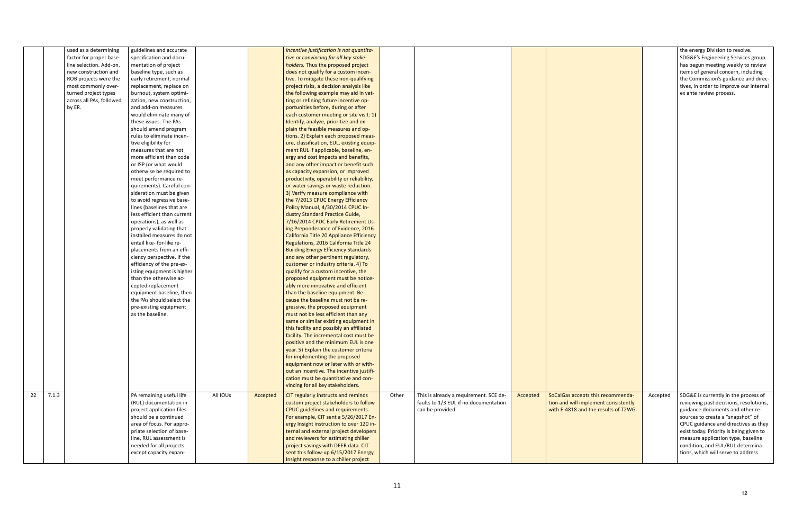|                                                                                                                   |          | the energy Division to resolve.<br>SDG&E's Engineering Services group<br>has begun meeting weekly to review<br>items of general concern, including<br>the Commission's guidance and direc-<br>tives, in order to improve our internal<br>ex ante review process. |
|-------------------------------------------------------------------------------------------------------------------|----------|------------------------------------------------------------------------------------------------------------------------------------------------------------------------------------------------------------------------------------------------------------------|
| SoCalGas accepts this recommenda-<br>tion and will implement consistently<br>with E-4818 and the results of T2WG. | Accepted | SDG&E is currently in the process of<br>reviewing past decisions, resolutions,<br>guidance documents and other re-<br>sources to create a "snapshot" of<br>CPUC guidance and directives as they<br>exist today. Priority is being given to                       |
|                                                                                                                   |          | measure application type, baseline<br>condition, and EUL/RUL determina-<br>tions, which will serve to address                                                                                                                                                    |

|             | used as a determining    | guidelines and accurate     |          |          | incentive justification is not quantita-    |       |                                        |          |                                      |
|-------------|--------------------------|-----------------------------|----------|----------|---------------------------------------------|-------|----------------------------------------|----------|--------------------------------------|
|             | factor for proper base-  | specification and docu-     |          |          | tive or convincing for all key stake-       |       |                                        |          |                                      |
|             | line selection. Add-on,  | mentation of project        |          |          | holders. Thus the proposed project          |       |                                        |          |                                      |
|             | new construction and     | baseline type, such as      |          |          | does not qualify for a custom incen-        |       |                                        |          |                                      |
|             | ROB projects were the    | early retirement, normal    |          |          | tive. To mitigate these non-qualifying      |       |                                        |          |                                      |
|             | most commonly over-      | replacement, replace on     |          |          | project risks, a decision analysis like     |       |                                        |          |                                      |
|             | turned project types     | burnout, system optimi-     |          |          | the following example may aid in vet-       |       |                                        |          |                                      |
|             | across all PAs, followed | zation, new construction,   |          |          | ting or refining future incentive op-       |       |                                        |          |                                      |
|             | by ER.                   | and add-on measures         |          |          | portunities before, during or after         |       |                                        |          |                                      |
|             |                          | would eliminate many of     |          |          | each customer meeting or site visit: 1)     |       |                                        |          |                                      |
|             |                          | these issues. The PAs       |          |          | Identify, analyze, prioritize and ex-       |       |                                        |          |                                      |
|             |                          | should amend program        |          |          | plain the feasible measures and op-         |       |                                        |          |                                      |
|             |                          | rules to eliminate incen-   |          |          | tions. 2) Explain each proposed meas-       |       |                                        |          |                                      |
|             |                          | tive eligibility for        |          |          | ure, classification, EUL, existing equip-   |       |                                        |          |                                      |
|             |                          | measures that are not       |          |          | ment RUL if applicable, baseline, en-       |       |                                        |          |                                      |
|             |                          | more efficient than code    |          |          | ergy and cost impacts and benefits,         |       |                                        |          |                                      |
|             |                          | or ISP (or what would       |          |          | and any other impact or benefit such        |       |                                        |          |                                      |
|             |                          | otherwise be required to    |          |          | as capacity expansion, or improved          |       |                                        |          |                                      |
|             |                          | meet performance re-        |          |          | productivity, operability or reliability,   |       |                                        |          |                                      |
|             |                          | quirements). Careful con-   |          |          | or water savings or waste reduction.        |       |                                        |          |                                      |
|             |                          | sideration must be given    |          |          | 3) Verify measure compliance with           |       |                                        |          |                                      |
|             |                          | to avoid regressive base-   |          |          | the 7/2013 CPUC Energy Efficiency           |       |                                        |          |                                      |
|             |                          | lines (baselines that are   |          |          | Policy Manual, 4/30/2014 CPUC In-           |       |                                        |          |                                      |
|             |                          | less efficient than current |          |          | dustry Standard Practice Guide,             |       |                                        |          |                                      |
|             |                          | operations), as well as     |          |          | 7/16/2014 CPUC Early Retirement Us-         |       |                                        |          |                                      |
|             |                          | properly validating that    |          |          | ing Preponderance of Evidence, 2016         |       |                                        |          |                                      |
|             |                          | installed measures do not   |          |          | California Title 20 Appliance Efficiency    |       |                                        |          |                                      |
|             |                          | entail like- for-like re-   |          |          | Regulations, 2016 California Title 24       |       |                                        |          |                                      |
|             |                          | placements from an effi-    |          |          | <b>Building Energy Efficiency Standards</b> |       |                                        |          |                                      |
|             |                          | ciency perspective. If the  |          |          | and any other pertinent regulatory,         |       |                                        |          |                                      |
|             |                          | efficiency of the pre-ex-   |          |          | customer or industry criteria. 4) To        |       |                                        |          |                                      |
|             |                          | isting equipment is higher  |          |          | qualify for a custom incentive, the         |       |                                        |          |                                      |
|             |                          | than the otherwise ac-      |          |          | proposed equipment must be notice-          |       |                                        |          |                                      |
|             |                          | cepted replacement          |          |          | ably more innovative and efficient          |       |                                        |          |                                      |
|             |                          | equipment baseline, then    |          |          | than the baseline equipment. Be-            |       |                                        |          |                                      |
|             |                          | the PAs should select the   |          |          | cause the baseline must not be re-          |       |                                        |          |                                      |
|             |                          | pre-existing equipment      |          |          | gressive, the proposed equipment            |       |                                        |          |                                      |
|             |                          | as the baseline.            |          |          | must not be less efficient than any         |       |                                        |          |                                      |
|             |                          |                             |          |          | same or similar existing equipment in       |       |                                        |          |                                      |
|             |                          |                             |          |          | this facility and possibly an affiliated    |       |                                        |          |                                      |
|             |                          |                             |          |          | facility. The incremental cost must be      |       |                                        |          |                                      |
|             |                          |                             |          |          | positive and the minimum EUL is one         |       |                                        |          |                                      |
|             |                          |                             |          |          | year. 5) Explain the customer criteria      |       |                                        |          |                                      |
|             |                          |                             |          |          | for implementing the proposed               |       |                                        |          |                                      |
|             |                          |                             |          |          | equipment now or later with or with-        |       |                                        |          |                                      |
|             |                          |                             |          |          | out an incentive. The incentive justifi-    |       |                                        |          |                                      |
|             |                          |                             |          |          | cation must be quantitative and con-        |       |                                        |          |                                      |
|             |                          |                             |          |          | vincing for all key stakeholders.           |       |                                        |          |                                      |
| 22<br>7.1.3 |                          | PA remaining useful life    | All IOUs | Accepted | CIT regularly instructs and reminds         | Other | This is already a requirement. SCE de- | Accepted | SoCalGas accepts this recommenda-    |
|             |                          | (RUL) documentation in      |          |          | custom project stakeholders to follow       |       | faults to 1/3 EUL if no documentation  |          | tion and will implement consistently |
|             |                          | project application files   |          |          | CPUC guidelines and requirements.           |       | can be provided.                       |          | with E-4818 and the results of T2WO  |
|             |                          | should be a continued       |          |          | For example, CIT sent a 5/26/2017 En-       |       |                                        |          |                                      |
|             |                          | area of focus. For appro-   |          |          | ergy Insight instruction to over 120 in-    |       |                                        |          |                                      |
|             |                          | priate selection of base-   |          |          | ternal and external project developers      |       |                                        |          |                                      |
|             |                          | line, RUL assessment is     |          |          | and reviewers for estimating chiller        |       |                                        |          |                                      |
|             |                          | needed for all projects     |          |          | project savings with DEER data. CIT         |       |                                        |          |                                      |
|             |                          | except capacity expan-      |          |          | sent this follow-up 6/15/2017 Energy        |       |                                        |          |                                      |
|             |                          |                             |          |          | Insight response to a chiller project       |       |                                        |          |                                      |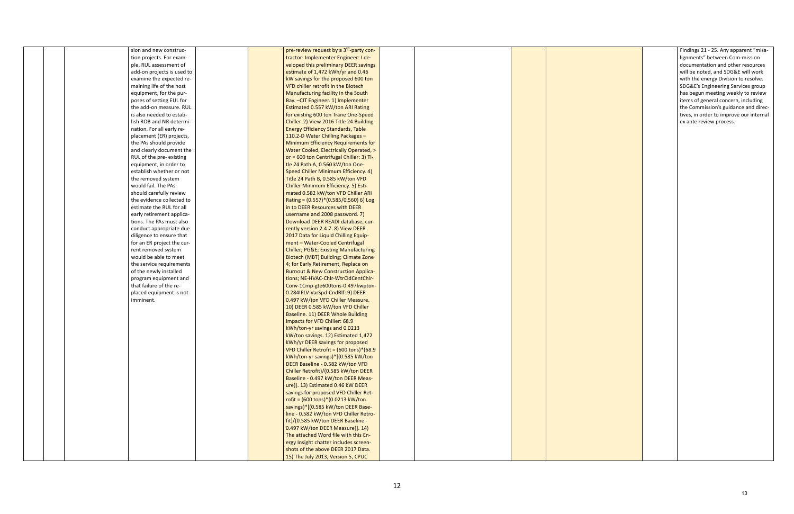| sion and new construc-     | pre-review request by a 3 <sup>rd</sup> -party con-  |  |  |
|----------------------------|------------------------------------------------------|--|--|
| tion projects. For exam-   | tractor: Implementer Engineer: I de-                 |  |  |
| ple, RUL assessment of     | veloped this preliminary DEER savings                |  |  |
| add-on projects is used to | estimate of 1,472 kWh/yr and 0.46                    |  |  |
| examine the expected re-   | kW savings for the proposed 600 ton                  |  |  |
| maining life of the host   | VFD chiller retrofit in the Biotech                  |  |  |
| equipment, for the pur-    | Manufacturing facility in the South                  |  |  |
| poses of setting EUL for   | Bay. - CIT Engineer. 1) Implementer                  |  |  |
| the add-on measure. RUL    | Estimated 0.557 kW/ton ARI Rating                    |  |  |
| is also needed to estab-   | for existing 600 ton Trane One-Speed                 |  |  |
| lish ROB and NR determi-   | Chiller. 2) View 2016 Title 24 Building              |  |  |
| nation. For all early re-  | <b>Energy Efficiency Standards, Table</b>            |  |  |
| placement (ER) projects,   | 110.2-D Water Chilling Packages -                    |  |  |
| the PAs should provide     | <b>Minimum Efficiency Requirements for</b>           |  |  |
| and clearly document the   | Water Cooled, Electrically Operated, >               |  |  |
| RUL of the pre- existing   | or = 600 ton Centrifugal Chiller: 3) Ti-             |  |  |
| equipment, in order to     | tle 24 Path A, 0.560 kW/ton One-                     |  |  |
| establish whether or not   | Speed Chiller Minimum Efficiency. 4)                 |  |  |
| the removed system         | Title 24 Path B, 0.585 kW/ton VFD                    |  |  |
| would fail. The PAs        | Chiller Minimum Efficiency. 5) Esti-                 |  |  |
| should carefully review    | mated 0.582 kW/ton VFD Chiller ARI                   |  |  |
| the evidence collected to  | Rating = (0.557)*(0.585/0.560) 6) Log                |  |  |
| estimate the RUL for all   | in to DEER Resources with DEER                       |  |  |
| early retirement applica-  | username and 2008 password. 7)                       |  |  |
| tions. The PAs must also   | Download DEER READI database, cur-                   |  |  |
| conduct appropriate due    | rently version 2.4.7. 8) View DEER                   |  |  |
| diligence to ensure that   | 2017 Data for Liquid Chilling Equip-                 |  |  |
| for an ER project the cur- | ment - Water-Cooled Centrifugal                      |  |  |
| rent removed system        | <b>Chiller; PG&amp;E Existing Manufacturing</b>      |  |  |
| would be able to meet      | Biotech (MBT) Building; Climate Zone                 |  |  |
| the service requirements   | 4; for Early Retirement, Replace on                  |  |  |
| of the newly installed     | <b>Burnout &amp; New Construction Applica-</b>       |  |  |
| program equipment and      | tions; NE-HVAC-Chlr-WtrCldCentChlr-                  |  |  |
| that failure of the re-    | Conv-1Cmp-gte600tons-0.497kwpton-                    |  |  |
| placed equipment is not    | 0.284IPLV-VarSpd-CndRlf: 9) DEER                     |  |  |
| imminent.                  | 0.497 kW/ton VFD Chiller Measure.                    |  |  |
|                            | 10) DEER 0.585 kW/ton VFD Chiller                    |  |  |
|                            | Baseline. 11) DEER Whole Building                    |  |  |
|                            | Impacts for VFD Chiller: 68.9                        |  |  |
|                            | kWh/ton-yr savings and 0.0213                        |  |  |
|                            | kW/ton savings. 12) Estimated 1,472                  |  |  |
|                            | kWh/yr DEER savings for proposed                     |  |  |
|                            | VFD Chiller Retrofit = (600 tons)*(68.9              |  |  |
|                            | kWh/ton-yr savings)*[(0.585 kW/ton                   |  |  |
|                            | DEER Baseline - 0.582 kW/ton VFD                     |  |  |
|                            | Chiller Retrofit)/(0.585 kW/ton DEER                 |  |  |
|                            | Baseline - 0.497 kW/ton DEER Meas-                   |  |  |
|                            | ure)]. 13) Estimated 0.46 kW DEER                    |  |  |
|                            | savings for proposed VFD Chiller Ret-                |  |  |
|                            | rofit = $(600 \text{ tons})*(0.0213 \text{ kW/ton})$ |  |  |
|                            | savings)*[(0.585 kW/ton DEER Base-                   |  |  |
|                            | line - 0.582 kW/ton VFD Chiller Retro-               |  |  |
|                            | fit)/(0.585 kW/ton DEER Baseline -                   |  |  |
|                            | 0.497 kW/ton DEER Measure)]. 14)                     |  |  |
|                            | The attached Word file with this En-                 |  |  |
|                            | ergy Insight chatter includes screen-                |  |  |
|                            | shots of the above DEER 2017 Data.                   |  |  |
|                            |                                                      |  |  |
|                            | 15) The July 2013, Version 5, CPUC                   |  |  |

|  | Findings 21 - 25. Any apparent "misa-<br>lignments" between Com-mission<br>documentation and other resources<br>will be noted, and SDG&E will work<br>with the energy Division to resolve.<br>SDG&E's Engineering Services group<br>has begun meeting weekly to review<br>items of general concern, including<br>the Commission's guidance and direc-<br>tives, in order to improve our internal<br>ex ante review process. |
|--|-----------------------------------------------------------------------------------------------------------------------------------------------------------------------------------------------------------------------------------------------------------------------------------------------------------------------------------------------------------------------------------------------------------------------------|
|  |                                                                                                                                                                                                                                                                                                                                                                                                                             |
|  |                                                                                                                                                                                                                                                                                                                                                                                                                             |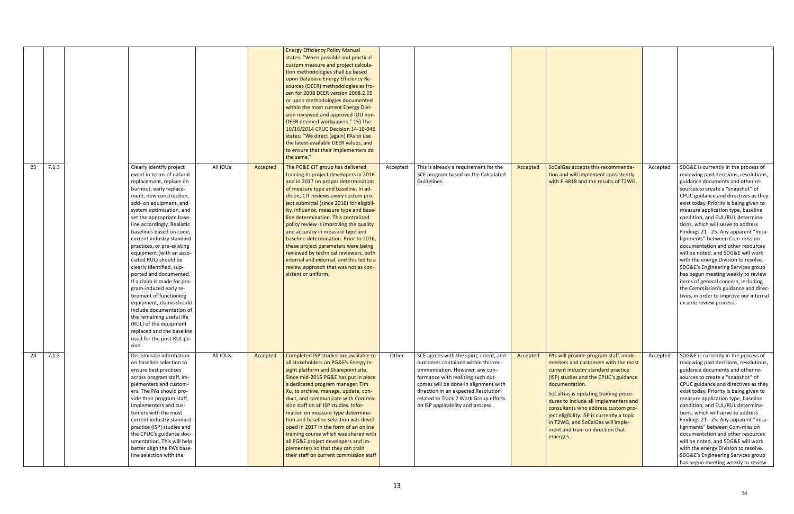|             |                                                                                                                                                                                                                                                                                                                                                                                                                                                                                                                                                                                                                                                                                                                                  |          |          | <b>Energy Efficiency Policy Manual</b><br>states: "When possible and practical<br>custom measure and project calcula-<br>tion methodologies shall be based<br>upon Database Energy Efficiency Re-<br>sources (DEER) methodologies as fro-<br>zen for 2008 DEER version 2008.2.05<br>or upon methodologies documented<br>within the most current Energy Divi-<br>sion reviewed and approved IOU non-<br>DEER deemed workpapers." 15) The<br>10/16/2014 CPUC Decision 14-10-046<br>states: "We direct (again) PAs to use<br>the latest-available DEER values, and<br>to ensure that their implementers do<br>the same."                                |          |                                                                                                                                                                                                                                                                                                                    |          |                                                                                                                                                                                                                                                                                                                                                                                                                                           |          |                                                                                                                                                                                                                                                                                                                                                                                                                                                                                                                                                                                                                                                                                                                                                                                            |
|-------------|----------------------------------------------------------------------------------------------------------------------------------------------------------------------------------------------------------------------------------------------------------------------------------------------------------------------------------------------------------------------------------------------------------------------------------------------------------------------------------------------------------------------------------------------------------------------------------------------------------------------------------------------------------------------------------------------------------------------------------|----------|----------|------------------------------------------------------------------------------------------------------------------------------------------------------------------------------------------------------------------------------------------------------------------------------------------------------------------------------------------------------------------------------------------------------------------------------------------------------------------------------------------------------------------------------------------------------------------------------------------------------------------------------------------------------|----------|--------------------------------------------------------------------------------------------------------------------------------------------------------------------------------------------------------------------------------------------------------------------------------------------------------------------|----------|-------------------------------------------------------------------------------------------------------------------------------------------------------------------------------------------------------------------------------------------------------------------------------------------------------------------------------------------------------------------------------------------------------------------------------------------|----------|--------------------------------------------------------------------------------------------------------------------------------------------------------------------------------------------------------------------------------------------------------------------------------------------------------------------------------------------------------------------------------------------------------------------------------------------------------------------------------------------------------------------------------------------------------------------------------------------------------------------------------------------------------------------------------------------------------------------------------------------------------------------------------------------|
| 7.1.3<br>23 | Clearly identify project<br>event in terms of natural<br>replacement, replace on<br>burnout, early replace-<br>ment, new construction,<br>add- on equipment, and<br>system optimization, and<br>set the appropriate base-<br>line accordingly. Realistic<br>baselines based on code,<br>current industry standard<br>practices, or pre-existing<br>equipment (with an asso-<br>ciated RUL) should be<br>clearly identified, sup-<br>ported and documented.<br>If a claim is made for pro-<br>gram-induced early re-<br>tirement of functioning<br>equipment, claims should<br>include documentation of<br>the remaining useful life<br>(RUL) of the equipment<br>replaced and the baseline<br>used for the post-RUL pe-<br>riod. | All IOUs | Accepted | The PG&E CIT group has delivered<br>training to project developers in 2016<br>and in 2017 on proper determination<br>of measure type and baseline. In ad-<br>dition, CIT reviews every custom pro-<br>ject submittal (since 2016) for eligibil-<br>ity, influence, measure type and base-<br>line determination. This centralized<br>policy review is improving the quality<br>and accuracy in measure type and<br>baseline determination. Prior to 2016,<br>these project parameters were being<br>reviewed by technical reviewers, both<br>internal and external, and this led to a<br>review approach that was not as con-<br>sistent or uniform. | Accepted | This is already a requirement for the<br>SCE program based on the Calculated<br>Guidelines.                                                                                                                                                                                                                        | Accepted | SoCalGas accepts this recommenda-<br>tion and will implement consistently<br>with E-4818 and the results of T2WG.                                                                                                                                                                                                                                                                                                                         | Accepted | SDG&E is currently in the process of<br>reviewing past decisions, resolutions,<br>guidance documents and other re-<br>sources to create a "snapshot" of<br>CPUC guidance and directives as they<br>exist today. Priority is being given to<br>measure application type, baseline<br>condition, and EUL/RUL determina-<br>tions, which will serve to address<br>Findings 21 - 25. Any apparent "misa-<br>lignments" between Com-mission<br>documentation and other resources<br>will be noted, and SDG&E will work<br>with the energy Division to resolve.<br>SDG&E's Engineering Services group<br>has begun meeting weekly to review<br>items of general concern, including<br>the Commission's guidance and direc-<br>tives, in order to improve our internal<br>ex ante review process. |
| 7.1.3<br>24 | Disseminate information<br>on baseline selection to<br>ensure best practices<br>across program staff, im-<br>plementers and custom-<br>ers. The PAs should pro-<br>vide their program staff,<br>implementers and cus-<br>tomers with the most<br>current industry standard<br>practice (ISP) studies and<br>the CPUC's guidance doc-<br>umentation. This will help<br>better align the PA's base-<br>line selection with the                                                                                                                                                                                                                                                                                                     | All IOUs | Accepted | Completed ISP studies are available to<br>all stakeholders on PG&E's Energy In-<br>sight platform and Sharepoint site.<br>Since mid-2015 PG&E has put in place<br>a dedicated program manager, Tim<br>Xu, to archive, manage, update, con-<br>duct, and communicate with Commis-<br>sion staff on all ISP studies. Infor-<br>mation on measure type determina-<br>tion and baseline selection was devel-<br>oped in 2017 in the form of an online<br>training course which was shared with<br>all PG&E project developers and im-<br>plementers so that they can train<br>their staff on current commission staff                                    | Other    | SCE agrees with the spirit, intent, and<br>outcomes contained within this rec-<br>ommendation. However, any con-<br>formance with realizing such out-<br>comes will be done in alignment with<br>direction in an expected Resolution<br>related to Track 2 Work Group efforts<br>on ISP applicability and process. | Accepted | PAs will provide program staff, imple-<br>menters and customers with the most<br>current industry standard practice<br>(ISP) studies and the CPUC's guidance<br>documentation.<br>SoCalGas is updating training proce-<br>dures to include all implementers and<br>consultants who address custom pro-<br>ject eligibility. ISP is currently a topic<br>in T2WG, and SoCalGas will imple-<br>ment and train on direction that<br>emerges. | Accepted | SDG&E is currently in the process of<br>reviewing past decisions, resolutions,<br>guidance documents and other re-<br>sources to create a "snapshot" of<br>CPUC guidance and directives as they<br>exist today. Priority is being given to<br>measure application type, baseline<br>condition, and EUL/RUL determina-<br>tions, which will serve to address<br>Findings 21 - 25. Any apparent "misa-<br>lignments" between Com-mission<br>documentation and other resources<br>will be noted, and SDG&E will work<br>with the energy Division to resolve.<br>SDG&E's Engineering Services group<br>has begun meeting weekly to review                                                                                                                                                      |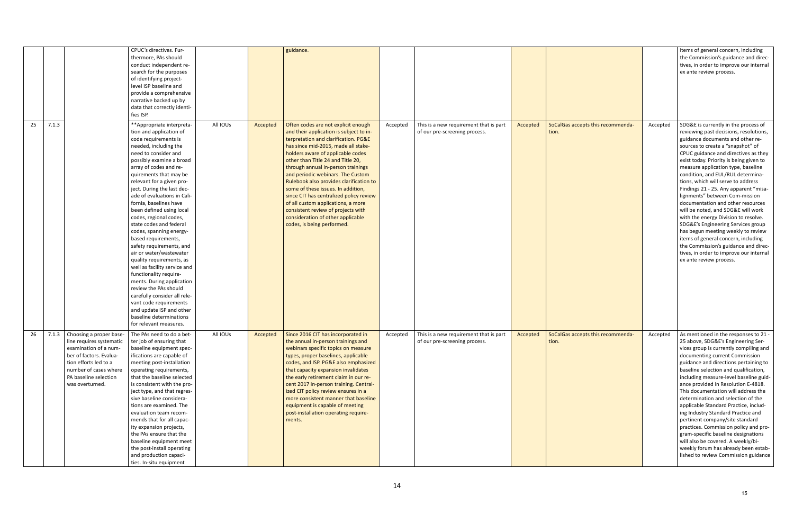|             |                                                                                                                                                                                                                | CPUC's directives. Fur-<br>thermore, PAs should<br>conduct independent re-<br>search for the purposes<br>of identifying project-<br>level ISP baseline and<br>provide a comprehensive<br>narrative backed up by<br>data that correctly identi-<br>fies ISP.                                                                                                                                                                                                                                                                                                                                                                                                                                                                                                                                                        |          |          | guidance.                                                                                                                                                                                                                                                                                                                                                                                                                                                                                                                                                                                     |          |                                                                                                                                                    |          |                                            |          | items of general concern, including<br>the Commission's guidance and direc-<br>tives, in order to improve our internal<br>ex ante review process.                                                                                                                                                                                                                                                                                                                                                                                                                                                                                                                                                                                                                                          |
|-------------|----------------------------------------------------------------------------------------------------------------------------------------------------------------------------------------------------------------|--------------------------------------------------------------------------------------------------------------------------------------------------------------------------------------------------------------------------------------------------------------------------------------------------------------------------------------------------------------------------------------------------------------------------------------------------------------------------------------------------------------------------------------------------------------------------------------------------------------------------------------------------------------------------------------------------------------------------------------------------------------------------------------------------------------------|----------|----------|-----------------------------------------------------------------------------------------------------------------------------------------------------------------------------------------------------------------------------------------------------------------------------------------------------------------------------------------------------------------------------------------------------------------------------------------------------------------------------------------------------------------------------------------------------------------------------------------------|----------|----------------------------------------------------------------------------------------------------------------------------------------------------|----------|--------------------------------------------|----------|--------------------------------------------------------------------------------------------------------------------------------------------------------------------------------------------------------------------------------------------------------------------------------------------------------------------------------------------------------------------------------------------------------------------------------------------------------------------------------------------------------------------------------------------------------------------------------------------------------------------------------------------------------------------------------------------------------------------------------------------------------------------------------------------|
| 25<br>7.1.3 |                                                                                                                                                                                                                | **Appropriate interpreta-<br>tion and application of<br>code requirements is<br>needed, including the<br>need to consider and<br>possibly examine a broad<br>array of codes and re-<br>quirements that may be<br>relevant for a given pro-<br>ject. During the last dec-<br>ade of evaluations in Cali-<br>fornia, baselines have<br>been defined using local<br>codes, regional codes,<br>state codes and federal<br>codes, spanning energy-<br>based requirements,<br>safety requirements, and<br>air or water/wastewater<br>quality requirements, as<br>well as facility service and<br>functionality require-<br>ments. During application<br>review the PAs should<br>carefully consider all rele-<br>vant code requirements<br>and update ISP and other<br>baseline determinations<br>for relevant measures. | All IOUs | Accepted | Often codes are not explicit enough<br>and their application is subject to in-<br>terpretation and clarification. PG&E<br>has since mid-2015, made all stake-<br>holders aware of applicable codes<br>other than Title 24 and Title 20,<br>through annual in-person trainings<br>and periodic webinars. The Custom<br>Rulebook also provides clarification to<br>some of these issues. In addition,<br>since CIT has centralized policy review<br>of all custom applications, a more<br>consistent review of projects with<br>consideration of other applicable<br>codes, is being performed. | Accepted | This is a new requirement that is part<br>of our pre-screening process.                                                                            | Accepted | SoCalGas accepts this recommenda-<br>tion. | Accepted | SDG&E is currently in the process of<br>reviewing past decisions, resolutions,<br>guidance documents and other re-<br>sources to create a "snapshot" of<br>CPUC guidance and directives as they<br>exist today. Priority is being given to<br>measure application type, baseline<br>condition, and EUL/RUL determina-<br>tions, which will serve to address<br>Findings 21 - 25. Any apparent "misa-<br>lignments" between Com-mission<br>documentation and other resources<br>will be noted, and SDG&E will work<br>with the energy Division to resolve.<br>SDG&E's Engineering Services group<br>has begun meeting weekly to review<br>items of general concern, including<br>the Commission's guidance and direc-<br>tives, in order to improve our internal<br>ex ante review process. |
|             | 26 7.1.3 Choosing a proper base-<br>line requires systematic<br>examination of a num-<br>ber of factors. Evalua-<br>tion efforts led to a<br>number of cases where<br>PA baseline selection<br>was overturned. | The PAs need to do a bet-<br>ter job of ensuring that<br>baseline equipment spec-<br>ifications are capable of<br>meeting post-installation<br>operating requirements,<br>that the baseline selected<br>is consistent with the pro-<br>ject type, and that regres-<br>sive baseline considera-<br>tions are examined. The<br>evaluation team recom-<br>mends that for all capac-<br>ity expansion projects,<br>the PAs ensure that the<br>baseline equipment meet<br>the post-install operating<br>and production capaci-<br>ties. In-situ equipment                                                                                                                                                                                                                                                               | All IOUs |          | Accepted   Since 2016 CIT has incorporated in<br>the annual in-person trainings and<br>webinars specific topics on measure<br>types, proper baselines, applicable<br>codes, and ISP. PG&E also emphasized<br>that capacity expansion invalidates<br>the early retirement claim in our re-<br>cent 2017 in-person training. Central-<br>ized CIT policy review ensures in a<br>more consistent manner that baseline<br>equipment is capable of meeting<br>post-installation operating require-<br>ments.                                                                                       |          | Accepted   This is a new requirement that is part   $\left  \right $ Accepted   SoCalGas accepts this recommenda-<br>of our pre-screening process. |          | tion.                                      |          | Accepted $\vert$ As mentioned in the responses to 21 -<br>25 above, SDG&E's Engineering Ser-<br>vices group is currently compiling and<br>documenting current Commission<br>guidance and directions pertaining to<br>baseline selection and qualification,<br>including measure-level baseline guid-<br>ance provided in Resolution E-4818.<br>This documentation will address the<br>determination and selection of the<br>applicable Standard Practice, includ-<br>ing Industry Standard Practice and<br>pertinent company/site standard<br>practices. Commission policy and pro-<br>gram-specific baseline designations<br>will also be covered. A weekly/bi-<br>weekly forum has already been estab-<br>lished to review Commission guidance                                           |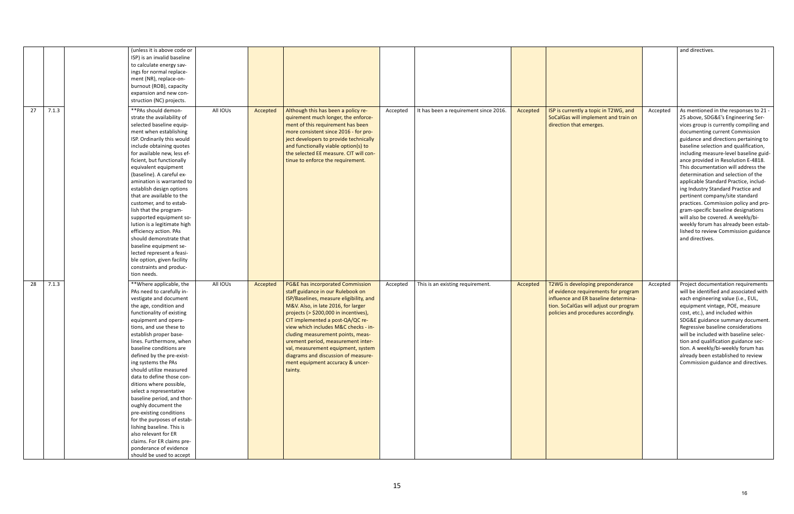|             | (unless it is above code or                          |          |          |                                                                                |          |                                       |          |                                                                              |          | and directives.                                                     |
|-------------|------------------------------------------------------|----------|----------|--------------------------------------------------------------------------------|----------|---------------------------------------|----------|------------------------------------------------------------------------------|----------|---------------------------------------------------------------------|
|             | ISP) is an invalid baseline                          |          |          |                                                                                |          |                                       |          |                                                                              |          |                                                                     |
|             | to calculate energy sav-                             |          |          |                                                                                |          |                                       |          |                                                                              |          |                                                                     |
|             | ings for normal replace-                             |          |          |                                                                                |          |                                       |          |                                                                              |          |                                                                     |
|             | ment (NR), replace-on-                               |          |          |                                                                                |          |                                       |          |                                                                              |          |                                                                     |
|             | burnout (ROB), capacity                              |          |          |                                                                                |          |                                       |          |                                                                              |          |                                                                     |
|             | expansion and new con-                               |          |          |                                                                                |          |                                       |          |                                                                              |          |                                                                     |
|             | struction (NC) projects.                             |          |          |                                                                                |          |                                       |          |                                                                              |          |                                                                     |
| 7.1.3<br>27 | **PAs should demon-                                  | All IOUs | Accepted | Although this has been a policy re-                                            | Accepted | It has been a requirement since 2016. | Accepted | ISP is currently a topic in T2WG, and                                        | Accepted | As mentioned in the responses to 21 -                               |
|             | strate the availability of                           |          |          | quirement much longer, the enforce-                                            |          |                                       |          | SoCalGas will implement and train on                                         |          | 25 above, SDG&E's Engineering Ser-                                  |
|             | selected baseline equip-                             |          |          | ment of this requirement has been                                              |          |                                       |          | direction that emerges.                                                      |          | vices group is currently compiling and                              |
|             | ment when establishing                               |          |          | more consistent since 2016 - for pro-                                          |          |                                       |          |                                                                              |          | documenting current Commission                                      |
|             | ISP. Ordinarily this would                           |          |          | ject developers to provide technically                                         |          |                                       |          |                                                                              |          | guidance and directions pertaining to                               |
|             | include obtaining quotes                             |          |          | and functionally viable option(s) to                                           |          |                                       |          |                                                                              |          | baseline selection and qualification,                               |
|             | for available new, less ef-                          |          |          | the selected EE measure. CIT will con-                                         |          |                                       |          |                                                                              |          | including measure-level baseline guid-                              |
|             | ficient, but functionally                            |          |          | tinue to enforce the requirement.                                              |          |                                       |          |                                                                              |          | ance provided in Resolution E-4818.                                 |
|             | equivalent equipment                                 |          |          |                                                                                |          |                                       |          |                                                                              |          | This documentation will address the                                 |
|             | (baseline). A careful ex-                            |          |          |                                                                                |          |                                       |          |                                                                              |          | determination and selection of the                                  |
|             | amination is warranted to                            |          |          |                                                                                |          |                                       |          |                                                                              |          | applicable Standard Practice, includ-                               |
|             | establish design options                             |          |          |                                                                                |          |                                       |          |                                                                              |          | ing Industry Standard Practice and                                  |
|             | that are available to the                            |          |          |                                                                                |          |                                       |          |                                                                              |          | pertinent company/site standard                                     |
|             | customer, and to estab-                              |          |          |                                                                                |          |                                       |          |                                                                              |          | practices. Commission policy and pro-                               |
|             | lish that the program-                               |          |          |                                                                                |          |                                       |          |                                                                              |          | gram-specific baseline designations                                 |
|             | supported equipment so-                              |          |          |                                                                                |          |                                       |          |                                                                              |          | will also be covered. A weekly/bi-                                  |
|             | lution is a legitimate high                          |          |          |                                                                                |          |                                       |          |                                                                              |          | weekly forum has already been estab-                                |
|             | efficiency action. PAs                               |          |          |                                                                                |          |                                       |          |                                                                              |          | lished to review Commission guidance                                |
|             | should demonstrate that                              |          |          |                                                                                |          |                                       |          |                                                                              |          | and directives.                                                     |
|             | baseline equipment se-                               |          |          |                                                                                |          |                                       |          |                                                                              |          |                                                                     |
|             | lected represent a feasi-                            |          |          |                                                                                |          |                                       |          |                                                                              |          |                                                                     |
|             | ble option, given facility                           |          |          |                                                                                |          |                                       |          |                                                                              |          |                                                                     |
|             | constraints and produc-<br>tion needs.               |          |          |                                                                                |          |                                       |          |                                                                              |          |                                                                     |
|             |                                                      |          |          |                                                                                |          |                                       |          |                                                                              |          |                                                                     |
| 7.1.3<br>28 | ** Where applicable, the                             | All IOUs | Accepted | PG&E has incorporated Commission                                               | Accepted | This is an existing requirement.      | Accepted | T2WG is developing preponderance                                             | Accepted | Project documentation requirements                                  |
|             | PAs need to carefully in-                            |          |          | staff guidance in our Rulebook on                                              |          |                                       |          | of evidence requirements for program<br>influence and ER baseline determina- |          | will be identified and associated with                              |
|             | vestigate and document<br>the age, condition and     |          |          | ISP/Baselines, measure eligibility, and<br>M&V. Also, in late 2016, for larger |          |                                       |          | tion. SoCalGas will adjust our program                                       |          | each engineering value (i.e., EUL,                                  |
|             | functionality of existing                            |          |          |                                                                                |          |                                       |          |                                                                              |          | equipment vintage, POE, measure<br>cost, etc.), and included within |
|             | equipment and opera-                                 |          |          | projects (> \$200,000 in incentives),<br>CIT implemented a post-QA/QC re-      |          |                                       |          | policies and procedures accordingly.                                         |          | SDG&E guidance summary document.                                    |
|             | tions, and use these to                              |          |          | view which includes M&C checks - in-                                           |          |                                       |          |                                                                              |          | Regressive baseline considerations                                  |
|             | establish proper base-                               |          |          | cluding measurement points, meas-                                              |          |                                       |          |                                                                              |          | will be included with baseline selec-                               |
|             | lines. Furthermore, when                             |          |          | urement period, measurement inter-                                             |          |                                       |          |                                                                              |          | tion and qualification guidance sec-                                |
|             | baseline conditions are                              |          |          | val, measurement equipment, system                                             |          |                                       |          |                                                                              |          | tion. A weekly/bi-weekly forum has                                  |
|             | defined by the pre-exist-                            |          |          | diagrams and discussion of measure-                                            |          |                                       |          |                                                                              |          | already been established to review                                  |
|             | ing systems the PAs                                  |          |          | ment equipment accuracy & uncer-                                               |          |                                       |          |                                                                              |          | Commission guidance and directives.                                 |
|             | should utilize measured                              |          |          | tainty.                                                                        |          |                                       |          |                                                                              |          |                                                                     |
|             | data to define those con-                            |          |          |                                                                                |          |                                       |          |                                                                              |          |                                                                     |
|             | ditions where possible,                              |          |          |                                                                                |          |                                       |          |                                                                              |          |                                                                     |
|             | select a representative                              |          |          |                                                                                |          |                                       |          |                                                                              |          |                                                                     |
|             | baseline period, and thor-                           |          |          |                                                                                |          |                                       |          |                                                                              |          |                                                                     |
|             |                                                      |          |          |                                                                                |          |                                       |          |                                                                              |          |                                                                     |
|             |                                                      |          |          |                                                                                |          |                                       |          |                                                                              |          |                                                                     |
|             | oughly document the                                  |          |          |                                                                                |          |                                       |          |                                                                              |          |                                                                     |
|             | pre-existing conditions                              |          |          |                                                                                |          |                                       |          |                                                                              |          |                                                                     |
|             | for the purposes of estab-                           |          |          |                                                                                |          |                                       |          |                                                                              |          |                                                                     |
|             | lishing baseline. This is<br>also relevant for ER    |          |          |                                                                                |          |                                       |          |                                                                              |          |                                                                     |
|             |                                                      |          |          |                                                                                |          |                                       |          |                                                                              |          |                                                                     |
|             | claims. For ER claims pre-<br>ponderance of evidence |          |          |                                                                                |          |                                       |          |                                                                              |          |                                                                     |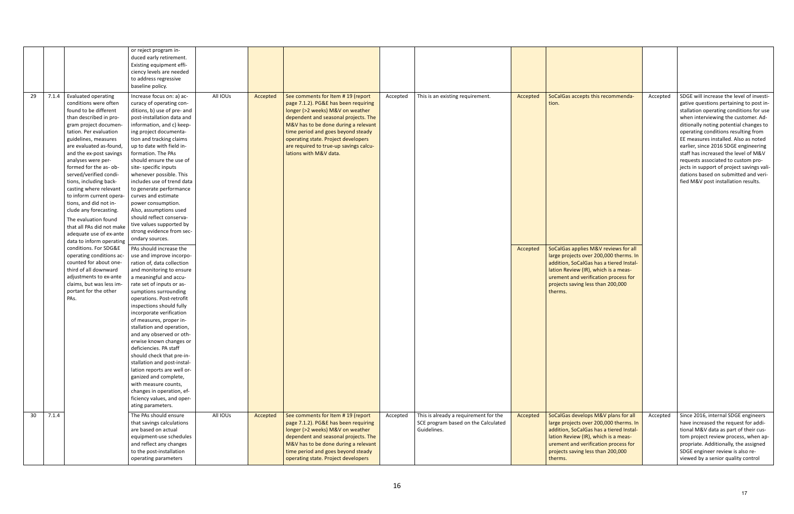|    |       |                                                  | or reject program in-<br>duced early retirement.      |          |          |                                        |          |                                       |          |                                         |          |                                           |
|----|-------|--------------------------------------------------|-------------------------------------------------------|----------|----------|----------------------------------------|----------|---------------------------------------|----------|-----------------------------------------|----------|-------------------------------------------|
|    |       |                                                  | Existing equipment effi-                              |          |          |                                        |          |                                       |          |                                         |          |                                           |
|    |       |                                                  | ciency levels are needed                              |          |          |                                        |          |                                       |          |                                         |          |                                           |
|    |       |                                                  | to address regressive                                 |          |          |                                        |          |                                       |          |                                         |          |                                           |
|    |       |                                                  | baseline policy.                                      |          |          |                                        |          |                                       |          |                                         |          |                                           |
|    |       |                                                  |                                                       |          |          |                                        |          |                                       |          |                                         |          |                                           |
| 29 | 7.1.4 | Evaluated operating                              | Increase focus on: a) ac-                             | All IOUs | Accepted | See comments for Item #19 (report      | Accepted | This is an existing requirement.      | Accepted | SoCalGas accepts this recommenda-       | Accepted | SDGE will increase the level of investi-  |
|    |       | conditions were often                            | curacy of operating con-                              |          |          | page 7.1.2). PG&E has been requiring   |          |                                       |          | tion.                                   |          | gative questions pertaining to post in-   |
|    |       | found to be different                            | ditions, b) use of pre- and                           |          |          | longer (>2 weeks) M&V on weather       |          |                                       |          |                                         |          | stallation operating conditions for use   |
|    |       | than described in pro-                           | post-installation data and                            |          |          | dependent and seasonal projects. The   |          |                                       |          |                                         |          | when interviewing the customer. Ad-       |
|    |       | gram project documen-                            | information, and c) keep-                             |          |          | M&V has to be done during a relevant   |          |                                       |          |                                         |          | ditionally noting potential changes to    |
|    |       | tation. Per evaluation                           | ing project documenta-                                |          |          | time period and goes beyond steady     |          |                                       |          |                                         |          | operating conditions resulting from       |
|    |       | guidelines, measures                             | tion and tracking claims                              |          |          | operating state. Project developers    |          |                                       |          |                                         |          | EE measures installed. Also as noted      |
|    |       | are evaluated as-found,                          | up to date with field in-                             |          |          | are required to true-up savings calcu- |          |                                       |          |                                         |          | earlier, since 2016 SDGE engineering      |
|    |       | and the ex-post savings                          | formation. The PAs                                    |          |          | lations with M&V data.                 |          |                                       |          |                                         |          | staff has increased the level of M&V      |
|    |       | analyses were per-                               | should ensure the use of                              |          |          |                                        |          |                                       |          |                                         |          | requests associated to custom pro-        |
|    |       | formed for the as- ob-                           | site-specific inputs                                  |          |          |                                        |          |                                       |          |                                         |          | jects in support of project savings vali- |
|    |       | served/verified condi-                           | whenever possible. This                               |          |          |                                        |          |                                       |          |                                         |          | dations based on submitted and veri-      |
|    |       | tions, including back-<br>casting where relevant | includes use of trend data<br>to generate performance |          |          |                                        |          |                                       |          |                                         |          | fied M&V post installation results.       |
|    |       | to inform current opera-                         | curves and estimate                                   |          |          |                                        |          |                                       |          |                                         |          |                                           |
|    |       | tions, and did not in-                           | power consumption.                                    |          |          |                                        |          |                                       |          |                                         |          |                                           |
|    |       | clude any forecasting.                           | Also, assumptions used                                |          |          |                                        |          |                                       |          |                                         |          |                                           |
|    |       |                                                  | should reflect conserva-                              |          |          |                                        |          |                                       |          |                                         |          |                                           |
|    |       | The evaluation found                             | tive values supported by                              |          |          |                                        |          |                                       |          |                                         |          |                                           |
|    |       | that all PAs did not make                        | strong evidence from sec-                             |          |          |                                        |          |                                       |          |                                         |          |                                           |
|    |       | adequate use of ex-ante                          | ondary sources.                                       |          |          |                                        |          |                                       |          |                                         |          |                                           |
|    |       | data to inform operating                         |                                                       |          |          |                                        |          |                                       |          |                                         |          |                                           |
|    |       | conditions. For SDG&E                            | PAs should increase the                               |          |          |                                        |          |                                       | Accepted | SoCalGas applies M&V reviews for all    |          |                                           |
|    |       | operating conditions ac-                         | use and improve incorpo-                              |          |          |                                        |          |                                       |          | large projects over 200,000 therms. In  |          |                                           |
|    |       | counted for about one-                           | ration of, data collection                            |          |          |                                        |          |                                       |          | addition, SoCalGas has a tiered Instal- |          |                                           |
|    |       | third of all downward                            | and monitoring to ensure                              |          |          |                                        |          |                                       |          | lation Review (IR), which is a meas-    |          |                                           |
|    |       | adjustments to ex-ante                           | a meaningful and accu-                                |          |          |                                        |          |                                       |          | urement and verification process for    |          |                                           |
|    |       | claims, but was less im-                         | rate set of inputs or as-                             |          |          |                                        |          |                                       |          | projects saving less than 200,000       |          |                                           |
|    |       | portant for the other<br>PAs.                    | sumptions surrounding                                 |          |          |                                        |          |                                       |          | therms.                                 |          |                                           |
|    |       |                                                  | operations. Post-retrofit                             |          |          |                                        |          |                                       |          |                                         |          |                                           |
|    |       |                                                  | inspections should fully<br>incorporate verification  |          |          |                                        |          |                                       |          |                                         |          |                                           |
|    |       |                                                  | of measures, proper in-                               |          |          |                                        |          |                                       |          |                                         |          |                                           |
|    |       |                                                  | stallation and operation,                             |          |          |                                        |          |                                       |          |                                         |          |                                           |
|    |       |                                                  | and any observed or oth-                              |          |          |                                        |          |                                       |          |                                         |          |                                           |
|    |       |                                                  | erwise known changes or                               |          |          |                                        |          |                                       |          |                                         |          |                                           |
|    |       |                                                  | deficiencies. PA staff                                |          |          |                                        |          |                                       |          |                                         |          |                                           |
|    |       |                                                  | should check that pre-in-                             |          |          |                                        |          |                                       |          |                                         |          |                                           |
|    |       |                                                  | stallation and post-instal-                           |          |          |                                        |          |                                       |          |                                         |          |                                           |
|    |       |                                                  | lation reports are well or-                           |          |          |                                        |          |                                       |          |                                         |          |                                           |
|    |       |                                                  | ganized and complete,                                 |          |          |                                        |          |                                       |          |                                         |          |                                           |
|    |       |                                                  | with measure counts,                                  |          |          |                                        |          |                                       |          |                                         |          |                                           |
|    |       |                                                  | changes in operation, ef-                             |          |          |                                        |          |                                       |          |                                         |          |                                           |
|    |       |                                                  | ficiency values, and oper-                            |          |          |                                        |          |                                       |          |                                         |          |                                           |
|    |       |                                                  | ating parameters.                                     |          |          |                                        |          |                                       |          |                                         |          |                                           |
| 30 | 7.1.4 |                                                  | The PAs should ensure                                 | All IOUs | Accepted | See comments for Item #19 (report      | Accepted | This is already a requirement for the | Accepted | SoCalGas develops M&V plans for all     | Accepted | Since 2016, internal SDGE engineers       |
|    |       |                                                  | that savings calculations                             |          |          | page 7.1.2). PG&E has been requiring   |          | SCE program based on the Calculated   |          | large projects over 200,000 therms. In  |          | have increased the request for addi-      |
|    |       |                                                  | are based on actual                                   |          |          | longer (>2 weeks) M&V on weather       |          | Guidelines.                           |          | addition, SoCalGas has a tiered Instal- |          | tional M&V data as part of their cus-     |
|    |       |                                                  | equipment-use schedules                               |          |          | dependent and seasonal projects. The   |          |                                       |          | lation Review (IR), which is a meas-    |          | tom project review process, when ap-      |
|    |       |                                                  | and reflect any changes                               |          |          | M&V has to be done during a relevant   |          |                                       |          | urement and verification process for    |          | propriate. Additionally, the assigned     |
|    |       |                                                  | to the post-installation                              |          |          | time period and goes beyond steady     |          |                                       |          | projects saving less than 200,000       |          | SDGE engineer review is also re-          |
|    |       |                                                  | operating parameters                                  |          |          | operating state. Project developers    |          |                                       |          | therms.                                 |          | viewed by a senior quality control        |
|    |       |                                                  |                                                       |          |          |                                        |          |                                       |          |                                         |          |                                           |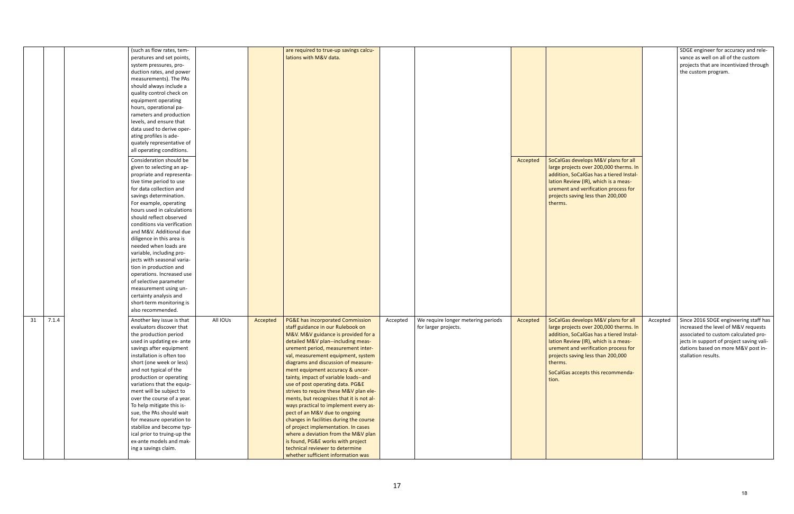|             | (such as flow rates, tem-   |          |          | are required to true-up savings calcu-      |                                                |          |                                         |          | SDGE engineer for accuracy and rele-     |
|-------------|-----------------------------|----------|----------|---------------------------------------------|------------------------------------------------|----------|-----------------------------------------|----------|------------------------------------------|
|             |                             |          |          | lations with M&V data.                      |                                                |          |                                         |          | vance as well on all of the custom       |
|             | peratures and set points,   |          |          |                                             |                                                |          |                                         |          |                                          |
|             | system pressures, pro-      |          |          |                                             |                                                |          |                                         |          | projects that are incentivized through   |
|             | duction rates, and power    |          |          |                                             |                                                |          |                                         |          | the custom program.                      |
|             | measurements). The PAs      |          |          |                                             |                                                |          |                                         |          |                                          |
|             | should always include a     |          |          |                                             |                                                |          |                                         |          |                                          |
|             | quality control check on    |          |          |                                             |                                                |          |                                         |          |                                          |
|             | equipment operating         |          |          |                                             |                                                |          |                                         |          |                                          |
|             | hours, operational pa-      |          |          |                                             |                                                |          |                                         |          |                                          |
|             | rameters and production     |          |          |                                             |                                                |          |                                         |          |                                          |
|             | levels, and ensure that     |          |          |                                             |                                                |          |                                         |          |                                          |
|             | data used to derive oper-   |          |          |                                             |                                                |          |                                         |          |                                          |
|             | ating profiles is ade-      |          |          |                                             |                                                |          |                                         |          |                                          |
|             | quately representative of   |          |          |                                             |                                                |          |                                         |          |                                          |
|             | all operating conditions.   |          |          |                                             |                                                |          |                                         |          |                                          |
|             |                             |          |          |                                             |                                                |          |                                         |          |                                          |
|             | Consideration should be     |          |          |                                             |                                                | Accepted | SoCalGas develops M&V plans for all     |          |                                          |
|             | given to selecting an ap-   |          |          |                                             |                                                |          | large projects over 200,000 therms. In  |          |                                          |
|             | propriate and representa-   |          |          |                                             |                                                |          | addition, SoCalGas has a tiered Instal- |          |                                          |
|             | tive time period to use     |          |          |                                             |                                                |          | lation Review (IR), which is a meas-    |          |                                          |
|             | for data collection and     |          |          |                                             |                                                |          | urement and verification process for    |          |                                          |
|             | savings determination.      |          |          |                                             |                                                |          | projects saving less than 200,000       |          |                                          |
|             | For example, operating      |          |          |                                             |                                                |          | therms.                                 |          |                                          |
|             | hours used in calculations  |          |          |                                             |                                                |          |                                         |          |                                          |
|             | should reflect observed     |          |          |                                             |                                                |          |                                         |          |                                          |
|             | conditions via verification |          |          |                                             |                                                |          |                                         |          |                                          |
|             | and M&V. Additional due     |          |          |                                             |                                                |          |                                         |          |                                          |
|             | diligence in this area is   |          |          |                                             |                                                |          |                                         |          |                                          |
|             | needed when loads are       |          |          |                                             |                                                |          |                                         |          |                                          |
|             | variable, including pro-    |          |          |                                             |                                                |          |                                         |          |                                          |
|             | jects with seasonal varia-  |          |          |                                             |                                                |          |                                         |          |                                          |
|             |                             |          |          |                                             |                                                |          |                                         |          |                                          |
|             | tion in production and      |          |          |                                             |                                                |          |                                         |          |                                          |
|             | operations. Increased use   |          |          |                                             |                                                |          |                                         |          |                                          |
|             | of selective parameter      |          |          |                                             |                                                |          |                                         |          |                                          |
|             | measurement using un-       |          |          |                                             |                                                |          |                                         |          |                                          |
|             | certainty analysis and      |          |          |                                             |                                                |          |                                         |          |                                          |
|             | short-term monitoring is    |          |          |                                             |                                                |          |                                         |          |                                          |
|             | also recommended.           |          |          |                                             |                                                |          |                                         |          |                                          |
| 7.1.4<br>31 | Another key issue is that   | All IOUs | Accepted | <b>PG&amp;E has incorporated Commission</b> | We require longer metering periods<br>Accepted | Accepted | SoCalGas develops M&V plans for all     | Accepted | Since 2016 SDGE engineering staff has    |
|             | evaluators discover that    |          |          | staff guidance in our Rulebook on           | for larger projects.                           |          | large projects over 200,000 therms. In  |          | increased the level of M&V requests      |
|             | the production period       |          |          | M&V. M&V guidance is provided for a         |                                                |          | addition, SoCalGas has a tiered Instal- |          | associated to custom calculated pro-     |
|             | used in updating ex- ante   |          |          | detailed M&V plan--including meas-          |                                                |          | lation Review (IR), which is a meas-    |          | jects in support of project saving vali- |
|             | savings after equipment     |          |          | urement period, measurement inter-          |                                                |          | urement and verification process for    |          | dations based on more M&V post in-       |
|             |                             |          |          |                                             |                                                |          | projects saving less than 200,000       |          | stallation results.                      |
|             | installation is often too   |          |          | val, measurement equipment, system          |                                                |          |                                         |          |                                          |
|             | short (one week or less)    |          |          | diagrams and discussion of measure-         |                                                |          | therms.                                 |          |                                          |
|             | and not typical of the      |          |          | ment equipment accuracy & uncer-            |                                                |          | SoCalGas accepts this recommenda-       |          |                                          |
|             | production or operating     |          |          | tainty, impact of variable loads--and       |                                                |          | tion.                                   |          |                                          |
|             | variations that the equip-  |          |          | use of post operating data. PG&E            |                                                |          |                                         |          |                                          |
|             | ment will be subject to     |          |          | strives to require these M&V plan ele-      |                                                |          |                                         |          |                                          |
|             | over the course of a year.  |          |          | ments, but recognizes that it is not al-    |                                                |          |                                         |          |                                          |
|             | To help mitigate this is-   |          |          | ways practical to implement every as-       |                                                |          |                                         |          |                                          |
|             | sue, the PAs should wait    |          |          | pect of an M&V due to ongoing               |                                                |          |                                         |          |                                          |
|             | for measure operation to    |          |          | changes in facilities during the course     |                                                |          |                                         |          |                                          |
|             | stabilize and become typ-   |          |          | of project implementation. In cases         |                                                |          |                                         |          |                                          |
|             | ical prior to truing-up the |          |          | where a deviation from the M&V plan         |                                                |          |                                         |          |                                          |
|             | ex-ante models and mak-     |          |          | is found, PG&E works with project           |                                                |          |                                         |          |                                          |
|             | ing a savings claim.        |          |          | technical reviewer to determine             |                                                |          |                                         |          |                                          |
|             |                             |          |          | whether sufficient information was          |                                                |          |                                         |          |                                          |
|             |                             |          |          |                                             |                                                |          |                                         |          |                                          |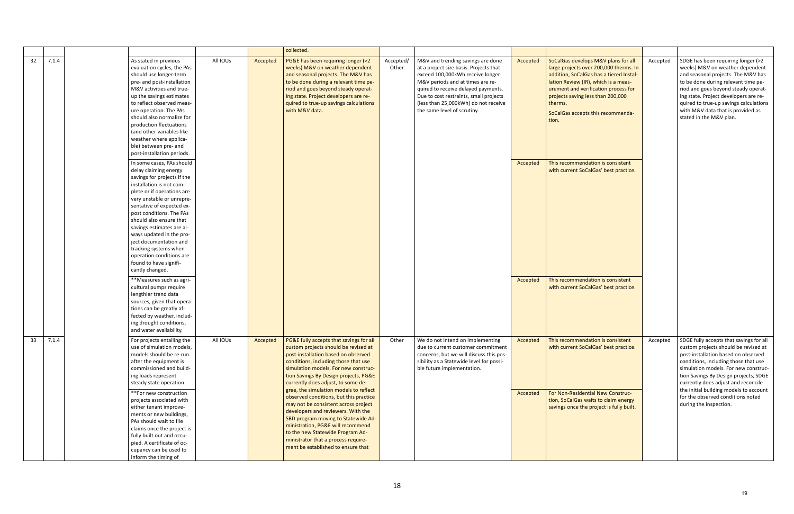|    |       |                                                                                                                                                                                                                                                                                                                                                                                                                                                   |          |          | collected.                                                                                                                                                                                                                                                                                                                                                                                                                                                                                                                          |                    |                                                                                                                                                                                             |                      |                                                                                                                                                                                                     |          |                                                                                                                                                                                                                                                                                                                                                                                                 |
|----|-------|---------------------------------------------------------------------------------------------------------------------------------------------------------------------------------------------------------------------------------------------------------------------------------------------------------------------------------------------------------------------------------------------------------------------------------------------------|----------|----------|-------------------------------------------------------------------------------------------------------------------------------------------------------------------------------------------------------------------------------------------------------------------------------------------------------------------------------------------------------------------------------------------------------------------------------------------------------------------------------------------------------------------------------------|--------------------|---------------------------------------------------------------------------------------------------------------------------------------------------------------------------------------------|----------------------|-----------------------------------------------------------------------------------------------------------------------------------------------------------------------------------------------------|----------|-------------------------------------------------------------------------------------------------------------------------------------------------------------------------------------------------------------------------------------------------------------------------------------------------------------------------------------------------------------------------------------------------|
| 32 | 7.1.4 | As stated in previous<br>evaluation cycles, the PAs<br>should use longer-term<br>pre- and post-installation                                                                                                                                                                                                                                                                                                                                       | All IOUs | Accepted | PG&E has been requiring longer (>2<br>weeks) M&V on weather dependent<br>and seasonal projects. The M&V has<br>to be done during a relevant time pe-                                                                                                                                                                                                                                                                                                                                                                                | Accepted/<br>Other | M&V and trending savings are done<br>at a project size basis. Projects that<br>exceed 100,000kWh receive longer<br>M&V periods and at times are re-                                         | Accepted             | SoCalGas develops M&V plans for all<br>large projects over 200,000 therms. In<br>addition, SoCalGas has a tiered Instal-<br>lation Review (IR), which is a meas-                                    | Accepted | SDGE has been requiring longer (>2<br>weeks) M&V on weather dependent<br>and seasonal projects. The M&V has<br>to be done during relevant time pe-                                                                                                                                                                                                                                              |
|    |       | M&V activities and true-<br>up the savings estimates<br>to reflect observed meas-<br>ure operation. The PAs<br>should also normalize for<br>production fluctuations                                                                                                                                                                                                                                                                               |          |          | riod and goes beyond steady operat-<br>ing state. Project developers are re-<br>quired to true-up savings calculations<br>with M&V data.                                                                                                                                                                                                                                                                                                                                                                                            |                    | quired to receive delayed payments.<br>Due to cost restraints, small projects<br>(less than 25,000kWh) do not receive<br>the same level of scrutiny.                                        |                      | urement and verification process for<br>projects saving less than 200,000<br>therms.<br>SoCalGas accepts this recommenda-<br>tion.                                                                  |          | riod and goes beyond steady operat-<br>ing state. Project developers are re-<br>quired to true-up savings calculations<br>with M&V data that is provided as<br>stated in the M&V plan.                                                                                                                                                                                                          |
|    |       | (and other variables like<br>weather where applica-<br>ble) between pre- and<br>post-installation periods.                                                                                                                                                                                                                                                                                                                                        |          |          |                                                                                                                                                                                                                                                                                                                                                                                                                                                                                                                                     |                    |                                                                                                                                                                                             |                      |                                                                                                                                                                                                     |          |                                                                                                                                                                                                                                                                                                                                                                                                 |
|    |       | In some cases, PAs should<br>delay claiming energy<br>savings for projects if the<br>installation is not com-<br>plete or if operations are<br>very unstable or unrepre-<br>sentative of expected ex-<br>post conditions. The PAs<br>should also ensure that<br>savings estimates are al-<br>ways updated in the pro-<br>ject documentation and<br>tracking systems when<br>operation conditions are<br>found to have signifi-<br>cantly changed. |          |          |                                                                                                                                                                                                                                                                                                                                                                                                                                                                                                                                     |                    |                                                                                                                                                                                             | Accepted             | This recommendation is consistent<br>with current SoCalGas' best practice.                                                                                                                          |          |                                                                                                                                                                                                                                                                                                                                                                                                 |
|    |       | **Measures such as agri-<br>cultural pumps require<br>lengthier trend data<br>sources, given that opera-<br>tions can be greatly af-<br>fected by weather, includ-<br>ing drought conditions,<br>and water availability.                                                                                                                                                                                                                          |          |          |                                                                                                                                                                                                                                                                                                                                                                                                                                                                                                                                     |                    |                                                                                                                                                                                             | Accepted             | This recommendation is consistent<br>with current SoCalGas' best practice.                                                                                                                          |          |                                                                                                                                                                                                                                                                                                                                                                                                 |
| 33 | 7.1.4 | For projects entailing the<br>use of simulation models,<br>models should be re-run<br>after the equipment is<br>commissioned and build-<br>ing loads represent<br>steady state operation.<br>**For new construction<br>projects associated with<br>either tenant improve-<br>ments or new buildings,<br>PAs should wait to file<br>claims once the project is                                                                                     | All IOUs | Accepted | PG&E fully accepts that savings for all<br>custom projects should be revised at<br>post-installation based on observed<br>conditions, including those that use<br>simulation models. For new construc-<br>tion Savings By Design projects, PG&E<br>currently does adjust, to some de-<br>gree, the simulation models to reflect<br>observed conditions, but this practice<br>may not be consistent across project<br>developers and reviewers. With the<br>SBD program moving to Statewide Ad-<br>ministration, PG&E will recommend | Other              | We do not intend on implementing<br>due to current customer commitment<br>concerns, but we will discuss this pos-<br>sibility as a Statewide level for possi-<br>ble future implementation. | Accepted<br>Accepted | This recommendation is consistent<br>with current SoCalGas' best practice.<br>For Non-Residential New Construc-<br>tion, SoCalGas waits to claim energy<br>savings once the project is fully built. | Accepted | SDGE fully accepts that savings for all<br>custom projects should be revised at<br>post-installation based on observed<br>conditions, including those that use<br>simulation models. For new construc-<br>tion Savings By Design projects, SDGE<br>currently does adjust and reconcile<br>the initial building models to account<br>for the observed conditions noted<br>during the inspection. |
|    |       | fully built out and occu-<br>pied. A certificate of oc-<br>cupancy can be used to<br>inform the timing of                                                                                                                                                                                                                                                                                                                                         |          |          | to the new Statewide Program Ad-<br>ministrator that a process require-<br>ment be established to ensure that                                                                                                                                                                                                                                                                                                                                                                                                                       |                    |                                                                                                                                                                                             |                      |                                                                                                                                                                                                     |          |                                                                                                                                                                                                                                                                                                                                                                                                 |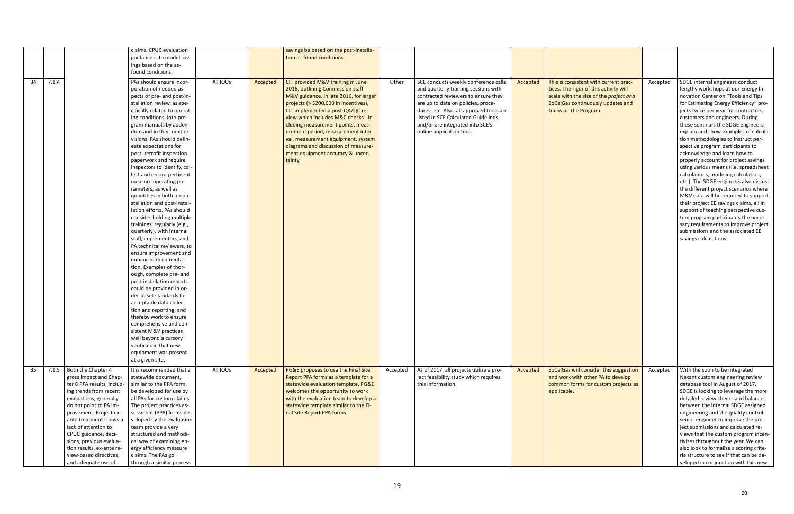|    |       |                            | claims. CPUC evaluation      |          |          | savings be based on the post-installa-   |          |                                          |          |                                        |          |                                         |
|----|-------|----------------------------|------------------------------|----------|----------|------------------------------------------|----------|------------------------------------------|----------|----------------------------------------|----------|-----------------------------------------|
|    |       |                            |                              |          |          |                                          |          |                                          |          |                                        |          |                                         |
|    |       |                            | guidance is to model sav-    |          |          | tion as-found conditions.                |          |                                          |          |                                        |          |                                         |
|    |       |                            | ings based on the as-        |          |          |                                          |          |                                          |          |                                        |          |                                         |
|    |       |                            | found conditions.            |          |          |                                          |          |                                          |          |                                        |          |                                         |
| 34 | 7.1.4 |                            | PAs should ensure incor-     | All IOUs | Accepted | CIT provided M&V training in June        | Other    | SCE conducts weekly conference calls     | Accepted | This is consistent with current prac-  | Accepted | SDGE internal engineers conduct         |
|    |       |                            | poration of needed as-       |          |          | 2016, outlining Commission staff         |          | and quarterly training sessions with     |          | tices. The rigor of this activity will |          | lengthy workshops at our Energy In-     |
|    |       |                            | pects of pre- and post-in-   |          |          | M&V guidance. In late 2016, for larger   |          | contracted reviewers to ensure they      |          | scale with the size of the project and |          | novation Center on "Tools and Tips      |
|    |       |                            | stallation review, as spe-   |          |          | projects ( $>$ \$200,000 in incentives), |          | are up to date on policies, proce-       |          | SoCalGas continuously updates and      |          | for Estimating Energy Efficiency" pro-  |
|    |       |                            | cifically related to operat- |          |          | CIT implemented a post-QA/QC re-         |          | dures, etc. Also, all approved tools are |          | trains on the Program.                 |          | jects twice per year for contractors,   |
|    |       |                            | ing conditions, into pro-    |          |          | view which includes M&C checks - in-     |          | listed in SCE Calculated Guidelines      |          |                                        |          | customers and engineers. During         |
|    |       |                            | gram manuals by adden-       |          |          | cluding measurement points, meas-        |          | and/or are integrated into SCE's         |          |                                        |          | these seminars the SDGE engineers       |
|    |       |                            | dum and in their next re-    |          |          | urement period, measurement inter-       |          | online application tool.                 |          |                                        |          | explain and show examples of calcula-   |
|    |       |                            | visions. PAs should delin-   |          |          | val, measurement equipment, system       |          |                                          |          |                                        |          | tion methodologies to instruct per-     |
|    |       |                            |                              |          |          |                                          |          |                                          |          |                                        |          |                                         |
|    |       |                            | eate expectations for        |          |          | diagrams and discussion of measure-      |          |                                          |          |                                        |          | spective program participants to        |
|    |       |                            | post-retrofit inspection     |          |          | ment equipment accuracy & uncer-         |          |                                          |          |                                        |          | acknowledge and learn how to            |
|    |       |                            | paperwork and require        |          |          | tainty.                                  |          |                                          |          |                                        |          | properly account for project savings    |
|    |       |                            | inspectors to identify, col- |          |          |                                          |          |                                          |          |                                        |          | using various means (i.e. spreadsheet   |
|    |       |                            | lect and record pertinent    |          |          |                                          |          |                                          |          |                                        |          | calculations, modeling calculation,     |
|    |       |                            | measure operating pa-        |          |          |                                          |          |                                          |          |                                        |          | etc.). The SDGE engineers also discuss  |
|    |       |                            | rameters, as well as         |          |          |                                          |          |                                          |          |                                        |          | the different project scenarios where   |
|    |       |                            | quantities in both pre-in-   |          |          |                                          |          |                                          |          |                                        |          | M&V data will be required to support    |
|    |       |                            | stallation and post-instal-  |          |          |                                          |          |                                          |          |                                        |          | their project EE savings claims, all in |
|    |       |                            | lation efforts. PAs should   |          |          |                                          |          |                                          |          |                                        |          | support of teaching perspective cus-    |
|    |       |                            | consider holding multiple    |          |          |                                          |          |                                          |          |                                        |          | tom program participants the neces-     |
|    |       |                            | trainings, regularly (e.g.,  |          |          |                                          |          |                                          |          |                                        |          | sary requirements to improve project    |
|    |       |                            | quarterly), with internal    |          |          |                                          |          |                                          |          |                                        |          | submissions and the associated EE       |
|    |       |                            | staff, implementers, and     |          |          |                                          |          |                                          |          |                                        |          | savings calculations.                   |
|    |       |                            | PA technical reviewers, to   |          |          |                                          |          |                                          |          |                                        |          |                                         |
|    |       |                            | ensure improvement and       |          |          |                                          |          |                                          |          |                                        |          |                                         |
|    |       |                            | enhanced documenta-          |          |          |                                          |          |                                          |          |                                        |          |                                         |
|    |       |                            | tion. Examples of thor-      |          |          |                                          |          |                                          |          |                                        |          |                                         |
|    |       |                            | ough, complete pre- and      |          |          |                                          |          |                                          |          |                                        |          |                                         |
|    |       |                            | post-installation reports    |          |          |                                          |          |                                          |          |                                        |          |                                         |
|    |       |                            | could be provided in or-     |          |          |                                          |          |                                          |          |                                        |          |                                         |
|    |       |                            | der to set standards for     |          |          |                                          |          |                                          |          |                                        |          |                                         |
|    |       |                            | acceptable data collec-      |          |          |                                          |          |                                          |          |                                        |          |                                         |
|    |       |                            | tion and reporting, and      |          |          |                                          |          |                                          |          |                                        |          |                                         |
|    |       |                            |                              |          |          |                                          |          |                                          |          |                                        |          |                                         |
|    |       |                            | thereby work to ensure       |          |          |                                          |          |                                          |          |                                        |          |                                         |
|    |       |                            | comprehensive and con-       |          |          |                                          |          |                                          |          |                                        |          |                                         |
|    |       |                            | sistent M&V practices        |          |          |                                          |          |                                          |          |                                        |          |                                         |
|    |       |                            | well beyond a cursory        |          |          |                                          |          |                                          |          |                                        |          |                                         |
|    |       |                            | verification that new        |          |          |                                          |          |                                          |          |                                        |          |                                         |
|    |       |                            | equipment was present        |          |          |                                          |          |                                          |          |                                        |          |                                         |
|    |       |                            | at a given site.             |          |          |                                          |          |                                          |          |                                        |          |                                         |
| 35 |       | 7.1.5 Both the Chapter 4   | It is recommended that a     | All IOUs | Accepted | PG&E proposes to use the Final Site      | Accepted | As of 2017, all projects utilize a pro-  | Accepted | SoCalGas will consider this suggestion | Accepted | With the soon to be integrated          |
|    |       | gross impact and Chap-     | statewide document,          |          |          | Report PPA forms as a template for a     |          | ject feasibility study which requires    |          | and work with other PA to develop      |          | Nexant custom engineering review        |
|    |       | ter 6 PPA results, includ- | similar to the PPA form,     |          |          | statewide evaluation template, PG&E      |          | this information.                        |          | common forms for custom projects as    |          | database tool in August of 2017,        |
|    |       | ing trends from recent     | be developed for use by      |          |          | welcomes the opportunity to work         |          |                                          |          | applicable.                            |          | SDGE is looking to leverage the more    |
|    |       | evaluations, generally     | all PAs for custom claims.   |          |          | with the evaluation team to develop a    |          |                                          |          |                                        |          | detailed review checks and balances     |
|    |       | do not point to PA im-     | The project practices as-    |          |          | statewide template similar to the Fi-    |          |                                          |          |                                        |          | between the internal SDGE assigned      |
|    |       | provement. Project ex-     | sessment (PPA) forms de-     |          |          | nal Site Report PPA forms.               |          |                                          |          |                                        |          | engineering and the quality control     |
|    |       | ante treatment shows a     | veloped by the evaluation    |          |          |                                          |          |                                          |          |                                        |          | senior engineer to improve the pro-     |
|    |       | lack of attention to       | team provide a very          |          |          |                                          |          |                                          |          |                                        |          | ject submissions and calculated re-     |
|    |       | CPUC guidance, deci-       | structured and methodi-      |          |          |                                          |          |                                          |          |                                        |          | views that the custom program incen-    |
|    |       | sions, previous evalua-    | cal way of examining en-     |          |          |                                          |          |                                          |          |                                        |          | tivizes throughout the year. We can     |
|    |       | tion results, ex-ante re-  | ergy efficiency measure      |          |          |                                          |          |                                          |          |                                        |          | also look to formalize a scoring crite- |
|    |       | view-based directives,     | claims. The PAs go           |          |          |                                          |          |                                          |          |                                        |          | ria structure to see if that can be de- |
|    |       |                            |                              |          |          |                                          |          |                                          |          |                                        |          |                                         |
|    |       | and adequate use of        | through a similar process    |          |          |                                          |          |                                          |          |                                        |          | veloped in conjunction with this new    |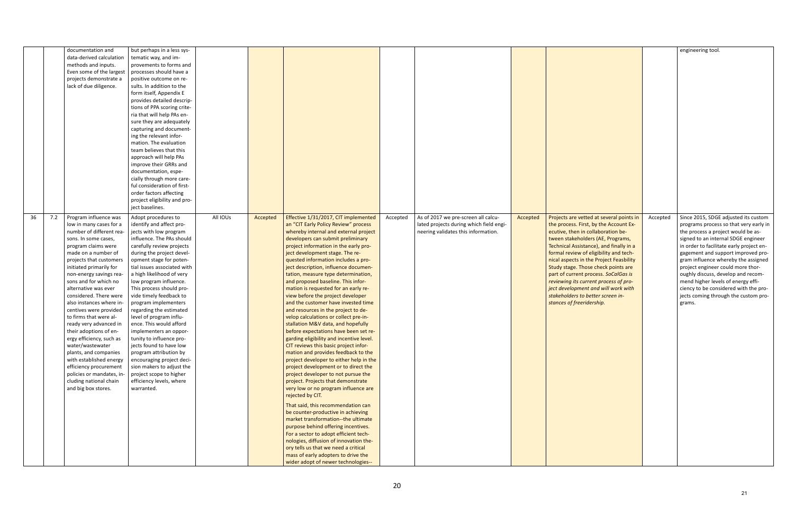|    |     | documentation and         | but perhaps in a less sys-   |          |          |                                          |          |                                         |          |                                          |
|----|-----|---------------------------|------------------------------|----------|----------|------------------------------------------|----------|-----------------------------------------|----------|------------------------------------------|
|    |     | data-derived calculation  | tematic way, and im-         |          |          |                                          |          |                                         |          |                                          |
|    |     | methods and inputs.       | provements to forms and      |          |          |                                          |          |                                         |          |                                          |
|    |     |                           |                              |          |          |                                          |          |                                         |          |                                          |
|    |     | Even some of the largest  | processes should have a      |          |          |                                          |          |                                         |          |                                          |
|    |     | projects demonstrate a    | positive outcome on re-      |          |          |                                          |          |                                         |          |                                          |
|    |     | lack of due diligence.    | sults. In addition to the    |          |          |                                          |          |                                         |          |                                          |
|    |     |                           | form itself, Appendix E      |          |          |                                          |          |                                         |          |                                          |
|    |     |                           | provides detailed descrip-   |          |          |                                          |          |                                         |          |                                          |
|    |     |                           | tions of PPA scoring crite-  |          |          |                                          |          |                                         |          |                                          |
|    |     |                           | ria that will help PAs en-   |          |          |                                          |          |                                         |          |                                          |
|    |     |                           | sure they are adequately     |          |          |                                          |          |                                         |          |                                          |
|    |     |                           | capturing and document-      |          |          |                                          |          |                                         |          |                                          |
|    |     |                           | ing the relevant infor-      |          |          |                                          |          |                                         |          |                                          |
|    |     |                           | mation. The evaluation       |          |          |                                          |          |                                         |          |                                          |
|    |     |                           | team believes that this      |          |          |                                          |          |                                         |          |                                          |
|    |     |                           | approach will help PAs       |          |          |                                          |          |                                         |          |                                          |
|    |     |                           |                              |          |          |                                          |          |                                         |          |                                          |
|    |     |                           | improve their GRRs and       |          |          |                                          |          |                                         |          |                                          |
|    |     |                           | documentation, espe-         |          |          |                                          |          |                                         |          |                                          |
|    |     |                           | cially through more care-    |          |          |                                          |          |                                         |          |                                          |
|    |     |                           | ful consideration of first-  |          |          |                                          |          |                                         |          |                                          |
|    |     |                           | order factors affecting      |          |          |                                          |          |                                         |          |                                          |
|    |     |                           | project eligibility and pro- |          |          |                                          |          |                                         |          |                                          |
|    |     |                           | ject baselines.              |          |          |                                          |          |                                         |          |                                          |
| 36 | 7.2 | Program influence was     | Adopt procedures to          | All IOUs | Accepted | Effective 1/31/2017, CIT implemented     | Accepted | As of 2017 we pre-screen all calcu-     | Accepted | Projects are vetted at several points in |
|    |     | low in many cases for a   | identify and affect pro-     |          |          | an "CIT Early Policy Review" process     |          | lated projects during which field engi- |          | the process. First, by the Account Ex-   |
|    |     | number of different rea-  |                              |          |          |                                          |          |                                         |          |                                          |
|    |     |                           | jects with low program       |          |          | whereby internal and external project    |          | neering validates this information.     |          | ecutive, then in collaboration be-       |
|    |     | sons. In some cases,      | influence. The PAs should    |          |          | developers can submit preliminary        |          |                                         |          | tween stakeholders (AE, Programs,        |
|    |     | program claims were       | carefully review projects    |          |          | project information in the early pro-    |          |                                         |          | Technical Assistance), and finally in a  |
|    |     | made on a number of       | during the project devel-    |          |          | ject development stage. The re-          |          |                                         |          | formal review of eligibility and tech-   |
|    |     | projects that customers   | opment stage for poten-      |          |          | quested information includes a pro-      |          |                                         |          | nical aspects in the Project Feasbility  |
|    |     | initiated primarily for   | tial issues associated with  |          |          | ject description, influence documen-     |          |                                         |          | Study stage. Those check points are      |
|    |     | non-energy savings rea-   | a high likelihood of very    |          |          | tation, measure type determination,      |          |                                         |          | part of current process. SoCalGas is     |
|    |     | sons and for which no     | low program influence.       |          |          | and proposed baseline. This infor-       |          |                                         |          | reviewing its current process of pro-    |
|    |     | alternative was ever      | This process should pro-     |          |          | mation is requested for an early re-     |          |                                         |          | ject development and will work with      |
|    |     | considered. There were    | vide timely feedback to      |          |          | view before the project developer        |          |                                         |          | stakeholders to better screen in-        |
|    |     | also instances where in-  | program implementers         |          |          | and the customer have invested time      |          |                                         |          | stances of freeridership.                |
|    |     | centives were provided    | regarding the estimated      |          |          | and resources in the project to de-      |          |                                         |          |                                          |
|    |     | to firms that were al-    | level of program influ-      |          |          | velop calculations or collect pre-in-    |          |                                         |          |                                          |
|    |     | ready very advanced in    | ence. This would afford      |          |          | stallation M&V data, and hopefully       |          |                                         |          |                                          |
|    |     | their adoptions of en-    | implementers an oppor-       |          |          | before expectations have been set re-    |          |                                         |          |                                          |
|    |     | ergy efficiency, such as  | tunity to influence pro-     |          |          | garding eligibility and incentive level. |          |                                         |          |                                          |
|    |     | water/wastewater          | jects found to have low      |          |          | CIT reviews this basic project infor-    |          |                                         |          |                                          |
|    |     | plants, and companies     | program attribution by       |          |          | mation and provides feedback to the      |          |                                         |          |                                          |
|    |     |                           |                              |          |          |                                          |          |                                         |          |                                          |
|    |     | with established energy   | encouraging project deci-    |          |          | project developer to either help in the  |          |                                         |          |                                          |
|    |     | efficiency procurement    | sion makers to adjust the    |          |          | project development or to direct the     |          |                                         |          |                                          |
|    |     | policies or mandates, in- | project scope to higher      |          |          | project developer to not pursue the      |          |                                         |          |                                          |
|    |     | cluding national chain    | efficiency levels, where     |          |          | project. Projects that demonstrate       |          |                                         |          |                                          |
|    |     | and big box stores.       | warranted.                   |          |          | very low or no program influence are     |          |                                         |          |                                          |
|    |     |                           |                              |          |          | rejected by CIT.                         |          |                                         |          |                                          |
|    |     |                           |                              |          |          | That said, this recommendation can       |          |                                         |          |                                          |
|    |     |                           |                              |          |          | be counter-productive in achieving       |          |                                         |          |                                          |
|    |     |                           |                              |          |          |                                          |          |                                         |          |                                          |
|    |     |                           |                              |          |          | market transformation--the ultimate      |          |                                         |          |                                          |
|    |     |                           |                              |          |          | purpose behind offering incentives.      |          |                                         |          |                                          |
|    |     |                           |                              |          |          | For a sector to adopt efficient tech-    |          |                                         |          |                                          |
|    |     |                           |                              |          |          | nologies, diffusion of innovation the-   |          |                                         |          |                                          |
|    |     |                           |                              |          |          | ory tells us that we need a critical     |          |                                         |          |                                          |
|    |     |                           |                              |          |          | mass of early adopters to drive the      |          |                                         |          |                                          |
|    |     |                           |                              |          |          | wider adopt of newer technologies--      |          |                                         |          |                                          |

|                                                                                                                                                                                                                                                                                                                                                                                                                                                                                                                                |          | engineering tool.                                                                                                                                                                                                                                                                                                                                                                                                                                                                                |
|--------------------------------------------------------------------------------------------------------------------------------------------------------------------------------------------------------------------------------------------------------------------------------------------------------------------------------------------------------------------------------------------------------------------------------------------------------------------------------------------------------------------------------|----------|--------------------------------------------------------------------------------------------------------------------------------------------------------------------------------------------------------------------------------------------------------------------------------------------------------------------------------------------------------------------------------------------------------------------------------------------------------------------------------------------------|
| Projects are vetted at several points in<br>the process. First, by the Account Ex-<br>ecutive, then in collaboration be-<br>tween stakeholders (AE, Programs,<br>Technical Assistance), and finally in a<br>formal review of eligibility and tech-<br>nical aspects in the Project Feasbility<br>Study stage. Those check points are<br>part of current process. SoCalGas is<br>reviewing its current process of pro-<br>ject development and will work with<br>stakeholders to better screen in-<br>stances of freeridership. | Accepted | Since 2015, SDGE adjusted its custom<br>programs process so that very early in<br>the process a project would be as-<br>signed to an internal SDGE engineer<br>in order to facilitate early project en-<br>gagement and support improved pro-<br>gram influence whereby the assigned<br>project engineer could more thor-<br>oughly discuss, develop and recom-<br>mend higher levels of energy effi-<br>ciency to be considered with the pro-<br>jects coming through the custom pro-<br>grams. |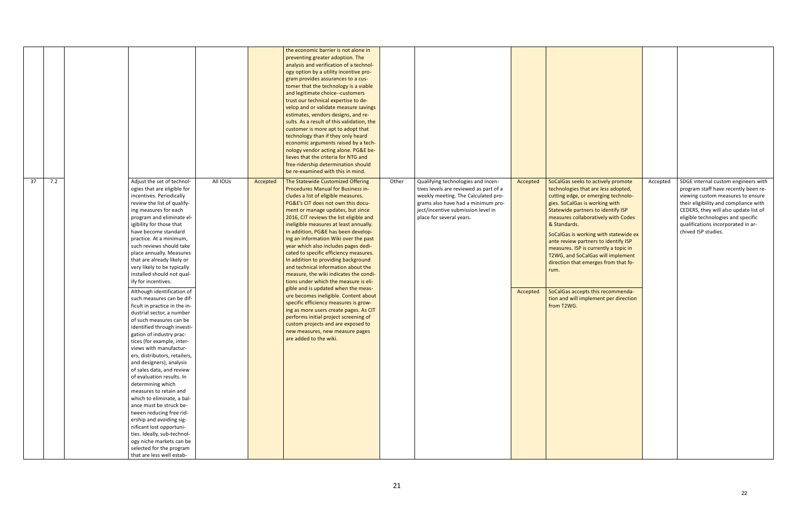|    |     |                                                                                                                                                                                                                                                                                                                                                                                                                                                                                                                                                                                                                                                                                                                                                                                                                                                                                                                                                                                                                                                                                                                                                   |          |          | the economic barrier is not alone in<br>preventing greater adoption. The<br>analysis and verification of a technol-<br>ogy option by a utility incentive pro-<br>gram provides assurances to a cus-<br>tomer that the technology is a viable<br>and legitimate choice--customers<br>trust our technical expertise to de-<br>velop and or validate measure savings<br>estimates, vendors designs, and re-<br>sults. As a result of this validation, the<br>customer is more apt to adopt that<br>technology than if they only heard<br>economic arguments raised by a tech-<br>nology vendor acting alone. PG&E be-<br>lieves that the criteria for NTG and<br>free-ridership determination should<br>be re-examined with this in mind.                                                                                                                                                                                           |       |                                                                                                                                                                                                                             |                      |                                                                                                                                                                                                                                                                                                                                                                                                                                                                                                                                                            |          |                                                                                                                                                                                                                                                                                                       |
|----|-----|---------------------------------------------------------------------------------------------------------------------------------------------------------------------------------------------------------------------------------------------------------------------------------------------------------------------------------------------------------------------------------------------------------------------------------------------------------------------------------------------------------------------------------------------------------------------------------------------------------------------------------------------------------------------------------------------------------------------------------------------------------------------------------------------------------------------------------------------------------------------------------------------------------------------------------------------------------------------------------------------------------------------------------------------------------------------------------------------------------------------------------------------------|----------|----------|----------------------------------------------------------------------------------------------------------------------------------------------------------------------------------------------------------------------------------------------------------------------------------------------------------------------------------------------------------------------------------------------------------------------------------------------------------------------------------------------------------------------------------------------------------------------------------------------------------------------------------------------------------------------------------------------------------------------------------------------------------------------------------------------------------------------------------------------------------------------------------------------------------------------------------|-------|-----------------------------------------------------------------------------------------------------------------------------------------------------------------------------------------------------------------------------|----------------------|------------------------------------------------------------------------------------------------------------------------------------------------------------------------------------------------------------------------------------------------------------------------------------------------------------------------------------------------------------------------------------------------------------------------------------------------------------------------------------------------------------------------------------------------------------|----------|-------------------------------------------------------------------------------------------------------------------------------------------------------------------------------------------------------------------------------------------------------------------------------------------------------|
| 37 | 7.2 | Adjust the set of technol-<br>ogies that are eligible for<br>incentives. Periodically<br>review the list of qualify-<br>ing measures for each<br>program and eliminate el-<br>igibility for those that<br>have become standard<br>practice. At a minimum,<br>such reviews should take<br>place annually. Measures<br>that are already likely or<br>very likely to be typically<br>installed should not qual-<br>ify for incentives.<br>Although identification of<br>such measures can be dif-<br>ficult in practice in the in-<br>dustrial sector, a number<br>of such measures can be<br>identified through investi-<br>gation of industry prac-<br>tices (for example, inter-<br>views with manufactur-<br>ers, distributors, retailers,<br>and designers), analysis<br>of sales data, and review<br>of evaluation results. In<br>determining which<br>measures to retain and<br>which to eliminate, a bal-<br>ance must be struck be-<br>tween reducing free rid-<br>ership and avoiding sig-<br>nificant lost opportuni-<br>ties. Ideally, sub-technol-<br>ogy niche markets can be<br>selected for the program<br>that are less well estab- | All IOUs | Accepted | The Statewide Customized Offering<br>Procedures Manual for Business in-<br>cludes a list of eligible measures.<br>PG&E's CIT does not own this docu-<br>ment or manage updates, but since<br>2016, CIT reviews the list eligible and<br>ineligible measures at least annually.<br>In addition, PG&E has been develop-<br>ing an information Wiki over the past<br>year which also includes pages dedi-<br>cated to specific efficiency measures.<br>In addition to providing background<br>and technical information about the<br>measure, the wiki indicates the condi-<br>tions under which the measure is eli-<br>gible and is updated when the meas-<br>ure becomes ineligible. Content about<br>specific efficiency measures is grow-<br>ing as more users create pages. As CIT<br>performs initial project screening of<br>custom projects and are exposed to<br>new measures, new measure pages<br>are added to the wiki. | Other | Qualifying technologies and incen-<br>tives levels are reviewed as part of a<br>weekly meeting. The Calculated pro-<br>grams also have had a minimum pro-<br>ject/incentive submission level in<br>place for several years. | Accepted<br>Accepted | SoCalGas seeks to actively promote<br>technologies that are less adopted,<br>cutting edge, or emerging technolo-<br>gies. SoCalGas is working with<br>Statewide partners to identify ISP<br>measures collaboratively with Codes<br>& Standards.<br>SoCalGas is working with statewide ex<br>ante review partners to identify ISP<br>measures. ISP is currently a topic in<br>T2WG, and SoCalGas will implement<br>direction that emerges from that fo-<br>rum.<br>SoCalGas accepts this recommenda-<br>tion and will implement per direction<br>from T2WG. | Accepted | SDGE internal custom engineers with<br>program staff have recently been re-<br>viewing custom measures to ensure<br>their eligibility and compliance with<br>CEDERS, they will also update list of<br>eligible technologies and specific<br>qualifications incorporated in ar-<br>chived ISP studies. |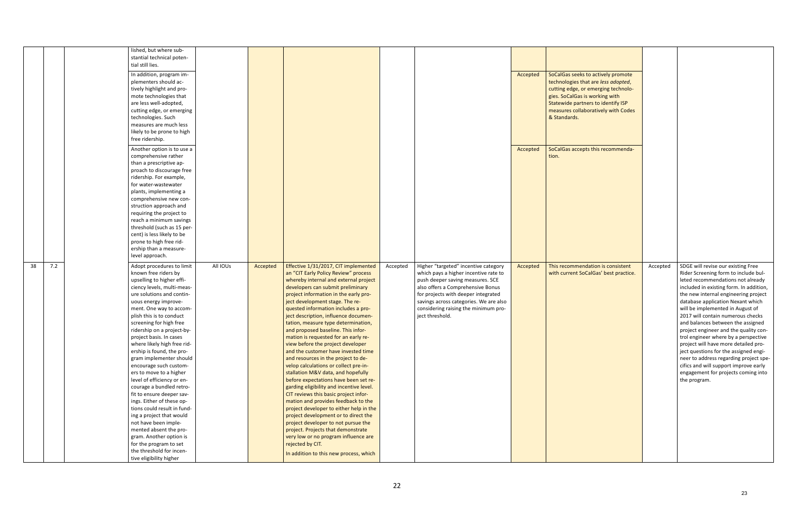| lished, but where sub-<br>stantial technical poten-<br>tial still lies.<br>In addition, program im-<br>SoCalGas seeks to actively promote<br>Accepted<br>plementers should ac-<br>technologies that are less adopted,<br>tively highlight and pro-<br>cutting edge, or emerging technolo-<br>mote technologies that<br>gies. SoCalGas is working with<br>are less well-adopted,<br>Statewide partners to identify ISP<br>measures collaboratively with Codes<br>cutting edge, or emerging<br>technologies. Such<br>& Standards.<br>measures are much less<br>likely to be prone to high<br>free ridership.<br>SoCalGas accepts this recommenda-<br>Another option is to use a<br>Accepted<br>comprehensive rather<br>tion.<br>than a prescriptive ap-<br>proach to discourage free<br>ridership. For example,<br>for water-wastewater<br>plants, implementing a<br>comprehensive new con-<br>struction approach and<br>requiring the project to<br>reach a minimum savings<br>threshold (such as 15 per-<br>cent) is less likely to be<br>prone to high free rid-<br>ership than a measure-<br>level approach.<br>7.2<br>38<br>All IOUs<br>Effective 1/31/2017, CIT implemented<br>Higher "targeted" incentive category<br>SDGE will revise our existing Free<br>Adopt procedures to limit<br>This recommendation is consistent<br>Accepted<br>Accepted<br>Accepted<br>Accepted<br>known free riders by<br>an "CIT Early Policy Review" process<br>which pays a higher incentive rate to<br>with current SoCalGas' best practice.<br>Rider Screening form to include bul-<br>upselling to higher effi-<br>whereby internal and external project<br>push deeper saving measures. SCE<br>leted recommendations not already<br>ciency levels, multi-meas-<br>developers can submit preliminary<br>also offers a Comprehensive Bonus<br>included in existing form. In addition,<br>ure solutions and contin-<br>project information in the early pro-<br>for projects with deeper integrated<br>the new internal engineering project<br>ject development stage. The re-<br>savings across categories. We are also<br>database application Nexant which<br>uous energy improve-<br>quested information includes a pro-<br>considering raising the minimum pro-<br>will be implemented in August of<br>ment. One way to accom-<br>plish this is to conduct<br>ject description, influence documen-<br>ject threshold.<br>2017 will contain numerous checks<br>screening for high free<br>tation, measure type determination,<br>and balances between the assigned<br>ridership on a project-by-<br>and proposed baseline. This infor-<br>project engineer and the quality con-<br>project basis. In cases<br>mation is requested for an early re-<br>trol engineer where by a perspective<br>where likely high free rid-<br>view before the project developer<br>project will have more detailed pro-<br>ership is found, the pro-<br>and the customer have invested time<br>ject questions for the assigned engi-<br>gram implementer should<br>and resources in the project to de-<br>neer to address regarding project spe-<br>encourage such custom-<br>velop calculations or collect pre-in-<br>cifics and will support improve early<br>stallation M&V data, and hopefully<br>ers to move to a higher<br>engagement for projects coming into<br>level of efficiency or en-<br>before expectations have been set re-<br>the program.<br>courage a bundled retro-<br>garding eligibility and incentive level.<br>fit to ensure deeper sav-<br>CIT reviews this basic project infor-<br>ings. Either of these op-<br>mation and provides feedback to the<br>tions could result in fund-<br>project developer to either help in the<br>ing a project that would<br>project development or to direct the<br>not have been imple-<br>project developer to not pursue the |
|--------------------------------------------------------------------------------------------------------------------------------------------------------------------------------------------------------------------------------------------------------------------------------------------------------------------------------------------------------------------------------------------------------------------------------------------------------------------------------------------------------------------------------------------------------------------------------------------------------------------------------------------------------------------------------------------------------------------------------------------------------------------------------------------------------------------------------------------------------------------------------------------------------------------------------------------------------------------------------------------------------------------------------------------------------------------------------------------------------------------------------------------------------------------------------------------------------------------------------------------------------------------------------------------------------------------------------------------------------------------------------------------------------------------------------------------------------------------------------------------------------------------------------------------------------------------------------------------------------------------------------------------------------------------------------------------------------------------------------------------------------------------------------------------------------------------------------------------------------------------------------------------------------------------------------------------------------------------------------------------------------------------------------------------------------------------------------------------------------------------------------------------------------------------------------------------------------------------------------------------------------------------------------------------------------------------------------------------------------------------------------------------------------------------------------------------------------------------------------------------------------------------------------------------------------------------------------------------------------------------------------------------------------------------------------------------------------------------------------------------------------------------------------------------------------------------------------------------------------------------------------------------------------------------------------------------------------------------------------------------------------------------------------------------------------------------------------------------------------------------------------------------------------------------------------------------------------------------------------------------------------------------------------------------------------------------------------------------------------------------------------------------------------------------------------------------------------------------------------------------------------------------------------------------------------------------------------------------------------------------------------------------------------------------------------------------------------------------------------------------------------------------------------------------------------------------------------------------------------------------|
|                                                                                                                                                                                                                                                                                                                                                                                                                                                                                                                                                                                                                                                                                                                                                                                                                                                                                                                                                                                                                                                                                                                                                                                                                                                                                                                                                                                                                                                                                                                                                                                                                                                                                                                                                                                                                                                                                                                                                                                                                                                                                                                                                                                                                                                                                                                                                                                                                                                                                                                                                                                                                                                                                                                                                                                                                                                                                                                                                                                                                                                                                                                                                                                                                                                                                                                                                                                                                                                                                                                                                                                                                                                                                                                                                                                                                                                                    |
|                                                                                                                                                                                                                                                                                                                                                                                                                                                                                                                                                                                                                                                                                                                                                                                                                                                                                                                                                                                                                                                                                                                                                                                                                                                                                                                                                                                                                                                                                                                                                                                                                                                                                                                                                                                                                                                                                                                                                                                                                                                                                                                                                                                                                                                                                                                                                                                                                                                                                                                                                                                                                                                                                                                                                                                                                                                                                                                                                                                                                                                                                                                                                                                                                                                                                                                                                                                                                                                                                                                                                                                                                                                                                                                                                                                                                                                                    |
|                                                                                                                                                                                                                                                                                                                                                                                                                                                                                                                                                                                                                                                                                                                                                                                                                                                                                                                                                                                                                                                                                                                                                                                                                                                                                                                                                                                                                                                                                                                                                                                                                                                                                                                                                                                                                                                                                                                                                                                                                                                                                                                                                                                                                                                                                                                                                                                                                                                                                                                                                                                                                                                                                                                                                                                                                                                                                                                                                                                                                                                                                                                                                                                                                                                                                                                                                                                                                                                                                                                                                                                                                                                                                                                                                                                                                                                                    |
|                                                                                                                                                                                                                                                                                                                                                                                                                                                                                                                                                                                                                                                                                                                                                                                                                                                                                                                                                                                                                                                                                                                                                                                                                                                                                                                                                                                                                                                                                                                                                                                                                                                                                                                                                                                                                                                                                                                                                                                                                                                                                                                                                                                                                                                                                                                                                                                                                                                                                                                                                                                                                                                                                                                                                                                                                                                                                                                                                                                                                                                                                                                                                                                                                                                                                                                                                                                                                                                                                                                                                                                                                                                                                                                                                                                                                                                                    |
|                                                                                                                                                                                                                                                                                                                                                                                                                                                                                                                                                                                                                                                                                                                                                                                                                                                                                                                                                                                                                                                                                                                                                                                                                                                                                                                                                                                                                                                                                                                                                                                                                                                                                                                                                                                                                                                                                                                                                                                                                                                                                                                                                                                                                                                                                                                                                                                                                                                                                                                                                                                                                                                                                                                                                                                                                                                                                                                                                                                                                                                                                                                                                                                                                                                                                                                                                                                                                                                                                                                                                                                                                                                                                                                                                                                                                                                                    |
|                                                                                                                                                                                                                                                                                                                                                                                                                                                                                                                                                                                                                                                                                                                                                                                                                                                                                                                                                                                                                                                                                                                                                                                                                                                                                                                                                                                                                                                                                                                                                                                                                                                                                                                                                                                                                                                                                                                                                                                                                                                                                                                                                                                                                                                                                                                                                                                                                                                                                                                                                                                                                                                                                                                                                                                                                                                                                                                                                                                                                                                                                                                                                                                                                                                                                                                                                                                                                                                                                                                                                                                                                                                                                                                                                                                                                                                                    |
|                                                                                                                                                                                                                                                                                                                                                                                                                                                                                                                                                                                                                                                                                                                                                                                                                                                                                                                                                                                                                                                                                                                                                                                                                                                                                                                                                                                                                                                                                                                                                                                                                                                                                                                                                                                                                                                                                                                                                                                                                                                                                                                                                                                                                                                                                                                                                                                                                                                                                                                                                                                                                                                                                                                                                                                                                                                                                                                                                                                                                                                                                                                                                                                                                                                                                                                                                                                                                                                                                                                                                                                                                                                                                                                                                                                                                                                                    |
|                                                                                                                                                                                                                                                                                                                                                                                                                                                                                                                                                                                                                                                                                                                                                                                                                                                                                                                                                                                                                                                                                                                                                                                                                                                                                                                                                                                                                                                                                                                                                                                                                                                                                                                                                                                                                                                                                                                                                                                                                                                                                                                                                                                                                                                                                                                                                                                                                                                                                                                                                                                                                                                                                                                                                                                                                                                                                                                                                                                                                                                                                                                                                                                                                                                                                                                                                                                                                                                                                                                                                                                                                                                                                                                                                                                                                                                                    |
|                                                                                                                                                                                                                                                                                                                                                                                                                                                                                                                                                                                                                                                                                                                                                                                                                                                                                                                                                                                                                                                                                                                                                                                                                                                                                                                                                                                                                                                                                                                                                                                                                                                                                                                                                                                                                                                                                                                                                                                                                                                                                                                                                                                                                                                                                                                                                                                                                                                                                                                                                                                                                                                                                                                                                                                                                                                                                                                                                                                                                                                                                                                                                                                                                                                                                                                                                                                                                                                                                                                                                                                                                                                                                                                                                                                                                                                                    |
|                                                                                                                                                                                                                                                                                                                                                                                                                                                                                                                                                                                                                                                                                                                                                                                                                                                                                                                                                                                                                                                                                                                                                                                                                                                                                                                                                                                                                                                                                                                                                                                                                                                                                                                                                                                                                                                                                                                                                                                                                                                                                                                                                                                                                                                                                                                                                                                                                                                                                                                                                                                                                                                                                                                                                                                                                                                                                                                                                                                                                                                                                                                                                                                                                                                                                                                                                                                                                                                                                                                                                                                                                                                                                                                                                                                                                                                                    |
|                                                                                                                                                                                                                                                                                                                                                                                                                                                                                                                                                                                                                                                                                                                                                                                                                                                                                                                                                                                                                                                                                                                                                                                                                                                                                                                                                                                                                                                                                                                                                                                                                                                                                                                                                                                                                                                                                                                                                                                                                                                                                                                                                                                                                                                                                                                                                                                                                                                                                                                                                                                                                                                                                                                                                                                                                                                                                                                                                                                                                                                                                                                                                                                                                                                                                                                                                                                                                                                                                                                                                                                                                                                                                                                                                                                                                                                                    |
|                                                                                                                                                                                                                                                                                                                                                                                                                                                                                                                                                                                                                                                                                                                                                                                                                                                                                                                                                                                                                                                                                                                                                                                                                                                                                                                                                                                                                                                                                                                                                                                                                                                                                                                                                                                                                                                                                                                                                                                                                                                                                                                                                                                                                                                                                                                                                                                                                                                                                                                                                                                                                                                                                                                                                                                                                                                                                                                                                                                                                                                                                                                                                                                                                                                                                                                                                                                                                                                                                                                                                                                                                                                                                                                                                                                                                                                                    |
|                                                                                                                                                                                                                                                                                                                                                                                                                                                                                                                                                                                                                                                                                                                                                                                                                                                                                                                                                                                                                                                                                                                                                                                                                                                                                                                                                                                                                                                                                                                                                                                                                                                                                                                                                                                                                                                                                                                                                                                                                                                                                                                                                                                                                                                                                                                                                                                                                                                                                                                                                                                                                                                                                                                                                                                                                                                                                                                                                                                                                                                                                                                                                                                                                                                                                                                                                                                                                                                                                                                                                                                                                                                                                                                                                                                                                                                                    |
|                                                                                                                                                                                                                                                                                                                                                                                                                                                                                                                                                                                                                                                                                                                                                                                                                                                                                                                                                                                                                                                                                                                                                                                                                                                                                                                                                                                                                                                                                                                                                                                                                                                                                                                                                                                                                                                                                                                                                                                                                                                                                                                                                                                                                                                                                                                                                                                                                                                                                                                                                                                                                                                                                                                                                                                                                                                                                                                                                                                                                                                                                                                                                                                                                                                                                                                                                                                                                                                                                                                                                                                                                                                                                                                                                                                                                                                                    |
|                                                                                                                                                                                                                                                                                                                                                                                                                                                                                                                                                                                                                                                                                                                                                                                                                                                                                                                                                                                                                                                                                                                                                                                                                                                                                                                                                                                                                                                                                                                                                                                                                                                                                                                                                                                                                                                                                                                                                                                                                                                                                                                                                                                                                                                                                                                                                                                                                                                                                                                                                                                                                                                                                                                                                                                                                                                                                                                                                                                                                                                                                                                                                                                                                                                                                                                                                                                                                                                                                                                                                                                                                                                                                                                                                                                                                                                                    |
|                                                                                                                                                                                                                                                                                                                                                                                                                                                                                                                                                                                                                                                                                                                                                                                                                                                                                                                                                                                                                                                                                                                                                                                                                                                                                                                                                                                                                                                                                                                                                                                                                                                                                                                                                                                                                                                                                                                                                                                                                                                                                                                                                                                                                                                                                                                                                                                                                                                                                                                                                                                                                                                                                                                                                                                                                                                                                                                                                                                                                                                                                                                                                                                                                                                                                                                                                                                                                                                                                                                                                                                                                                                                                                                                                                                                                                                                    |
|                                                                                                                                                                                                                                                                                                                                                                                                                                                                                                                                                                                                                                                                                                                                                                                                                                                                                                                                                                                                                                                                                                                                                                                                                                                                                                                                                                                                                                                                                                                                                                                                                                                                                                                                                                                                                                                                                                                                                                                                                                                                                                                                                                                                                                                                                                                                                                                                                                                                                                                                                                                                                                                                                                                                                                                                                                                                                                                                                                                                                                                                                                                                                                                                                                                                                                                                                                                                                                                                                                                                                                                                                                                                                                                                                                                                                                                                    |
|                                                                                                                                                                                                                                                                                                                                                                                                                                                                                                                                                                                                                                                                                                                                                                                                                                                                                                                                                                                                                                                                                                                                                                                                                                                                                                                                                                                                                                                                                                                                                                                                                                                                                                                                                                                                                                                                                                                                                                                                                                                                                                                                                                                                                                                                                                                                                                                                                                                                                                                                                                                                                                                                                                                                                                                                                                                                                                                                                                                                                                                                                                                                                                                                                                                                                                                                                                                                                                                                                                                                                                                                                                                                                                                                                                                                                                                                    |
|                                                                                                                                                                                                                                                                                                                                                                                                                                                                                                                                                                                                                                                                                                                                                                                                                                                                                                                                                                                                                                                                                                                                                                                                                                                                                                                                                                                                                                                                                                                                                                                                                                                                                                                                                                                                                                                                                                                                                                                                                                                                                                                                                                                                                                                                                                                                                                                                                                                                                                                                                                                                                                                                                                                                                                                                                                                                                                                                                                                                                                                                                                                                                                                                                                                                                                                                                                                                                                                                                                                                                                                                                                                                                                                                                                                                                                                                    |
|                                                                                                                                                                                                                                                                                                                                                                                                                                                                                                                                                                                                                                                                                                                                                                                                                                                                                                                                                                                                                                                                                                                                                                                                                                                                                                                                                                                                                                                                                                                                                                                                                                                                                                                                                                                                                                                                                                                                                                                                                                                                                                                                                                                                                                                                                                                                                                                                                                                                                                                                                                                                                                                                                                                                                                                                                                                                                                                                                                                                                                                                                                                                                                                                                                                                                                                                                                                                                                                                                                                                                                                                                                                                                                                                                                                                                                                                    |
|                                                                                                                                                                                                                                                                                                                                                                                                                                                                                                                                                                                                                                                                                                                                                                                                                                                                                                                                                                                                                                                                                                                                                                                                                                                                                                                                                                                                                                                                                                                                                                                                                                                                                                                                                                                                                                                                                                                                                                                                                                                                                                                                                                                                                                                                                                                                                                                                                                                                                                                                                                                                                                                                                                                                                                                                                                                                                                                                                                                                                                                                                                                                                                                                                                                                                                                                                                                                                                                                                                                                                                                                                                                                                                                                                                                                                                                                    |
|                                                                                                                                                                                                                                                                                                                                                                                                                                                                                                                                                                                                                                                                                                                                                                                                                                                                                                                                                                                                                                                                                                                                                                                                                                                                                                                                                                                                                                                                                                                                                                                                                                                                                                                                                                                                                                                                                                                                                                                                                                                                                                                                                                                                                                                                                                                                                                                                                                                                                                                                                                                                                                                                                                                                                                                                                                                                                                                                                                                                                                                                                                                                                                                                                                                                                                                                                                                                                                                                                                                                                                                                                                                                                                                                                                                                                                                                    |
|                                                                                                                                                                                                                                                                                                                                                                                                                                                                                                                                                                                                                                                                                                                                                                                                                                                                                                                                                                                                                                                                                                                                                                                                                                                                                                                                                                                                                                                                                                                                                                                                                                                                                                                                                                                                                                                                                                                                                                                                                                                                                                                                                                                                                                                                                                                                                                                                                                                                                                                                                                                                                                                                                                                                                                                                                                                                                                                                                                                                                                                                                                                                                                                                                                                                                                                                                                                                                                                                                                                                                                                                                                                                                                                                                                                                                                                                    |
|                                                                                                                                                                                                                                                                                                                                                                                                                                                                                                                                                                                                                                                                                                                                                                                                                                                                                                                                                                                                                                                                                                                                                                                                                                                                                                                                                                                                                                                                                                                                                                                                                                                                                                                                                                                                                                                                                                                                                                                                                                                                                                                                                                                                                                                                                                                                                                                                                                                                                                                                                                                                                                                                                                                                                                                                                                                                                                                                                                                                                                                                                                                                                                                                                                                                                                                                                                                                                                                                                                                                                                                                                                                                                                                                                                                                                                                                    |
|                                                                                                                                                                                                                                                                                                                                                                                                                                                                                                                                                                                                                                                                                                                                                                                                                                                                                                                                                                                                                                                                                                                                                                                                                                                                                                                                                                                                                                                                                                                                                                                                                                                                                                                                                                                                                                                                                                                                                                                                                                                                                                                                                                                                                                                                                                                                                                                                                                                                                                                                                                                                                                                                                                                                                                                                                                                                                                                                                                                                                                                                                                                                                                                                                                                                                                                                                                                                                                                                                                                                                                                                                                                                                                                                                                                                                                                                    |
|                                                                                                                                                                                                                                                                                                                                                                                                                                                                                                                                                                                                                                                                                                                                                                                                                                                                                                                                                                                                                                                                                                                                                                                                                                                                                                                                                                                                                                                                                                                                                                                                                                                                                                                                                                                                                                                                                                                                                                                                                                                                                                                                                                                                                                                                                                                                                                                                                                                                                                                                                                                                                                                                                                                                                                                                                                                                                                                                                                                                                                                                                                                                                                                                                                                                                                                                                                                                                                                                                                                                                                                                                                                                                                                                                                                                                                                                    |
|                                                                                                                                                                                                                                                                                                                                                                                                                                                                                                                                                                                                                                                                                                                                                                                                                                                                                                                                                                                                                                                                                                                                                                                                                                                                                                                                                                                                                                                                                                                                                                                                                                                                                                                                                                                                                                                                                                                                                                                                                                                                                                                                                                                                                                                                                                                                                                                                                                                                                                                                                                                                                                                                                                                                                                                                                                                                                                                                                                                                                                                                                                                                                                                                                                                                                                                                                                                                                                                                                                                                                                                                                                                                                                                                                                                                                                                                    |
|                                                                                                                                                                                                                                                                                                                                                                                                                                                                                                                                                                                                                                                                                                                                                                                                                                                                                                                                                                                                                                                                                                                                                                                                                                                                                                                                                                                                                                                                                                                                                                                                                                                                                                                                                                                                                                                                                                                                                                                                                                                                                                                                                                                                                                                                                                                                                                                                                                                                                                                                                                                                                                                                                                                                                                                                                                                                                                                                                                                                                                                                                                                                                                                                                                                                                                                                                                                                                                                                                                                                                                                                                                                                                                                                                                                                                                                                    |
|                                                                                                                                                                                                                                                                                                                                                                                                                                                                                                                                                                                                                                                                                                                                                                                                                                                                                                                                                                                                                                                                                                                                                                                                                                                                                                                                                                                                                                                                                                                                                                                                                                                                                                                                                                                                                                                                                                                                                                                                                                                                                                                                                                                                                                                                                                                                                                                                                                                                                                                                                                                                                                                                                                                                                                                                                                                                                                                                                                                                                                                                                                                                                                                                                                                                                                                                                                                                                                                                                                                                                                                                                                                                                                                                                                                                                                                                    |
|                                                                                                                                                                                                                                                                                                                                                                                                                                                                                                                                                                                                                                                                                                                                                                                                                                                                                                                                                                                                                                                                                                                                                                                                                                                                                                                                                                                                                                                                                                                                                                                                                                                                                                                                                                                                                                                                                                                                                                                                                                                                                                                                                                                                                                                                                                                                                                                                                                                                                                                                                                                                                                                                                                                                                                                                                                                                                                                                                                                                                                                                                                                                                                                                                                                                                                                                                                                                                                                                                                                                                                                                                                                                                                                                                                                                                                                                    |
|                                                                                                                                                                                                                                                                                                                                                                                                                                                                                                                                                                                                                                                                                                                                                                                                                                                                                                                                                                                                                                                                                                                                                                                                                                                                                                                                                                                                                                                                                                                                                                                                                                                                                                                                                                                                                                                                                                                                                                                                                                                                                                                                                                                                                                                                                                                                                                                                                                                                                                                                                                                                                                                                                                                                                                                                                                                                                                                                                                                                                                                                                                                                                                                                                                                                                                                                                                                                                                                                                                                                                                                                                                                                                                                                                                                                                                                                    |
|                                                                                                                                                                                                                                                                                                                                                                                                                                                                                                                                                                                                                                                                                                                                                                                                                                                                                                                                                                                                                                                                                                                                                                                                                                                                                                                                                                                                                                                                                                                                                                                                                                                                                                                                                                                                                                                                                                                                                                                                                                                                                                                                                                                                                                                                                                                                                                                                                                                                                                                                                                                                                                                                                                                                                                                                                                                                                                                                                                                                                                                                                                                                                                                                                                                                                                                                                                                                                                                                                                                                                                                                                                                                                                                                                                                                                                                                    |
|                                                                                                                                                                                                                                                                                                                                                                                                                                                                                                                                                                                                                                                                                                                                                                                                                                                                                                                                                                                                                                                                                                                                                                                                                                                                                                                                                                                                                                                                                                                                                                                                                                                                                                                                                                                                                                                                                                                                                                                                                                                                                                                                                                                                                                                                                                                                                                                                                                                                                                                                                                                                                                                                                                                                                                                                                                                                                                                                                                                                                                                                                                                                                                                                                                                                                                                                                                                                                                                                                                                                                                                                                                                                                                                                                                                                                                                                    |
|                                                                                                                                                                                                                                                                                                                                                                                                                                                                                                                                                                                                                                                                                                                                                                                                                                                                                                                                                                                                                                                                                                                                                                                                                                                                                                                                                                                                                                                                                                                                                                                                                                                                                                                                                                                                                                                                                                                                                                                                                                                                                                                                                                                                                                                                                                                                                                                                                                                                                                                                                                                                                                                                                                                                                                                                                                                                                                                                                                                                                                                                                                                                                                                                                                                                                                                                                                                                                                                                                                                                                                                                                                                                                                                                                                                                                                                                    |
|                                                                                                                                                                                                                                                                                                                                                                                                                                                                                                                                                                                                                                                                                                                                                                                                                                                                                                                                                                                                                                                                                                                                                                                                                                                                                                                                                                                                                                                                                                                                                                                                                                                                                                                                                                                                                                                                                                                                                                                                                                                                                                                                                                                                                                                                                                                                                                                                                                                                                                                                                                                                                                                                                                                                                                                                                                                                                                                                                                                                                                                                                                                                                                                                                                                                                                                                                                                                                                                                                                                                                                                                                                                                                                                                                                                                                                                                    |
|                                                                                                                                                                                                                                                                                                                                                                                                                                                                                                                                                                                                                                                                                                                                                                                                                                                                                                                                                                                                                                                                                                                                                                                                                                                                                                                                                                                                                                                                                                                                                                                                                                                                                                                                                                                                                                                                                                                                                                                                                                                                                                                                                                                                                                                                                                                                                                                                                                                                                                                                                                                                                                                                                                                                                                                                                                                                                                                                                                                                                                                                                                                                                                                                                                                                                                                                                                                                                                                                                                                                                                                                                                                                                                                                                                                                                                                                    |
|                                                                                                                                                                                                                                                                                                                                                                                                                                                                                                                                                                                                                                                                                                                                                                                                                                                                                                                                                                                                                                                                                                                                                                                                                                                                                                                                                                                                                                                                                                                                                                                                                                                                                                                                                                                                                                                                                                                                                                                                                                                                                                                                                                                                                                                                                                                                                                                                                                                                                                                                                                                                                                                                                                                                                                                                                                                                                                                                                                                                                                                                                                                                                                                                                                                                                                                                                                                                                                                                                                                                                                                                                                                                                                                                                                                                                                                                    |
|                                                                                                                                                                                                                                                                                                                                                                                                                                                                                                                                                                                                                                                                                                                                                                                                                                                                                                                                                                                                                                                                                                                                                                                                                                                                                                                                                                                                                                                                                                                                                                                                                                                                                                                                                                                                                                                                                                                                                                                                                                                                                                                                                                                                                                                                                                                                                                                                                                                                                                                                                                                                                                                                                                                                                                                                                                                                                                                                                                                                                                                                                                                                                                                                                                                                                                                                                                                                                                                                                                                                                                                                                                                                                                                                                                                                                                                                    |
|                                                                                                                                                                                                                                                                                                                                                                                                                                                                                                                                                                                                                                                                                                                                                                                                                                                                                                                                                                                                                                                                                                                                                                                                                                                                                                                                                                                                                                                                                                                                                                                                                                                                                                                                                                                                                                                                                                                                                                                                                                                                                                                                                                                                                                                                                                                                                                                                                                                                                                                                                                                                                                                                                                                                                                                                                                                                                                                                                                                                                                                                                                                                                                                                                                                                                                                                                                                                                                                                                                                                                                                                                                                                                                                                                                                                                                                                    |
|                                                                                                                                                                                                                                                                                                                                                                                                                                                                                                                                                                                                                                                                                                                                                                                                                                                                                                                                                                                                                                                                                                                                                                                                                                                                                                                                                                                                                                                                                                                                                                                                                                                                                                                                                                                                                                                                                                                                                                                                                                                                                                                                                                                                                                                                                                                                                                                                                                                                                                                                                                                                                                                                                                                                                                                                                                                                                                                                                                                                                                                                                                                                                                                                                                                                                                                                                                                                                                                                                                                                                                                                                                                                                                                                                                                                                                                                    |
|                                                                                                                                                                                                                                                                                                                                                                                                                                                                                                                                                                                                                                                                                                                                                                                                                                                                                                                                                                                                                                                                                                                                                                                                                                                                                                                                                                                                                                                                                                                                                                                                                                                                                                                                                                                                                                                                                                                                                                                                                                                                                                                                                                                                                                                                                                                                                                                                                                                                                                                                                                                                                                                                                                                                                                                                                                                                                                                                                                                                                                                                                                                                                                                                                                                                                                                                                                                                                                                                                                                                                                                                                                                                                                                                                                                                                                                                    |
|                                                                                                                                                                                                                                                                                                                                                                                                                                                                                                                                                                                                                                                                                                                                                                                                                                                                                                                                                                                                                                                                                                                                                                                                                                                                                                                                                                                                                                                                                                                                                                                                                                                                                                                                                                                                                                                                                                                                                                                                                                                                                                                                                                                                                                                                                                                                                                                                                                                                                                                                                                                                                                                                                                                                                                                                                                                                                                                                                                                                                                                                                                                                                                                                                                                                                                                                                                                                                                                                                                                                                                                                                                                                                                                                                                                                                                                                    |
|                                                                                                                                                                                                                                                                                                                                                                                                                                                                                                                                                                                                                                                                                                                                                                                                                                                                                                                                                                                                                                                                                                                                                                                                                                                                                                                                                                                                                                                                                                                                                                                                                                                                                                                                                                                                                                                                                                                                                                                                                                                                                                                                                                                                                                                                                                                                                                                                                                                                                                                                                                                                                                                                                                                                                                                                                                                                                                                                                                                                                                                                                                                                                                                                                                                                                                                                                                                                                                                                                                                                                                                                                                                                                                                                                                                                                                                                    |
|                                                                                                                                                                                                                                                                                                                                                                                                                                                                                                                                                                                                                                                                                                                                                                                                                                                                                                                                                                                                                                                                                                                                                                                                                                                                                                                                                                                                                                                                                                                                                                                                                                                                                                                                                                                                                                                                                                                                                                                                                                                                                                                                                                                                                                                                                                                                                                                                                                                                                                                                                                                                                                                                                                                                                                                                                                                                                                                                                                                                                                                                                                                                                                                                                                                                                                                                                                                                                                                                                                                                                                                                                                                                                                                                                                                                                                                                    |
|                                                                                                                                                                                                                                                                                                                                                                                                                                                                                                                                                                                                                                                                                                                                                                                                                                                                                                                                                                                                                                                                                                                                                                                                                                                                                                                                                                                                                                                                                                                                                                                                                                                                                                                                                                                                                                                                                                                                                                                                                                                                                                                                                                                                                                                                                                                                                                                                                                                                                                                                                                                                                                                                                                                                                                                                                                                                                                                                                                                                                                                                                                                                                                                                                                                                                                                                                                                                                                                                                                                                                                                                                                                                                                                                                                                                                                                                    |
|                                                                                                                                                                                                                                                                                                                                                                                                                                                                                                                                                                                                                                                                                                                                                                                                                                                                                                                                                                                                                                                                                                                                                                                                                                                                                                                                                                                                                                                                                                                                                                                                                                                                                                                                                                                                                                                                                                                                                                                                                                                                                                                                                                                                                                                                                                                                                                                                                                                                                                                                                                                                                                                                                                                                                                                                                                                                                                                                                                                                                                                                                                                                                                                                                                                                                                                                                                                                                                                                                                                                                                                                                                                                                                                                                                                                                                                                    |
|                                                                                                                                                                                                                                                                                                                                                                                                                                                                                                                                                                                                                                                                                                                                                                                                                                                                                                                                                                                                                                                                                                                                                                                                                                                                                                                                                                                                                                                                                                                                                                                                                                                                                                                                                                                                                                                                                                                                                                                                                                                                                                                                                                                                                                                                                                                                                                                                                                                                                                                                                                                                                                                                                                                                                                                                                                                                                                                                                                                                                                                                                                                                                                                                                                                                                                                                                                                                                                                                                                                                                                                                                                                                                                                                                                                                                                                                    |
|                                                                                                                                                                                                                                                                                                                                                                                                                                                                                                                                                                                                                                                                                                                                                                                                                                                                                                                                                                                                                                                                                                                                                                                                                                                                                                                                                                                                                                                                                                                                                                                                                                                                                                                                                                                                                                                                                                                                                                                                                                                                                                                                                                                                                                                                                                                                                                                                                                                                                                                                                                                                                                                                                                                                                                                                                                                                                                                                                                                                                                                                                                                                                                                                                                                                                                                                                                                                                                                                                                                                                                                                                                                                                                                                                                                                                                                                    |
|                                                                                                                                                                                                                                                                                                                                                                                                                                                                                                                                                                                                                                                                                                                                                                                                                                                                                                                                                                                                                                                                                                                                                                                                                                                                                                                                                                                                                                                                                                                                                                                                                                                                                                                                                                                                                                                                                                                                                                                                                                                                                                                                                                                                                                                                                                                                                                                                                                                                                                                                                                                                                                                                                                                                                                                                                                                                                                                                                                                                                                                                                                                                                                                                                                                                                                                                                                                                                                                                                                                                                                                                                                                                                                                                                                                                                                                                    |
|                                                                                                                                                                                                                                                                                                                                                                                                                                                                                                                                                                                                                                                                                                                                                                                                                                                                                                                                                                                                                                                                                                                                                                                                                                                                                                                                                                                                                                                                                                                                                                                                                                                                                                                                                                                                                                                                                                                                                                                                                                                                                                                                                                                                                                                                                                                                                                                                                                                                                                                                                                                                                                                                                                                                                                                                                                                                                                                                                                                                                                                                                                                                                                                                                                                                                                                                                                                                                                                                                                                                                                                                                                                                                                                                                                                                                                                                    |
|                                                                                                                                                                                                                                                                                                                                                                                                                                                                                                                                                                                                                                                                                                                                                                                                                                                                                                                                                                                                                                                                                                                                                                                                                                                                                                                                                                                                                                                                                                                                                                                                                                                                                                                                                                                                                                                                                                                                                                                                                                                                                                                                                                                                                                                                                                                                                                                                                                                                                                                                                                                                                                                                                                                                                                                                                                                                                                                                                                                                                                                                                                                                                                                                                                                                                                                                                                                                                                                                                                                                                                                                                                                                                                                                                                                                                                                                    |
|                                                                                                                                                                                                                                                                                                                                                                                                                                                                                                                                                                                                                                                                                                                                                                                                                                                                                                                                                                                                                                                                                                                                                                                                                                                                                                                                                                                                                                                                                                                                                                                                                                                                                                                                                                                                                                                                                                                                                                                                                                                                                                                                                                                                                                                                                                                                                                                                                                                                                                                                                                                                                                                                                                                                                                                                                                                                                                                                                                                                                                                                                                                                                                                                                                                                                                                                                                                                                                                                                                                                                                                                                                                                                                                                                                                                                                                                    |
|                                                                                                                                                                                                                                                                                                                                                                                                                                                                                                                                                                                                                                                                                                                                                                                                                                                                                                                                                                                                                                                                                                                                                                                                                                                                                                                                                                                                                                                                                                                                                                                                                                                                                                                                                                                                                                                                                                                                                                                                                                                                                                                                                                                                                                                                                                                                                                                                                                                                                                                                                                                                                                                                                                                                                                                                                                                                                                                                                                                                                                                                                                                                                                                                                                                                                                                                                                                                                                                                                                                                                                                                                                                                                                                                                                                                                                                                    |
|                                                                                                                                                                                                                                                                                                                                                                                                                                                                                                                                                                                                                                                                                                                                                                                                                                                                                                                                                                                                                                                                                                                                                                                                                                                                                                                                                                                                                                                                                                                                                                                                                                                                                                                                                                                                                                                                                                                                                                                                                                                                                                                                                                                                                                                                                                                                                                                                                                                                                                                                                                                                                                                                                                                                                                                                                                                                                                                                                                                                                                                                                                                                                                                                                                                                                                                                                                                                                                                                                                                                                                                                                                                                                                                                                                                                                                                                    |
|                                                                                                                                                                                                                                                                                                                                                                                                                                                                                                                                                                                                                                                                                                                                                                                                                                                                                                                                                                                                                                                                                                                                                                                                                                                                                                                                                                                                                                                                                                                                                                                                                                                                                                                                                                                                                                                                                                                                                                                                                                                                                                                                                                                                                                                                                                                                                                                                                                                                                                                                                                                                                                                                                                                                                                                                                                                                                                                                                                                                                                                                                                                                                                                                                                                                                                                                                                                                                                                                                                                                                                                                                                                                                                                                                                                                                                                                    |
| mented absent the pro-<br>project. Projects that demonstrate                                                                                                                                                                                                                                                                                                                                                                                                                                                                                                                                                                                                                                                                                                                                                                                                                                                                                                                                                                                                                                                                                                                                                                                                                                                                                                                                                                                                                                                                                                                                                                                                                                                                                                                                                                                                                                                                                                                                                                                                                                                                                                                                                                                                                                                                                                                                                                                                                                                                                                                                                                                                                                                                                                                                                                                                                                                                                                                                                                                                                                                                                                                                                                                                                                                                                                                                                                                                                                                                                                                                                                                                                                                                                                                                                                                                       |
| gram. Another option is<br>very low or no program influence are                                                                                                                                                                                                                                                                                                                                                                                                                                                                                                                                                                                                                                                                                                                                                                                                                                                                                                                                                                                                                                                                                                                                                                                                                                                                                                                                                                                                                                                                                                                                                                                                                                                                                                                                                                                                                                                                                                                                                                                                                                                                                                                                                                                                                                                                                                                                                                                                                                                                                                                                                                                                                                                                                                                                                                                                                                                                                                                                                                                                                                                                                                                                                                                                                                                                                                                                                                                                                                                                                                                                                                                                                                                                                                                                                                                                    |
| for the program to set<br>rejected by CIT.                                                                                                                                                                                                                                                                                                                                                                                                                                                                                                                                                                                                                                                                                                                                                                                                                                                                                                                                                                                                                                                                                                                                                                                                                                                                                                                                                                                                                                                                                                                                                                                                                                                                                                                                                                                                                                                                                                                                                                                                                                                                                                                                                                                                                                                                                                                                                                                                                                                                                                                                                                                                                                                                                                                                                                                                                                                                                                                                                                                                                                                                                                                                                                                                                                                                                                                                                                                                                                                                                                                                                                                                                                                                                                                                                                                                                         |
| the threshold for incen-<br>In addition to this new process, which<br>tive eligibility higher                                                                                                                                                                                                                                                                                                                                                                                                                                                                                                                                                                                                                                                                                                                                                                                                                                                                                                                                                                                                                                                                                                                                                                                                                                                                                                                                                                                                                                                                                                                                                                                                                                                                                                                                                                                                                                                                                                                                                                                                                                                                                                                                                                                                                                                                                                                                                                                                                                                                                                                                                                                                                                                                                                                                                                                                                                                                                                                                                                                                                                                                                                                                                                                                                                                                                                                                                                                                                                                                                                                                                                                                                                                                                                                                                                      |
|                                                                                                                                                                                                                                                                                                                                                                                                                                                                                                                                                                                                                                                                                                                                                                                                                                                                                                                                                                                                                                                                                                                                                                                                                                                                                                                                                                                                                                                                                                                                                                                                                                                                                                                                                                                                                                                                                                                                                                                                                                                                                                                                                                                                                                                                                                                                                                                                                                                                                                                                                                                                                                                                                                                                                                                                                                                                                                                                                                                                                                                                                                                                                                                                                                                                                                                                                                                                                                                                                                                                                                                                                                                                                                                                                                                                                                                                    |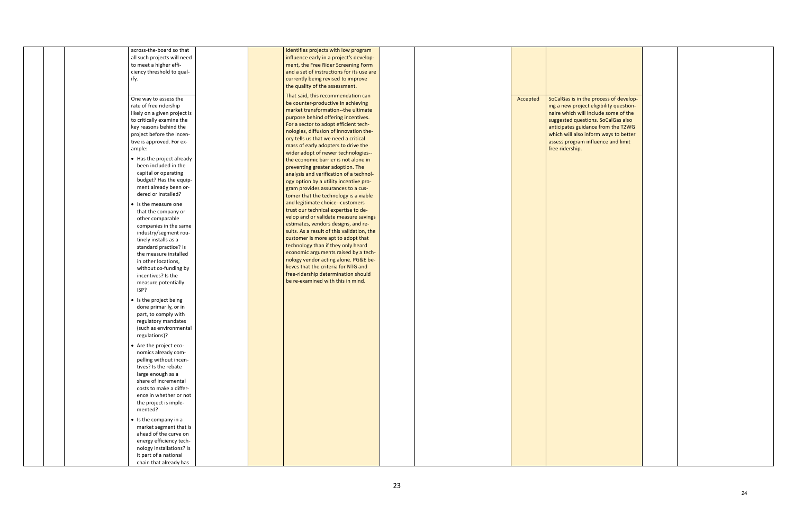| across-the-board so that     | identifies projects with low program       |  |          |                   |
|------------------------------|--------------------------------------------|--|----------|-------------------|
| all such projects will need  | influence early in a project's develop-    |  |          |                   |
| to meet a higher effi-       | ment, the Free Rider Screening Form        |  |          |                   |
| ciency threshold to qual-    | and a set of instructions for its use are  |  |          |                   |
| ify.                         | currently being revised to improve         |  |          |                   |
|                              | the quality of the assessment.             |  |          |                   |
| One way to assess the        | That said, this recommendation can         |  | Accepted | SoCalGas is in th |
| rate of free ridership       | be counter-productive in achieving         |  |          | ing a new proje   |
| likely on a given project is | market transformation--the ultimate        |  |          | naire which will  |
| to critically examine the    | purpose behind offering incentives.        |  |          | suggested quest   |
| key reasons behind the       | For a sector to adopt efficient tech-      |  |          | anticipates guid  |
| project before the incen-    | nologies, diffusion of innovation the-     |  |          | which will also i |
|                              | ory tells us that we need a critical       |  |          |                   |
| tive is approved. For ex-    | mass of early adopters to drive the        |  |          | assess program    |
| ample:                       | wider adopt of newer technologies--        |  |          | free ridership.   |
| • Has the project already    | the economic barrier is not alone in       |  |          |                   |
| been included in the         | preventing greater adoption. The           |  |          |                   |
| capital or operating         | analysis and verification of a technol-    |  |          |                   |
| budget? Has the equip-       | ogy option by a utility incentive pro-     |  |          |                   |
| ment already been or-        | gram provides assurances to a cus-         |  |          |                   |
| dered or installed?          | tomer that the technology is a viable      |  |          |                   |
| • Is the measure one         | and legitimate choice--customers           |  |          |                   |
| that the company or          | trust our technical expertise to de-       |  |          |                   |
| other comparable             | velop and or validate measure savings      |  |          |                   |
| companies in the same        | estimates, vendors designs, and re-        |  |          |                   |
| industry/segment rou-        | sults. As a result of this validation, the |  |          |                   |
| tinely installs as a         | customer is more apt to adopt that         |  |          |                   |
| standard practice? Is        | technology than if they only heard         |  |          |                   |
| the measure installed        | economic arguments raised by a tech-       |  |          |                   |
| in other locations,          | nology vendor acting alone. PG&E be-       |  |          |                   |
| without co-funding by        | lieves that the criteria for NTG and       |  |          |                   |
| incentives? Is the           | free-ridership determination should        |  |          |                   |
| measure potentially          | be re-examined with this in mind.          |  |          |                   |
| ISP?                         |                                            |  |          |                   |
|                              |                                            |  |          |                   |
| • Is the project being       |                                            |  |          |                   |
| done primarily, or in        |                                            |  |          |                   |
| part, to comply with         |                                            |  |          |                   |
| regulatory mandates          |                                            |  |          |                   |
| (such as environmental       |                                            |  |          |                   |
| regulations)?                |                                            |  |          |                   |
| • Are the project eco-       |                                            |  |          |                   |
| nomics already com-          |                                            |  |          |                   |
| pelling without incen-       |                                            |  |          |                   |
| tives? Is the rebate         |                                            |  |          |                   |
| large enough as a            |                                            |  |          |                   |
| share of incremental         |                                            |  |          |                   |
| costs to make a differ-      |                                            |  |          |                   |
| ence in whether or not       |                                            |  |          |                   |
| the project is imple-        |                                            |  |          |                   |
| mented?                      |                                            |  |          |                   |
| • Is the company in a        |                                            |  |          |                   |
| market segment that is       |                                            |  |          |                   |
| ahead of the curve on        |                                            |  |          |                   |
| energy efficiency tech-      |                                            |  |          |                   |
| nology installations? Is     |                                            |  |          |                   |
| it part of a national        |                                            |  |          |                   |
| chain that already has       |                                            |  |          |                   |
|                              |                                            |  |          |                   |

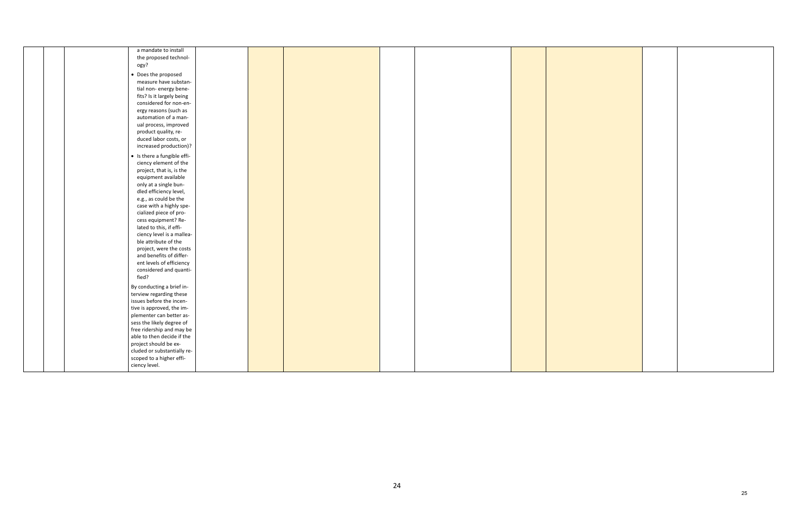| the proposed technol-<br>ogy?<br>• Does the proposed<br>measure have substan-<br>tial non- energy bene-<br>fits? Is it largely being<br>considered for non-en-<br>ergy reasons (such as<br>automation of a man-<br>ual process, improved<br>product quality, re-<br>duced labor costs, or<br>increased production)?<br>• Is there a fungible effi-<br>ciency element of the<br>project, that is, is the<br>equipment available<br>only at a single bun-<br>dled efficiency level,<br>e.g., as could be the<br>case with a highly spe-<br>cialized piece of pro-<br>cess equipment? Re-<br>lated to this, if effi-<br>ciency level is a mallea-<br>ble attribute of the<br>project, were the costs<br>and benefits of differ-<br>ent levels of efficiency<br>considered and quanti-<br>fied?<br>By conducting a brief in-<br>terview regarding these<br>issues before the incen-<br>tive is approved, the im-<br>plementer can better as-<br>sess the likely degree of<br>free ridership and may be<br>able to then decide if the<br>project should be ex-<br>cluded or substantially re-<br>scoped to a higher effi- | a mandate to install |  |  |  |  |
|----------------------------------------------------------------------------------------------------------------------------------------------------------------------------------------------------------------------------------------------------------------------------------------------------------------------------------------------------------------------------------------------------------------------------------------------------------------------------------------------------------------------------------------------------------------------------------------------------------------------------------------------------------------------------------------------------------------------------------------------------------------------------------------------------------------------------------------------------------------------------------------------------------------------------------------------------------------------------------------------------------------------------------------------------------------------------------------------------------------------|----------------------|--|--|--|--|
|                                                                                                                                                                                                                                                                                                                                                                                                                                                                                                                                                                                                                                                                                                                                                                                                                                                                                                                                                                                                                                                                                                                      |                      |  |  |  |  |
|                                                                                                                                                                                                                                                                                                                                                                                                                                                                                                                                                                                                                                                                                                                                                                                                                                                                                                                                                                                                                                                                                                                      |                      |  |  |  |  |
|                                                                                                                                                                                                                                                                                                                                                                                                                                                                                                                                                                                                                                                                                                                                                                                                                                                                                                                                                                                                                                                                                                                      |                      |  |  |  |  |
|                                                                                                                                                                                                                                                                                                                                                                                                                                                                                                                                                                                                                                                                                                                                                                                                                                                                                                                                                                                                                                                                                                                      |                      |  |  |  |  |
|                                                                                                                                                                                                                                                                                                                                                                                                                                                                                                                                                                                                                                                                                                                                                                                                                                                                                                                                                                                                                                                                                                                      |                      |  |  |  |  |
|                                                                                                                                                                                                                                                                                                                                                                                                                                                                                                                                                                                                                                                                                                                                                                                                                                                                                                                                                                                                                                                                                                                      |                      |  |  |  |  |
|                                                                                                                                                                                                                                                                                                                                                                                                                                                                                                                                                                                                                                                                                                                                                                                                                                                                                                                                                                                                                                                                                                                      |                      |  |  |  |  |
|                                                                                                                                                                                                                                                                                                                                                                                                                                                                                                                                                                                                                                                                                                                                                                                                                                                                                                                                                                                                                                                                                                                      |                      |  |  |  |  |
|                                                                                                                                                                                                                                                                                                                                                                                                                                                                                                                                                                                                                                                                                                                                                                                                                                                                                                                                                                                                                                                                                                                      |                      |  |  |  |  |
|                                                                                                                                                                                                                                                                                                                                                                                                                                                                                                                                                                                                                                                                                                                                                                                                                                                                                                                                                                                                                                                                                                                      |                      |  |  |  |  |
|                                                                                                                                                                                                                                                                                                                                                                                                                                                                                                                                                                                                                                                                                                                                                                                                                                                                                                                                                                                                                                                                                                                      |                      |  |  |  |  |
|                                                                                                                                                                                                                                                                                                                                                                                                                                                                                                                                                                                                                                                                                                                                                                                                                                                                                                                                                                                                                                                                                                                      |                      |  |  |  |  |
|                                                                                                                                                                                                                                                                                                                                                                                                                                                                                                                                                                                                                                                                                                                                                                                                                                                                                                                                                                                                                                                                                                                      |                      |  |  |  |  |
|                                                                                                                                                                                                                                                                                                                                                                                                                                                                                                                                                                                                                                                                                                                                                                                                                                                                                                                                                                                                                                                                                                                      |                      |  |  |  |  |
|                                                                                                                                                                                                                                                                                                                                                                                                                                                                                                                                                                                                                                                                                                                                                                                                                                                                                                                                                                                                                                                                                                                      |                      |  |  |  |  |
|                                                                                                                                                                                                                                                                                                                                                                                                                                                                                                                                                                                                                                                                                                                                                                                                                                                                                                                                                                                                                                                                                                                      |                      |  |  |  |  |
|                                                                                                                                                                                                                                                                                                                                                                                                                                                                                                                                                                                                                                                                                                                                                                                                                                                                                                                                                                                                                                                                                                                      |                      |  |  |  |  |
|                                                                                                                                                                                                                                                                                                                                                                                                                                                                                                                                                                                                                                                                                                                                                                                                                                                                                                                                                                                                                                                                                                                      |                      |  |  |  |  |
|                                                                                                                                                                                                                                                                                                                                                                                                                                                                                                                                                                                                                                                                                                                                                                                                                                                                                                                                                                                                                                                                                                                      |                      |  |  |  |  |
|                                                                                                                                                                                                                                                                                                                                                                                                                                                                                                                                                                                                                                                                                                                                                                                                                                                                                                                                                                                                                                                                                                                      |                      |  |  |  |  |
|                                                                                                                                                                                                                                                                                                                                                                                                                                                                                                                                                                                                                                                                                                                                                                                                                                                                                                                                                                                                                                                                                                                      |                      |  |  |  |  |
|                                                                                                                                                                                                                                                                                                                                                                                                                                                                                                                                                                                                                                                                                                                                                                                                                                                                                                                                                                                                                                                                                                                      |                      |  |  |  |  |
|                                                                                                                                                                                                                                                                                                                                                                                                                                                                                                                                                                                                                                                                                                                                                                                                                                                                                                                                                                                                                                                                                                                      |                      |  |  |  |  |
|                                                                                                                                                                                                                                                                                                                                                                                                                                                                                                                                                                                                                                                                                                                                                                                                                                                                                                                                                                                                                                                                                                                      |                      |  |  |  |  |
|                                                                                                                                                                                                                                                                                                                                                                                                                                                                                                                                                                                                                                                                                                                                                                                                                                                                                                                                                                                                                                                                                                                      |                      |  |  |  |  |
|                                                                                                                                                                                                                                                                                                                                                                                                                                                                                                                                                                                                                                                                                                                                                                                                                                                                                                                                                                                                                                                                                                                      |                      |  |  |  |  |
|                                                                                                                                                                                                                                                                                                                                                                                                                                                                                                                                                                                                                                                                                                                                                                                                                                                                                                                                                                                                                                                                                                                      |                      |  |  |  |  |
|                                                                                                                                                                                                                                                                                                                                                                                                                                                                                                                                                                                                                                                                                                                                                                                                                                                                                                                                                                                                                                                                                                                      |                      |  |  |  |  |
|                                                                                                                                                                                                                                                                                                                                                                                                                                                                                                                                                                                                                                                                                                                                                                                                                                                                                                                                                                                                                                                                                                                      |                      |  |  |  |  |
|                                                                                                                                                                                                                                                                                                                                                                                                                                                                                                                                                                                                                                                                                                                                                                                                                                                                                                                                                                                                                                                                                                                      |                      |  |  |  |  |
|                                                                                                                                                                                                                                                                                                                                                                                                                                                                                                                                                                                                                                                                                                                                                                                                                                                                                                                                                                                                                                                                                                                      |                      |  |  |  |  |
|                                                                                                                                                                                                                                                                                                                                                                                                                                                                                                                                                                                                                                                                                                                                                                                                                                                                                                                                                                                                                                                                                                                      |                      |  |  |  |  |
|                                                                                                                                                                                                                                                                                                                                                                                                                                                                                                                                                                                                                                                                                                                                                                                                                                                                                                                                                                                                                                                                                                                      |                      |  |  |  |  |
|                                                                                                                                                                                                                                                                                                                                                                                                                                                                                                                                                                                                                                                                                                                                                                                                                                                                                                                                                                                                                                                                                                                      |                      |  |  |  |  |
|                                                                                                                                                                                                                                                                                                                                                                                                                                                                                                                                                                                                                                                                                                                                                                                                                                                                                                                                                                                                                                                                                                                      |                      |  |  |  |  |
|                                                                                                                                                                                                                                                                                                                                                                                                                                                                                                                                                                                                                                                                                                                                                                                                                                                                                                                                                                                                                                                                                                                      |                      |  |  |  |  |
|                                                                                                                                                                                                                                                                                                                                                                                                                                                                                                                                                                                                                                                                                                                                                                                                                                                                                                                                                                                                                                                                                                                      |                      |  |  |  |  |
|                                                                                                                                                                                                                                                                                                                                                                                                                                                                                                                                                                                                                                                                                                                                                                                                                                                                                                                                                                                                                                                                                                                      |                      |  |  |  |  |
|                                                                                                                                                                                                                                                                                                                                                                                                                                                                                                                                                                                                                                                                                                                                                                                                                                                                                                                                                                                                                                                                                                                      |                      |  |  |  |  |
|                                                                                                                                                                                                                                                                                                                                                                                                                                                                                                                                                                                                                                                                                                                                                                                                                                                                                                                                                                                                                                                                                                                      |                      |  |  |  |  |
|                                                                                                                                                                                                                                                                                                                                                                                                                                                                                                                                                                                                                                                                                                                                                                                                                                                                                                                                                                                                                                                                                                                      |                      |  |  |  |  |
|                                                                                                                                                                                                                                                                                                                                                                                                                                                                                                                                                                                                                                                                                                                                                                                                                                                                                                                                                                                                                                                                                                                      |                      |  |  |  |  |
|                                                                                                                                                                                                                                                                                                                                                                                                                                                                                                                                                                                                                                                                                                                                                                                                                                                                                                                                                                                                                                                                                                                      |                      |  |  |  |  |
|                                                                                                                                                                                                                                                                                                                                                                                                                                                                                                                                                                                                                                                                                                                                                                                                                                                                                                                                                                                                                                                                                                                      | ciency level.        |  |  |  |  |